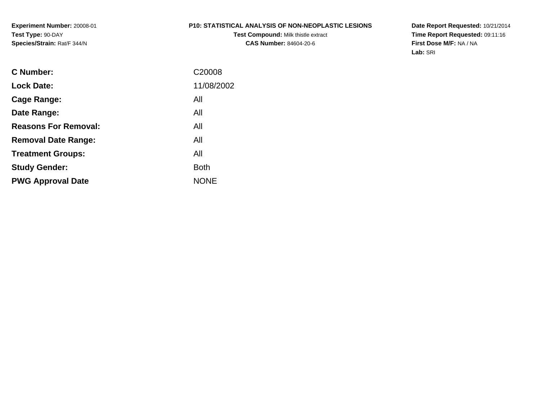#### **P10: STATISTICAL ANALYSIS OF NON-NEOPLASTIC LESIONS**

**Test Compound:** Milk thistle extract **CAS Number:** 84604-20-6

**Date Report Requested:** 10/21/2014 **Time Report Requested:** 09:11:16**First Dose M/F:** NA / NA**Lab:** SRI

| <b>C</b> Number:            | C <sub>20008</sub> |
|-----------------------------|--------------------|
| <b>Lock Date:</b>           | 11/08/2002         |
| Cage Range:                 | All                |
| Date Range:                 | All                |
| <b>Reasons For Removal:</b> | All                |
| <b>Removal Date Range:</b>  | All                |
| <b>Treatment Groups:</b>    | All                |
| <b>Study Gender:</b>        | <b>Both</b>        |
| <b>PWG Approval Date</b>    | <b>NONE</b>        |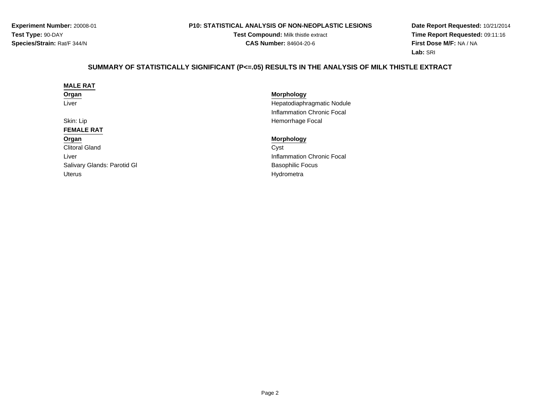#### **P10: STATISTICAL ANALYSIS OF NON-NEOPLASTIC LESIONS**

**Test Compound:** Milk thistle extract**CAS Number:** 84604-20-6

**Date Report Requested:** 10/21/2014 **Time Report Requested:** 09:11:16**First Dose M/F:** NA / NA**Lab:** SRI

# **SUMMARY OF STATISTICALLY SIGNIFICANT (P<=.05) RESULTS IN THE ANALYSIS OF MILK THISTLE EXTRACT**

| <b>Morphology</b>          |
|----------------------------|
| Hepatodiaphragmatic Nodule |
| Inflammation Chronic Focal |
| Hemorrhage Focal           |
|                            |
| <b>Morphology</b>          |
| Cyst                       |
| Inflammation Chronic Focal |
| <b>Basophilic Focus</b>    |
| Hydrometra                 |
|                            |
|                            |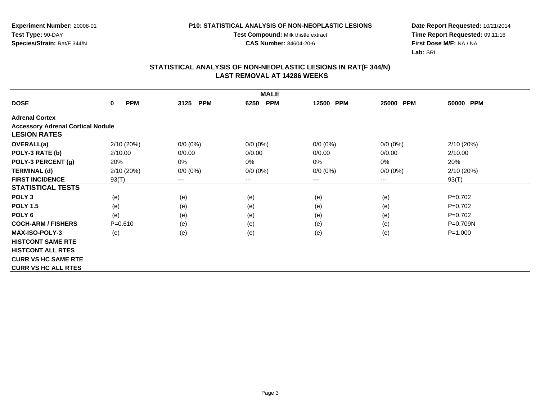**Test Compound:** Milk thistle extract

**CAS Number:** 84604-20-6

**Date Report Requested:** 10/21/2014 **Time Report Requested:** 09:11:16**First Dose M/F:** NA / NA**Lab:** SRI

| <b>MALE</b>                              |                 |                    |                    |                     |             |              |  |  |
|------------------------------------------|-----------------|--------------------|--------------------|---------------------|-------------|--------------|--|--|
| <b>DOSE</b>                              | <b>PPM</b><br>0 | 3125<br><b>PPM</b> | <b>PPM</b><br>6250 | <b>PPM</b><br>12500 | 25000 PPM   | 50000 PPM    |  |  |
| <b>Adrenal Cortex</b>                    |                 |                    |                    |                     |             |              |  |  |
| <b>Accessory Adrenal Cortical Nodule</b> |                 |                    |                    |                     |             |              |  |  |
| <b>LESION RATES</b>                      |                 |                    |                    |                     |             |              |  |  |
| <b>OVERALL(a)</b>                        | 2/10(20%)       | $0/0 (0\%)$        | $0/0 (0\%)$        | $0/0 (0\%)$         | $0/0(0\%)$  | 2/10 (20%)   |  |  |
| POLY-3 RATE (b)                          | 2/10.00         | 0/0.00             | 0/0.00             | 0/0.00              | 0/0.00      | 2/10.00      |  |  |
| POLY-3 PERCENT (g)                       | 20%             | $0\%$              | 0%                 | 0%                  | 0%          | 20%          |  |  |
| <b>TERMINAL (d)</b>                      | 2/10(20%)       | $0/0 (0\%)$        | $0/0 (0\%)$        | $0/0 (0\%)$         | $0/0 (0\%)$ | 2/10(20%)    |  |  |
| <b>FIRST INCIDENCE</b>                   | 93(T)           | $---$              | ---                | ---                 | $---$       | 93(T)        |  |  |
| <b>STATISTICAL TESTS</b>                 |                 |                    |                    |                     |             |              |  |  |
| POLY <sub>3</sub>                        | (e)             | (e)                | (e)                | (e)                 | (e)         | $P=0.702$    |  |  |
| <b>POLY 1.5</b>                          | (e)             | (e)                | (e)                | (e)                 | (e)         | $P=0.702$    |  |  |
| POLY <sub>6</sub>                        | (e)             | (e)                | (e)                | (e)                 | (e)         | $P=0.702$    |  |  |
| <b>COCH-ARM / FISHERS</b>                | $P = 0.610$     | (e)                | (e)                | (e)                 | (e)         | $P = 0.709N$ |  |  |
| <b>MAX-ISO-POLY-3</b>                    | (e)             | (e)                | (e)                | (e)                 | (e)         | $P = 1.000$  |  |  |
| <b>HISTCONT SAME RTE</b>                 |                 |                    |                    |                     |             |              |  |  |
| <b>HISTCONT ALL RTES</b>                 |                 |                    |                    |                     |             |              |  |  |
| <b>CURR VS HC SAME RTE</b>               |                 |                    |                    |                     |             |              |  |  |
| <b>CURR VS HC ALL RTES</b>               |                 |                    |                    |                     |             |              |  |  |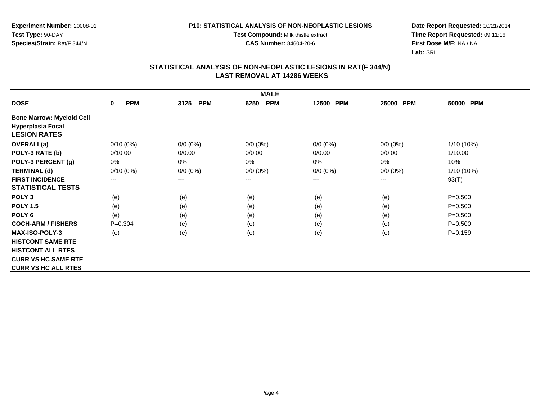#### **P10: STATISTICAL ANALYSIS OF NON-NEOPLASTIC LESIONS**

**Test Compound:** Milk thistle extract

**CAS Number:** 84604-20-6

**Date Report Requested:** 10/21/2014 **Time Report Requested:** 09:11:16**First Dose M/F:** NA / NA**Lab:** SRI

| <b>MALE</b>                      |                            |                    |                    |             |             |             |  |  |
|----------------------------------|----------------------------|--------------------|--------------------|-------------|-------------|-------------|--|--|
| <b>DOSE</b>                      | <b>PPM</b><br>$\mathbf{0}$ | <b>PPM</b><br>3125 | <b>PPM</b><br>6250 | 12500 PPM   | 25000 PPM   | 50000 PPM   |  |  |
| <b>Bone Marrow: Myeloid Cell</b> |                            |                    |                    |             |             |             |  |  |
| <b>Hyperplasia Focal</b>         |                            |                    |                    |             |             |             |  |  |
| <b>LESION RATES</b>              |                            |                    |                    |             |             |             |  |  |
| <b>OVERALL(a)</b>                | $0/10(0\%)$                | $0/0 (0\%)$        | $0/0 (0\%)$        | $0/0 (0\%)$ | $0/0(0\%)$  | 1/10 (10%)  |  |  |
| POLY-3 RATE (b)                  | 0/10.00                    | 0/0.00             | 0/0.00             | 0/0.00      | 0/0.00      | 1/10.00     |  |  |
| POLY-3 PERCENT (g)               | 0%                         | 0%                 | $0\%$              | 0%          | 0%          | 10%         |  |  |
| <b>TERMINAL (d)</b>              | $0/10(0\%)$                | $0/0 (0\%)$        | $0/0 (0\%)$        | $0/0 (0\%)$ | $0/0 (0\%)$ | 1/10 (10%)  |  |  |
| <b>FIRST INCIDENCE</b>           | $---$                      | $--$               | ---                | ---         | $---$       | 93(T)       |  |  |
| <b>STATISTICAL TESTS</b>         |                            |                    |                    |             |             |             |  |  |
| POLY <sub>3</sub>                | (e)                        | (e)                | (e)                | (e)         | (e)         | $P = 0.500$ |  |  |
| <b>POLY 1.5</b>                  | (e)                        | (e)                | (e)                | (e)         | (e)         | $P = 0.500$ |  |  |
| POLY <sub>6</sub>                | (e)                        | (e)                | (e)                | (e)         | (e)         | $P = 0.500$ |  |  |
| <b>COCH-ARM / FISHERS</b>        | $P = 0.304$                | (e)                | (e)                | (e)         | (e)         | $P = 0.500$ |  |  |
| <b>MAX-ISO-POLY-3</b>            | (e)                        | (e)                | (e)                | (e)         | (e)         | $P = 0.159$ |  |  |
| <b>HISTCONT SAME RTE</b>         |                            |                    |                    |             |             |             |  |  |
| <b>HISTCONT ALL RTES</b>         |                            |                    |                    |             |             |             |  |  |
| <b>CURR VS HC SAME RTE</b>       |                            |                    |                    |             |             |             |  |  |
| <b>CURR VS HC ALL RTES</b>       |                            |                    |                    |             |             |             |  |  |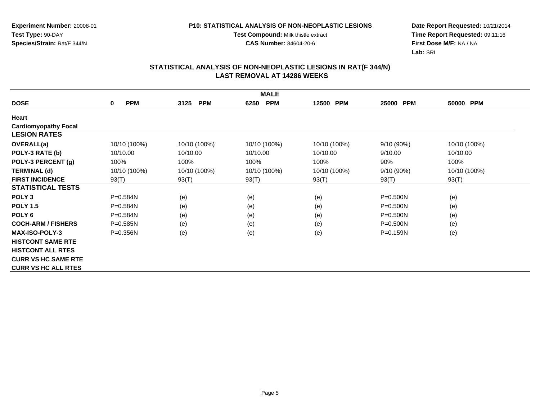#### **P10: STATISTICAL ANALYSIS OF NON-NEOPLASTIC LESIONS**

**Test Compound:** Milk thistle extract

**CAS Number:** 84604-20-6

**Date Report Requested:** 10/21/2014 **Time Report Requested:** 09:11:16**First Dose M/F:** NA / NA**Lab:** SRI

| <b>MALE</b>                 |                           |                    |                    |              |                     |              |  |  |
|-----------------------------|---------------------------|--------------------|--------------------|--------------|---------------------|--------------|--|--|
| <b>DOSE</b>                 | <b>PPM</b><br>$\mathbf 0$ | <b>PPM</b><br>3125 | <b>PPM</b><br>6250 | 12500 PPM    | <b>PPM</b><br>25000 | 50000 PPM    |  |  |
| Heart                       |                           |                    |                    |              |                     |              |  |  |
| <b>Cardiomyopathy Focal</b> |                           |                    |                    |              |                     |              |  |  |
| <b>LESION RATES</b>         |                           |                    |                    |              |                     |              |  |  |
| <b>OVERALL(a)</b>           | 10/10 (100%)              | 10/10 (100%)       | 10/10 (100%)       | 10/10 (100%) | 9/10(90%)           | 10/10 (100%) |  |  |
| POLY-3 RATE (b)             | 10/10.00                  | 10/10.00           | 10/10.00           | 10/10.00     | 9/10.00             | 10/10.00     |  |  |
| POLY-3 PERCENT (g)          | 100%                      | 100%               | 100%               | 100%         | 90%                 | 100%         |  |  |
| <b>TERMINAL (d)</b>         | 10/10 (100%)              | 10/10 (100%)       | 10/10 (100%)       | 10/10 (100%) | 9/10 (90%)          | 10/10 (100%) |  |  |
| <b>FIRST INCIDENCE</b>      | 93(T)                     | 93(T)              | 93(T)              | 93(T)        | 93(T)               | 93(T)        |  |  |
| <b>STATISTICAL TESTS</b>    |                           |                    |                    |              |                     |              |  |  |
| POLY <sub>3</sub>           | P=0.584N                  | (e)                | (e)                | (e)          | $P = 0.500N$        | (e)          |  |  |
| <b>POLY 1.5</b>             | P=0.584N                  | (e)                | (e)                | (e)          | $P = 0.500N$        | (e)          |  |  |
| POLY <sub>6</sub>           | P=0.584N                  | (e)                | (e)                | (e)          | $P = 0.500N$        | (e)          |  |  |
| <b>COCH-ARM / FISHERS</b>   | $P = 0.585N$              | (e)                | (e)                | (e)          | $P = 0.500N$        | (e)          |  |  |
| <b>MAX-ISO-POLY-3</b>       | $P = 0.356N$              | (e)                | (e)                | (e)          | $P = 0.159N$        | (e)          |  |  |
| <b>HISTCONT SAME RTE</b>    |                           |                    |                    |              |                     |              |  |  |
| <b>HISTCONT ALL RTES</b>    |                           |                    |                    |              |                     |              |  |  |
| <b>CURR VS HC SAME RTE</b>  |                           |                    |                    |              |                     |              |  |  |
| <b>CURR VS HC ALL RTES</b>  |                           |                    |                    |              |                     |              |  |  |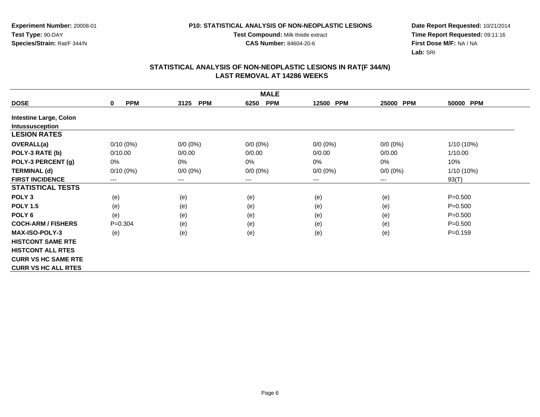**Test Type:** 90-DAY**Species/Strain:** Rat/F 344/N

#### **P10: STATISTICAL ANALYSIS OF NON-NEOPLASTIC LESIONS**

**Test Compound:** Milk thistle extract

**CAS Number:** 84604-20-6

**Date Report Requested:** 10/21/2014 **Time Report Requested:** 09:11:16**First Dose M/F:** NA / NA**Lab:** SRI

| <b>MALE</b>                   |                        |                        |                    |             |                     |             |  |  |
|-------------------------------|------------------------|------------------------|--------------------|-------------|---------------------|-------------|--|--|
| <b>DOSE</b>                   | <b>PPM</b><br>$\bf{0}$ | <b>PPM</b><br>3125     | <b>PPM</b><br>6250 | 12500 PPM   | <b>PPM</b><br>25000 | 50000 PPM   |  |  |
| <b>Intestine Large, Colon</b> |                        |                        |                    |             |                     |             |  |  |
| <b>Intussusception</b>        |                        |                        |                    |             |                     |             |  |  |
| <b>LESION RATES</b>           |                        |                        |                    |             |                     |             |  |  |
| <b>OVERALL(a)</b>             | $0/10(0\%)$            | $0/0 (0\%)$            | $0/0 (0\%)$        | $0/0 (0\%)$ | $0/0 (0\%)$         | 1/10 (10%)  |  |  |
| POLY-3 RATE (b)               | 0/10.00                | 0/0.00                 | 0/0.00             | 0/0.00      | 0/0.00              | 1/10.00     |  |  |
| POLY-3 PERCENT (g)            | 0%                     | $0\%$                  | $0\%$              | 0%          | 0%                  | 10%         |  |  |
| <b>TERMINAL (d)</b>           | $0/10(0\%)$            | $0/0 (0\%)$            | $0/0 (0\%)$        | $0/0 (0\%)$ | $0/0 (0\%)$         | 1/10 (10%)  |  |  |
| <b>FIRST INCIDENCE</b>        | ---                    | $\qquad \qquad \cdots$ | ---                | ---         | $---$               | 93(T)       |  |  |
| <b>STATISTICAL TESTS</b>      |                        |                        |                    |             |                     |             |  |  |
| POLY <sub>3</sub>             | (e)                    | (e)                    | (e)                | (e)         | (e)                 | $P = 0.500$ |  |  |
| <b>POLY 1.5</b>               | (e)                    | (e)                    | (e)                | (e)         | (e)                 | $P = 0.500$ |  |  |
| POLY <sub>6</sub>             | (e)                    | (e)                    | (e)                | (e)         | (e)                 | $P = 0.500$ |  |  |
| <b>COCH-ARM / FISHERS</b>     | $P = 0.304$            | (e)                    | (e)                | (e)         | (e)                 | $P = 0.500$ |  |  |
| <b>MAX-ISO-POLY-3</b>         | (e)                    | (e)                    | (e)                | (e)         | (e)                 | $P = 0.159$ |  |  |
| <b>HISTCONT SAME RTE</b>      |                        |                        |                    |             |                     |             |  |  |
| <b>HISTCONT ALL RTES</b>      |                        |                        |                    |             |                     |             |  |  |
| <b>CURR VS HC SAME RTE</b>    |                        |                        |                    |             |                     |             |  |  |
| <b>CURR VS HC ALL RTES</b>    |                        |                        |                    |             |                     |             |  |  |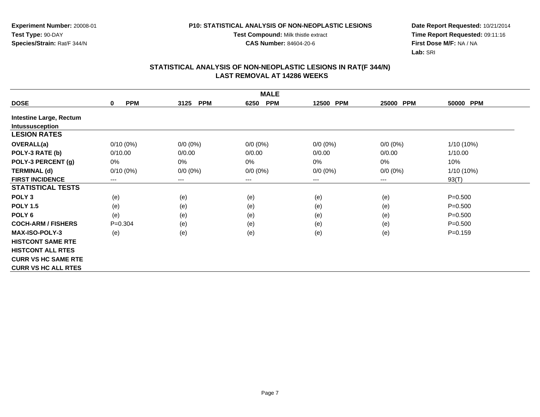#### **P10: STATISTICAL ANALYSIS OF NON-NEOPLASTIC LESIONS**

**Test Compound:** Milk thistle extract

**CAS Number:** 84604-20-6

**Date Report Requested:** 10/21/2014 **Time Report Requested:** 09:11:16**First Dose M/F:** NA / NA**Lab:** SRI

| <b>MALE</b>                    |                            |                    |                    |             |                     |             |  |  |
|--------------------------------|----------------------------|--------------------|--------------------|-------------|---------------------|-------------|--|--|
| <b>DOSE</b>                    | <b>PPM</b><br>$\mathbf{0}$ | <b>PPM</b><br>3125 | <b>PPM</b><br>6250 | 12500 PPM   | 25000<br><b>PPM</b> | 50000 PPM   |  |  |
| <b>Intestine Large, Rectum</b> |                            |                    |                    |             |                     |             |  |  |
| Intussusception                |                            |                    |                    |             |                     |             |  |  |
| <b>LESION RATES</b>            |                            |                    |                    |             |                     |             |  |  |
| <b>OVERALL(a)</b>              | $0/10(0\%)$                | $0/0 (0\%)$        | $0/0 (0\%)$        | $0/0 (0\%)$ | $0/0(0\%)$          | 1/10 (10%)  |  |  |
| POLY-3 RATE (b)                | 0/10.00                    | 0/0.00             | 0/0.00             | 0/0.00      | 0/0.00              | 1/10.00     |  |  |
| POLY-3 PERCENT (g)             | 0%                         | 0%                 | $0\%$              | 0%          | 0%                  | 10%         |  |  |
| <b>TERMINAL (d)</b>            | $0/10(0\%)$                | $0/0 (0\%)$        | $0/0 (0\%)$        | $0/0 (0\%)$ | $0/0 (0\%)$         | 1/10 (10%)  |  |  |
| <b>FIRST INCIDENCE</b>         | $---$                      | $--$               | ---                | ---         | $---$               | 93(T)       |  |  |
| <b>STATISTICAL TESTS</b>       |                            |                    |                    |             |                     |             |  |  |
| POLY <sub>3</sub>              | (e)                        | (e)                | (e)                | (e)         | (e)                 | $P = 0.500$ |  |  |
| <b>POLY 1.5</b>                | (e)                        | (e)                | (e)                | (e)         | (e)                 | $P = 0.500$ |  |  |
| POLY <sub>6</sub>              | (e)                        | (e)                | (e)                | (e)         | (e)                 | $P = 0.500$ |  |  |
| <b>COCH-ARM / FISHERS</b>      | $P = 0.304$                | (e)                | (e)                | (e)         | (e)                 | $P = 0.500$ |  |  |
| <b>MAX-ISO-POLY-3</b>          | (e)                        | (e)                | (e)                | (e)         | (e)                 | $P = 0.159$ |  |  |
| <b>HISTCONT SAME RTE</b>       |                            |                    |                    |             |                     |             |  |  |
| <b>HISTCONT ALL RTES</b>       |                            |                    |                    |             |                     |             |  |  |
| <b>CURR VS HC SAME RTE</b>     |                            |                    |                    |             |                     |             |  |  |
| <b>CURR VS HC ALL RTES</b>     |                            |                    |                    |             |                     |             |  |  |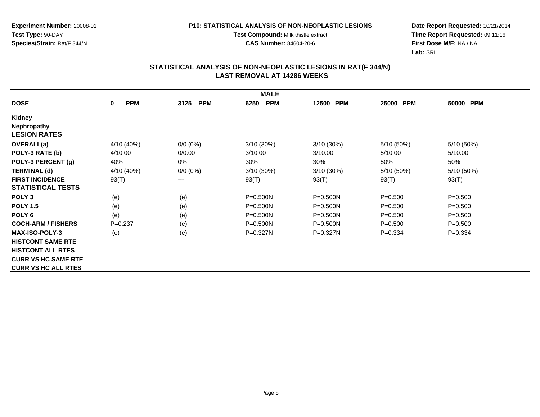**Experiment Number:** 20008-01**Test Type:** 90-DAY**Species/Strain:** Rat/F 344/N

**Test Compound:** Milk thistle extract

**CAS Number:** 84604-20-6

**Date Report Requested:** 10/21/2014 **Time Report Requested:** 09:11:16**First Dose M/F:** NA / NA**Lab:** SRI

| <b>MALE</b>                |                        |                            |                    |                     |             |             |  |
|----------------------------|------------------------|----------------------------|--------------------|---------------------|-------------|-------------|--|
| <b>DOSE</b>                | <b>PPM</b><br>$\bf{0}$ | <b>PPM</b><br>3125         | <b>PPM</b><br>6250 | <b>PPM</b><br>12500 | 25000 PPM   | 50000 PPM   |  |
| Kidney                     |                        |                            |                    |                     |             |             |  |
| <b>Nephropathy</b>         |                        |                            |                    |                     |             |             |  |
| <b>LESION RATES</b>        |                        |                            |                    |                     |             |             |  |
| <b>OVERALL(a)</b>          | 4/10 (40%)             | $0/0 (0\%)$                | $3/10(30\%)$       | $3/10(30\%)$        | 5/10 (50%)  | 5/10 (50%)  |  |
| POLY-3 RATE (b)            | 4/10.00                | 0/0.00                     | 3/10.00            | 3/10.00             | 5/10.00     | 5/10.00     |  |
| POLY-3 PERCENT (g)         | 40%                    | 0%                         | 30%                | 30%                 | 50%         | 50%         |  |
| <b>TERMINAL (d)</b>        | 4/10 (40%)             | $0/0 (0\%)$                | 3/10 (30%)         | 3/10 (30%)          | 5/10 (50%)  | 5/10 (50%)  |  |
| <b>FIRST INCIDENCE</b>     | 93(T)                  | $\qquad \qquad - \qquad -$ | 93(T)              | 93(T)               | 93(T)       | 93(T)       |  |
| <b>STATISTICAL TESTS</b>   |                        |                            |                    |                     |             |             |  |
| POLY <sub>3</sub>          | (e)                    | (e)                        | P=0.500N           | $P = 0.500N$        | $P = 0.500$ | $P = 0.500$ |  |
| <b>POLY 1.5</b>            | (e)                    | (e)                        | $P = 0.500N$       | $P = 0.500N$        | $P = 0.500$ | $P = 0.500$ |  |
| POLY <sub>6</sub>          | (e)                    | (e)                        | $P = 0.500N$       | P=0.500N            | $P = 0.500$ | $P = 0.500$ |  |
| <b>COCH-ARM / FISHERS</b>  | $P=0.237$              | (e)                        | $P = 0.500N$       | $P = 0.500N$        | $P = 0.500$ | $P = 0.500$ |  |
| <b>MAX-ISO-POLY-3</b>      | (e)                    | (e)                        | $P = 0.327N$       | $P = 0.327N$        | $P = 0.334$ | $P=0.334$   |  |
| <b>HISTCONT SAME RTE</b>   |                        |                            |                    |                     |             |             |  |
| <b>HISTCONT ALL RTES</b>   |                        |                            |                    |                     |             |             |  |
| <b>CURR VS HC SAME RTE</b> |                        |                            |                    |                     |             |             |  |
| <b>CURR VS HC ALL RTES</b> |                        |                            |                    |                     |             |             |  |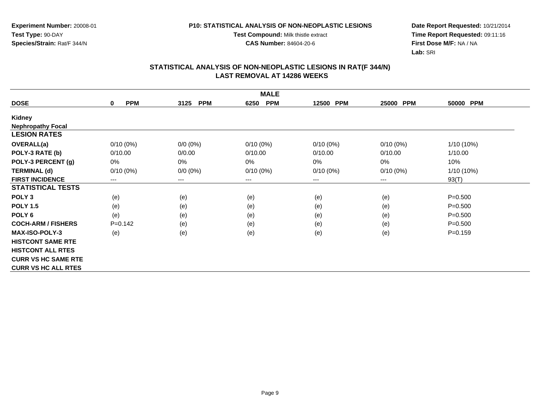**Experiment Number:** 20008-01**Test Type:** 90-DAY**Species/Strain:** Rat/F 344/N

**Test Compound:** Milk thistle extract

**CAS Number:** 84604-20-6

**Date Report Requested:** 10/21/2014 **Time Report Requested:** 09:11:16**First Dose M/F:** NA / NA**Lab:** SRI

| <b>MALE</b>                |                           |                        |                    |                     |                        |             |  |  |
|----------------------------|---------------------------|------------------------|--------------------|---------------------|------------------------|-------------|--|--|
| <b>DOSE</b>                | <b>PPM</b><br>$\mathbf 0$ | <b>PPM</b><br>3125     | <b>PPM</b><br>6250 | <b>PPM</b><br>12500 | 25000 PPM              | 50000 PPM   |  |  |
| Kidney                     |                           |                        |                    |                     |                        |             |  |  |
| <b>Nephropathy Focal</b>   |                           |                        |                    |                     |                        |             |  |  |
| <b>LESION RATES</b>        |                           |                        |                    |                     |                        |             |  |  |
| <b>OVERALL(a)</b>          | $0/10(0\%)$               | $0/0 (0\%)$            | $0/10(0\%)$        | $0/10(0\%)$         | $0/10(0\%)$            | 1/10 (10%)  |  |  |
| POLY-3 RATE (b)            | 0/10.00                   | 0/0.00                 | 0/10.00            | 0/10.00             | 0/10.00                | 1/10.00     |  |  |
| POLY-3 PERCENT (g)         | 0%                        | 0%                     | 0%                 | $0\%$               | 0%                     | 10%         |  |  |
| <b>TERMINAL (d)</b>        | $0/10(0\%)$               | $0/0 (0\%)$            | $0/10(0\%)$        | $0/10(0\%)$         | $0/10(0\%)$            | 1/10 (10%)  |  |  |
| <b>FIRST INCIDENCE</b>     | $\qquad \qquad \cdots$    | $\qquad \qquad \cdots$ | ---                | ---                 | $\qquad \qquad \cdots$ | 93(T)       |  |  |
| <b>STATISTICAL TESTS</b>   |                           |                        |                    |                     |                        |             |  |  |
| POLY <sub>3</sub>          | (e)                       | (e)                    | (e)                | (e)                 | (e)                    | $P = 0.500$ |  |  |
| <b>POLY 1.5</b>            | (e)                       | (e)                    | (e)                | (e)                 | (e)                    | $P = 0.500$ |  |  |
| POLY <sub>6</sub>          | (e)                       | (e)                    | (e)                | (e)                 | (e)                    | $P = 0.500$ |  |  |
| <b>COCH-ARM / FISHERS</b>  | $P=0.142$                 | (e)                    | (e)                | (e)                 | (e)                    | $P = 0.500$ |  |  |
| <b>MAX-ISO-POLY-3</b>      | (e)                       | (e)                    | (e)                | (e)                 | (e)                    | $P = 0.159$ |  |  |
| <b>HISTCONT SAME RTE</b>   |                           |                        |                    |                     |                        |             |  |  |
| <b>HISTCONT ALL RTES</b>   |                           |                        |                    |                     |                        |             |  |  |
| <b>CURR VS HC SAME RTE</b> |                           |                        |                    |                     |                        |             |  |  |
| <b>CURR VS HC ALL RTES</b> |                           |                        |                    |                     |                        |             |  |  |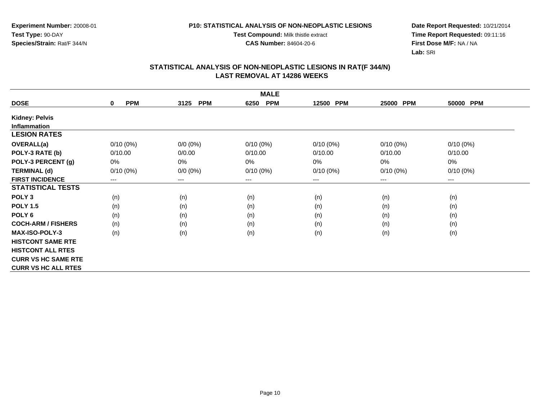**Test Compound:** Milk thistle extract

**CAS Number:** 84604-20-6

**Date Report Requested:** 10/21/2014 **Time Report Requested:** 09:11:16**First Dose M/F:** NA / NA**Lab:** SRI

| <b>MALE</b>                |                           |                    |                    |             |             |             |  |  |
|----------------------------|---------------------------|--------------------|--------------------|-------------|-------------|-------------|--|--|
| <b>DOSE</b>                | <b>PPM</b><br>$\mathbf 0$ | <b>PPM</b><br>3125 | <b>PPM</b><br>6250 | 12500 PPM   | 25000 PPM   | 50000 PPM   |  |  |
| <b>Kidney: Pelvis</b>      |                           |                    |                    |             |             |             |  |  |
| <b>Inflammation</b>        |                           |                    |                    |             |             |             |  |  |
| <b>LESION RATES</b>        |                           |                    |                    |             |             |             |  |  |
| <b>OVERALL(a)</b>          | $0/10(0\%)$               | $0/0 (0\%)$        | $0/10(0\%)$        | $0/10(0\%)$ | $0/10(0\%)$ | $0/10(0\%)$ |  |  |
| POLY-3 RATE (b)            | 0/10.00                   | 0/0.00             | 0/10.00            | 0/10.00     | 0/10.00     | 0/10.00     |  |  |
| POLY-3 PERCENT (g)         | 0%                        | 0%                 | 0%                 | 0%          | 0%          | 0%          |  |  |
| <b>TERMINAL (d)</b>        | $0/10(0\%)$               | $0/0 (0\%)$        | $0/10(0\%)$        | $0/10(0\%)$ | $0/10(0\%)$ | $0/10(0\%)$ |  |  |
| <b>FIRST INCIDENCE</b>     | $---$                     | $---$              | $--$               | ---         | $---$       | $---$       |  |  |
| <b>STATISTICAL TESTS</b>   |                           |                    |                    |             |             |             |  |  |
| POLY <sub>3</sub>          | (n)                       | (n)                | (n)                | (n)         | (n)         | (n)         |  |  |
| <b>POLY 1.5</b>            | (n)                       | (n)                | (n)                | (n)         | (n)         | (n)         |  |  |
| POLY <sub>6</sub>          | (n)                       | (n)                | (n)                | (n)         | (n)         | (n)         |  |  |
| <b>COCH-ARM / FISHERS</b>  | (n)                       | (n)                | (n)                | (n)         | (n)         | (n)         |  |  |
| <b>MAX-ISO-POLY-3</b>      | (n)                       | (n)                | (n)                | (n)         | (n)         | (n)         |  |  |
| <b>HISTCONT SAME RTE</b>   |                           |                    |                    |             |             |             |  |  |
| <b>HISTCONT ALL RTES</b>   |                           |                    |                    |             |             |             |  |  |
| <b>CURR VS HC SAME RTE</b> |                           |                    |                    |             |             |             |  |  |
| <b>CURR VS HC ALL RTES</b> |                           |                    |                    |             |             |             |  |  |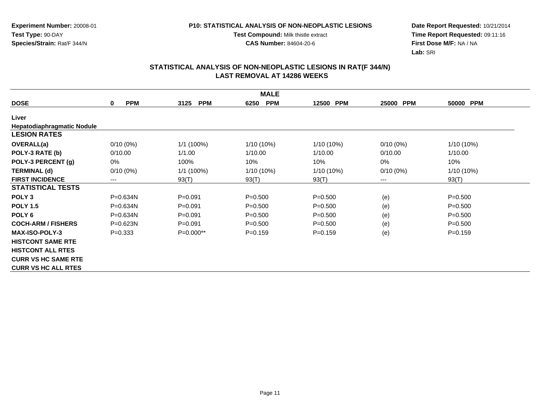**Test Compound:** Milk thistle extract

**CAS Number:** 84604-20-6

**Date Report Requested:** 10/21/2014 **Time Report Requested:** 09:11:16**First Dose M/F:** NA / NA**Lab:** SRI

|                                   | <b>MALE</b>               |                    |                    |             |                     |             |  |  |  |
|-----------------------------------|---------------------------|--------------------|--------------------|-------------|---------------------|-------------|--|--|--|
| <b>DOSE</b>                       | <b>PPM</b><br>$\mathbf 0$ | <b>PPM</b><br>3125 | <b>PPM</b><br>6250 | 12500 PPM   | <b>PPM</b><br>25000 | 50000 PPM   |  |  |  |
| Liver                             |                           |                    |                    |             |                     |             |  |  |  |
| <b>Hepatodiaphragmatic Nodule</b> |                           |                    |                    |             |                     |             |  |  |  |
| <b>LESION RATES</b>               |                           |                    |                    |             |                     |             |  |  |  |
| <b>OVERALL(a)</b>                 | $0/10(0\%)$               | 1/1 (100%)         | $1/10(10\%)$       | 1/10 (10%)  | $0/10(0\%)$         | 1/10 (10%)  |  |  |  |
| POLY-3 RATE (b)                   | 0/10.00                   | 1/1.00             | 1/10.00            | 1/10.00     | 0/10.00             | 1/10.00     |  |  |  |
| POLY-3 PERCENT (g)                | 0%                        | 100%               | 10%                | 10%         | 0%                  | 10%         |  |  |  |
| <b>TERMINAL (d)</b>               | $0/10(0\%)$               | $1/1(100\%)$       | 1/10 (10%)         | 1/10 (10%)  | $0/10(0\%)$         | 1/10 (10%)  |  |  |  |
| <b>FIRST INCIDENCE</b>            | ---                       | 93(T)              | 93(T)              | 93(T)       | $---$               | 93(T)       |  |  |  |
| <b>STATISTICAL TESTS</b>          |                           |                    |                    |             |                     |             |  |  |  |
| POLY <sub>3</sub>                 | P=0.634N                  | $P = 0.091$        | $P = 0.500$        | $P = 0.500$ | (e)                 | $P = 0.500$ |  |  |  |
| <b>POLY 1.5</b>                   | $P = 0.634N$              | $P = 0.091$        | $P = 0.500$        | $P = 0.500$ | (e)                 | $P = 0.500$ |  |  |  |
| POLY <sub>6</sub>                 | P=0.634N                  | $P = 0.091$        | $P = 0.500$        | $P = 0.500$ | (e)                 | $P = 0.500$ |  |  |  |
| <b>COCH-ARM / FISHERS</b>         | $P = 0.623N$              | $P = 0.091$        | $P = 0.500$        | $P = 0.500$ | (e)                 | $P = 0.500$ |  |  |  |
| <b>MAX-ISO-POLY-3</b>             | $P = 0.333$               | $P=0.000**$        | $P = 0.159$        | $P = 0.159$ | (e)                 | $P = 0.159$ |  |  |  |
| <b>HISTCONT SAME RTE</b>          |                           |                    |                    |             |                     |             |  |  |  |
| <b>HISTCONT ALL RTES</b>          |                           |                    |                    |             |                     |             |  |  |  |
| <b>CURR VS HC SAME RTE</b>        |                           |                    |                    |             |                     |             |  |  |  |
| <b>CURR VS HC ALL RTES</b>        |                           |                    |                    |             |                     |             |  |  |  |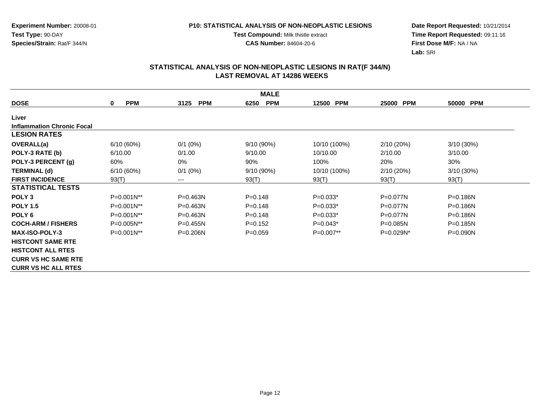**Test Compound:** Milk thistle extract

**CAS Number:** 84604-20-6

**Date Report Requested:** 10/21/2014 **Time Report Requested:** 09:11:16**First Dose M/F:** NA / NA**Lab:** SRI

| <b>MALE</b>                       |                           |                    |                    |              |                     |              |  |  |
|-----------------------------------|---------------------------|--------------------|--------------------|--------------|---------------------|--------------|--|--|
| <b>DOSE</b>                       | <b>PPM</b><br>$\mathbf 0$ | 3125<br><b>PPM</b> | <b>PPM</b><br>6250 | 12500 PPM    | <b>PPM</b><br>25000 | 50000 PPM    |  |  |
| Liver                             |                           |                    |                    |              |                     |              |  |  |
| <b>Inflammation Chronic Focal</b> |                           |                    |                    |              |                     |              |  |  |
| <b>LESION RATES</b>               |                           |                    |                    |              |                     |              |  |  |
| <b>OVERALL(a)</b>                 | 6/10(60%)                 | $0/1$ (0%)         | 9/10(90%)          | 10/10 (100%) | 2/10(20%)           | $3/10(30\%)$ |  |  |
| POLY-3 RATE (b)                   | 6/10.00                   | 0/1.00             | 9/10.00            | 10/10.00     | 2/10.00             | 3/10.00      |  |  |
| POLY-3 PERCENT (g)                | 60%                       | $0\%$              | 90%                | 100%         | 20%                 | 30%          |  |  |
| <b>TERMINAL (d)</b>               | 6/10(60%)                 | $0/1$ $(0%)$       | 9/10 (90%)         | 10/10 (100%) | 2/10(20%)           | 3/10(30%)    |  |  |
| <b>FIRST INCIDENCE</b>            | 93(T)                     | $---$              | 93(T)              | 93(T)        | 93(T)               | 93(T)        |  |  |
| <b>STATISTICAL TESTS</b>          |                           |                    |                    |              |                     |              |  |  |
| POLY <sub>3</sub>                 | P=0.001N**                | $P = 0.463N$       | $P=0.148$          | $P=0.033*$   | $P = 0.077N$        | $P = 0.186N$ |  |  |
| <b>POLY 1.5</b>                   | $P=0.001N^{**}$           | $P = 0.463N$       | $P = 0.148$        | $P=0.033*$   | $P=0.077N$          | $P = 0.186N$ |  |  |
| POLY <sub>6</sub>                 | P=0.001N**                | $P = 0.463N$       | $P = 0.148$        | $P=0.033*$   | P=0.077N            | $P = 0.186N$ |  |  |
| <b>COCH-ARM / FISHERS</b>         | P=0.005N**                | $P = 0.455N$       | $P=0.152$          | $P=0.043*$   | $P = 0.085N$        | $P = 0.185N$ |  |  |
| <b>MAX-ISO-POLY-3</b>             | P=0.001N**                | $P = 0.206N$       | $P=0.059$          | $P=0.007**$  | $P=0.029N^*$        | $P = 0.090N$ |  |  |
| <b>HISTCONT SAME RTE</b>          |                           |                    |                    |              |                     |              |  |  |
| <b>HISTCONT ALL RTES</b>          |                           |                    |                    |              |                     |              |  |  |
| <b>CURR VS HC SAME RTE</b>        |                           |                    |                    |              |                     |              |  |  |
| <b>CURR VS HC ALL RTES</b>        |                           |                    |                    |              |                     |              |  |  |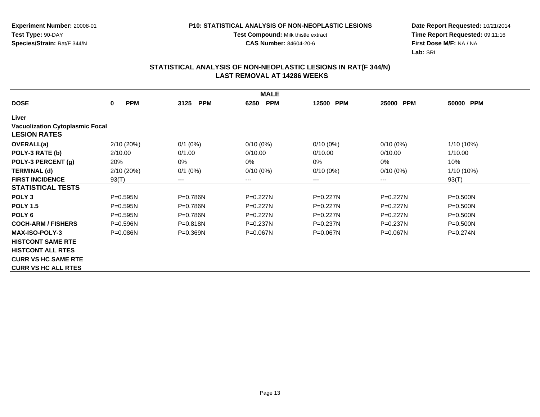**Test Compound:** Milk thistle extract

**CAS Number:** 84604-20-6

**Date Report Requested:** 10/21/2014 **Time Report Requested:** 09:11:16**First Dose M/F:** NA / NA**Lab:** SRI

|                                        | <b>MALE</b>     |                    |                    |                     |                     |              |  |  |  |
|----------------------------------------|-----------------|--------------------|--------------------|---------------------|---------------------|--------------|--|--|--|
| <b>DOSE</b>                            | <b>PPM</b><br>0 | 3125<br><b>PPM</b> | <b>PPM</b><br>6250 | 12500<br><b>PPM</b> | <b>PPM</b><br>25000 | 50000 PPM    |  |  |  |
| Liver                                  |                 |                    |                    |                     |                     |              |  |  |  |
| <b>Vacuolization Cytoplasmic Focal</b> |                 |                    |                    |                     |                     |              |  |  |  |
| <b>LESION RATES</b>                    |                 |                    |                    |                     |                     |              |  |  |  |
| <b>OVERALL(a)</b>                      | 2/10 (20%)      | $0/1$ (0%)         | $0/10(0\%)$        | $0/10(0\%)$         | $0/10(0\%)$         | 1/10 (10%)   |  |  |  |
| POLY-3 RATE (b)                        | 2/10.00         | 0/1.00             | 0/10.00            | 0/10.00             | 0/10.00             | 1/10.00      |  |  |  |
| POLY-3 PERCENT (g)                     | 20%             | $0\%$              | 0%                 | 0%                  | 0%                  | 10%          |  |  |  |
| <b>TERMINAL (d)</b>                    | 2/10 (20%)      | $0/1$ (0%)         | $0/10(0\%)$        | $0/10(0\%)$         | $0/10(0\%)$         | $1/10(10\%)$ |  |  |  |
| <b>FIRST INCIDENCE</b>                 | 93(T)           | ---                | ---                | ---                 | ---                 | 93(T)        |  |  |  |
| <b>STATISTICAL TESTS</b>               |                 |                    |                    |                     |                     |              |  |  |  |
| POLY <sub>3</sub>                      | $P = 0.595N$    | P=0.786N           | $P=0.227N$         | $P=0.227N$          | $P=0.227N$          | $P = 0.500N$ |  |  |  |
| <b>POLY 1.5</b>                        | $P=0.595N$      | $P=0.786N$         | P=0.227N           | $P=0.227N$          | $P=0.227N$          | $P = 0.500N$ |  |  |  |
| POLY <sub>6</sub>                      | $P = 0.595N$    | P=0.786N           | P=0.227N           | $P=0.227N$          | $P = 0.227N$        | $P = 0.500N$ |  |  |  |
| <b>COCH-ARM / FISHERS</b>              | $P = 0.596N$    | $P = 0.818N$       | $P = 0.237N$       | $P=0.237N$          | $P = 0.237N$        | $P = 0.500N$ |  |  |  |
| MAX-ISO-POLY-3                         | $P = 0.086N$    | $P = 0.369N$       | $P = 0.067N$       | $P = 0.067N$        | $P = 0.067N$        | $P = 0.274N$ |  |  |  |
| <b>HISTCONT SAME RTE</b>               |                 |                    |                    |                     |                     |              |  |  |  |
| <b>HISTCONT ALL RTES</b>               |                 |                    |                    |                     |                     |              |  |  |  |
| <b>CURR VS HC SAME RTE</b>             |                 |                    |                    |                     |                     |              |  |  |  |
| <b>CURR VS HC ALL RTES</b>             |                 |                    |                    |                     |                     |              |  |  |  |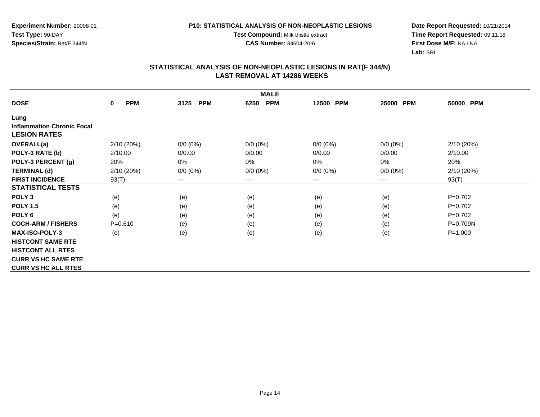**Test Compound:** Milk thistle extract

**CAS Number:** 84604-20-6

**Date Report Requested:** 10/21/2014 **Time Report Requested:** 09:11:16**First Dose M/F:** NA / NA**Lab:** SRI

|                                   | <b>MALE</b>                |                    |                    |             |                            |              |  |  |  |
|-----------------------------------|----------------------------|--------------------|--------------------|-------------|----------------------------|--------------|--|--|--|
| <b>DOSE</b>                       | <b>PPM</b><br>$\mathbf{0}$ | <b>PPM</b><br>3125 | <b>PPM</b><br>6250 | 12500 PPM   | <b>PPM</b><br>25000        | 50000 PPM    |  |  |  |
| Lung                              |                            |                    |                    |             |                            |              |  |  |  |
| <b>Inflammation Chronic Focal</b> |                            |                    |                    |             |                            |              |  |  |  |
| <b>LESION RATES</b>               |                            |                    |                    |             |                            |              |  |  |  |
| OVERALL(a)                        | 2/10(20%)                  | $0/0 (0\%)$        | $0/0 (0\%)$        | $0/0 (0\%)$ | $0/0 (0\%)$                | 2/10(20%)    |  |  |  |
| POLY-3 RATE (b)                   | 2/10.00                    | 0/0.00             | 0/0.00             | 0/0.00      | 0/0.00                     | 2/10.00      |  |  |  |
| POLY-3 PERCENT (g)                | 20%                        | 0%                 | 0%                 | 0%          | 0%                         | 20%          |  |  |  |
| <b>TERMINAL (d)</b>               | 2/10(20%)                  | $0/0 (0\%)$        | $0/0 (0\%)$        | $0/0 (0\%)$ | $0/0 (0\%)$                | 2/10 (20%)   |  |  |  |
| <b>FIRST INCIDENCE</b>            | 93(T)                      | ---                | $---$              | ---         | $\qquad \qquad - \qquad -$ | 93(T)        |  |  |  |
| <b>STATISTICAL TESTS</b>          |                            |                    |                    |             |                            |              |  |  |  |
| POLY <sub>3</sub>                 | (e)                        | (e)                | (e)                | (e)         | (e)                        | $P=0.702$    |  |  |  |
| <b>POLY 1.5</b>                   | (e)                        | (e)                | (e)                | (e)         | (e)                        | $P=0.702$    |  |  |  |
| POLY <sub>6</sub>                 | (e)                        | (e)                | (e)                | (e)         | (e)                        | $P=0.702$    |  |  |  |
| <b>COCH-ARM / FISHERS</b>         | $P = 0.610$                | (e)                | (e)                | (e)         | (e)                        | $P = 0.709N$ |  |  |  |
| <b>MAX-ISO-POLY-3</b>             | (e)                        | (e)                | (e)                | (e)         | (e)                        | $P = 1.000$  |  |  |  |
| <b>HISTCONT SAME RTE</b>          |                            |                    |                    |             |                            |              |  |  |  |
| <b>HISTCONT ALL RTES</b>          |                            |                    |                    |             |                            |              |  |  |  |
| <b>CURR VS HC SAME RTE</b>        |                            |                    |                    |             |                            |              |  |  |  |
| <b>CURR VS HC ALL RTES</b>        |                            |                    |                    |             |                            |              |  |  |  |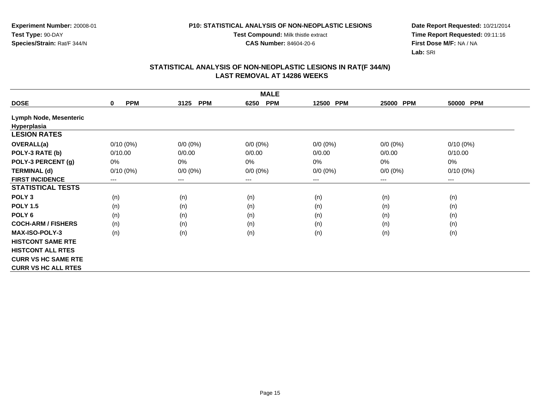**Test Compound:** Milk thistle extract

**CAS Number:** 84604-20-6

**Date Report Requested:** 10/21/2014 **Time Report Requested:** 09:11:16**First Dose M/F:** NA / NA**Lab:** SRI

|                               | <b>MALE</b>               |                        |                    |                     |                     |             |  |  |  |
|-------------------------------|---------------------------|------------------------|--------------------|---------------------|---------------------|-------------|--|--|--|
| <b>DOSE</b>                   | <b>PPM</b><br>$\mathbf 0$ | 3125<br><b>PPM</b>     | <b>PPM</b><br>6250 | <b>PPM</b><br>12500 | <b>PPM</b><br>25000 | 50000 PPM   |  |  |  |
| <b>Lymph Node, Mesenteric</b> |                           |                        |                    |                     |                     |             |  |  |  |
| Hyperplasia                   |                           |                        |                    |                     |                     |             |  |  |  |
| <b>LESION RATES</b>           |                           |                        |                    |                     |                     |             |  |  |  |
| OVERALL(a)                    | $0/10(0\%)$               | $0/0 (0\%)$            | $0/0 (0\%)$        | $0/0 (0\%)$         | $0/0 (0\%)$         | $0/10(0\%)$ |  |  |  |
| POLY-3 RATE (b)               | 0/10.00                   | 0/0.00                 | 0/0.00             | 0/0.00              | 0/0.00              | 0/10.00     |  |  |  |
| POLY-3 PERCENT (g)            | 0%                        | 0%                     | $0\%$              | 0%                  | 0%                  | 0%          |  |  |  |
| <b>TERMINAL (d)</b>           | $0/10(0\%)$               | $0/0 (0\%)$            | $0/0 (0\%)$        | $0/0 (0\%)$         | $0/0 (0\%)$         | $0/10(0\%)$ |  |  |  |
| <b>FIRST INCIDENCE</b>        | $---$                     | $\qquad \qquad \cdots$ | $--$               | ---                 | ---                 | ---         |  |  |  |
| <b>STATISTICAL TESTS</b>      |                           |                        |                    |                     |                     |             |  |  |  |
| POLY <sub>3</sub>             | (n)                       | (n)                    | (n)                | (n)                 | (n)                 | (n)         |  |  |  |
| <b>POLY 1.5</b>               | (n)                       | (n)                    | (n)                | (n)                 | (n)                 | (n)         |  |  |  |
| POLY <sub>6</sub>             | (n)                       | (n)                    | (n)                | (n)                 | (n)                 | (n)         |  |  |  |
| <b>COCH-ARM / FISHERS</b>     | (n)                       | (n)                    | (n)                | (n)                 | (n)                 | (n)         |  |  |  |
| <b>MAX-ISO-POLY-3</b>         | (n)                       | (n)                    | (n)                | (n)                 | (n)                 | (n)         |  |  |  |
| <b>HISTCONT SAME RTE</b>      |                           |                        |                    |                     |                     |             |  |  |  |
| <b>HISTCONT ALL RTES</b>      |                           |                        |                    |                     |                     |             |  |  |  |
| <b>CURR VS HC SAME RTE</b>    |                           |                        |                    |                     |                     |             |  |  |  |
| <b>CURR VS HC ALL RTES</b>    |                           |                        |                    |                     |                     |             |  |  |  |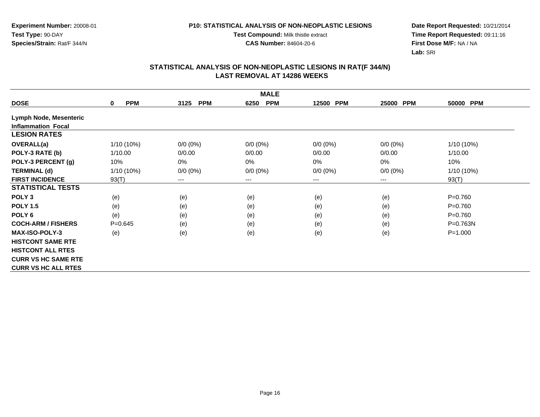**Test Compound:** Milk thistle extract

**CAS Number:** 84604-20-6

**Date Report Requested:** 10/21/2014 **Time Report Requested:** 09:11:16**First Dose M/F:** NA / NA**Lab:** SRI

|                               | <b>MALE</b>                |                        |                    |             |                     |              |  |  |  |
|-------------------------------|----------------------------|------------------------|--------------------|-------------|---------------------|--------------|--|--|--|
| <b>DOSE</b>                   | <b>PPM</b><br>$\mathbf{0}$ | <b>PPM</b><br>3125     | <b>PPM</b><br>6250 | 12500 PPM   | <b>PPM</b><br>25000 | 50000 PPM    |  |  |  |
| <b>Lymph Node, Mesenteric</b> |                            |                        |                    |             |                     |              |  |  |  |
| <b>Inflammation Focal</b>     |                            |                        |                    |             |                     |              |  |  |  |
| <b>LESION RATES</b>           |                            |                        |                    |             |                     |              |  |  |  |
| OVERALL(a)                    | 1/10 (10%)                 | $0/0 (0\%)$            | $0/0 (0\%)$        | $0/0 (0\%)$ | $0/0 (0\%)$         | 1/10 (10%)   |  |  |  |
| POLY-3 RATE (b)               | 1/10.00                    | 0/0.00                 | 0/0.00             | 0/0.00      | 0/0.00              | 1/10.00      |  |  |  |
| POLY-3 PERCENT (g)            | 10%                        | 0%                     | 0%                 | 0%          | 0%                  | 10%          |  |  |  |
| <b>TERMINAL (d)</b>           | 1/10 (10%)                 | $0/0 (0\%)$            | $0/0 (0\%)$        | $0/0 (0\%)$ | $0/0 (0\%)$         | 1/10 (10%)   |  |  |  |
| <b>FIRST INCIDENCE</b>        | 93(T)                      | $\qquad \qquad \cdots$ | $--$               | ---         | ---                 | 93(T)        |  |  |  |
| <b>STATISTICAL TESTS</b>      |                            |                        |                    |             |                     |              |  |  |  |
| POLY <sub>3</sub>             | (e)                        | (e)                    | (e)                | (e)         | (e)                 | $P = 0.760$  |  |  |  |
| <b>POLY 1.5</b>               | (e)                        | (e)                    | (e)                | (e)         | (e)                 | $P = 0.760$  |  |  |  |
| POLY <sub>6</sub>             | (e)                        | (e)                    | (e)                | (e)         | (e)                 | $P = 0.760$  |  |  |  |
| <b>COCH-ARM / FISHERS</b>     | $P = 0.645$                | (e)                    | (e)                | (e)         | (e)                 | $P = 0.763N$ |  |  |  |
| <b>MAX-ISO-POLY-3</b>         | (e)                        | (e)                    | (e)                | (e)         | (e)                 | $P = 1.000$  |  |  |  |
| <b>HISTCONT SAME RTE</b>      |                            |                        |                    |             |                     |              |  |  |  |
| <b>HISTCONT ALL RTES</b>      |                            |                        |                    |             |                     |              |  |  |  |
| <b>CURR VS HC SAME RTE</b>    |                            |                        |                    |             |                     |              |  |  |  |
| <b>CURR VS HC ALL RTES</b>    |                            |                        |                    |             |                     |              |  |  |  |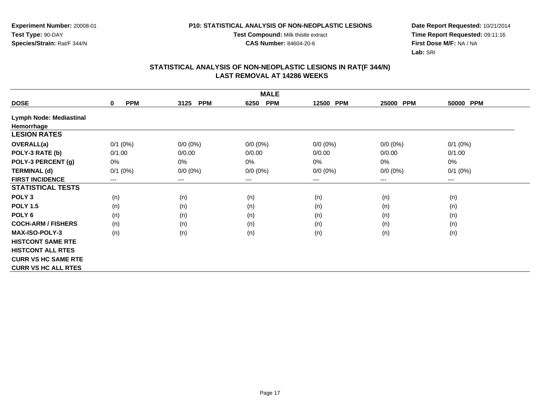**Test Compound:** Milk thistle extract

**CAS Number:** 84604-20-6

**Date Report Requested:** 10/21/2014 **Time Report Requested:** 09:11:16**First Dose M/F:** NA / NA**Lab:** SRI

| <b>MALE</b>                    |                           |                    |                    |             |             |              |  |  |
|--------------------------------|---------------------------|--------------------|--------------------|-------------|-------------|--------------|--|--|
| <b>DOSE</b>                    | <b>PPM</b><br>$\mathbf 0$ | <b>PPM</b><br>3125 | <b>PPM</b><br>6250 | 12500 PPM   | 25000 PPM   | 50000 PPM    |  |  |
| <b>Lymph Node: Mediastinal</b> |                           |                    |                    |             |             |              |  |  |
| Hemorrhage                     |                           |                    |                    |             |             |              |  |  |
| <b>LESION RATES</b>            |                           |                    |                    |             |             |              |  |  |
| OVERALL(a)                     | $0/1$ (0%)                | $0/0 (0\%)$        | $0/0 (0\%)$        | $0/0 (0\%)$ | $0/0(0\%)$  | $0/1$ (0%)   |  |  |
| POLY-3 RATE (b)                | 0/1.00                    | 0/0.00             | 0/0.00             | 0/0.00      | 0/0.00      | 0/1.00       |  |  |
| POLY-3 PERCENT (g)             | 0%                        | 0%                 | $0\%$              | 0%          | 0%          | 0%           |  |  |
| <b>TERMINAL (d)</b>            | $0/1$ (0%)                | $0/0 (0\%)$        | $0/0 (0\%)$        | $0/0 (0\%)$ | $0/0 (0\%)$ | $0/1$ $(0%)$ |  |  |
| <b>FIRST INCIDENCE</b>         | $---$                     | $--$               | ---                | ---         | $---$       | ---          |  |  |
| <b>STATISTICAL TESTS</b>       |                           |                    |                    |             |             |              |  |  |
| POLY <sub>3</sub>              | (n)                       | (n)                | (n)                | (n)         | (n)         | (n)          |  |  |
| <b>POLY 1.5</b>                | (n)                       | (n)                | (n)                | (n)         | (n)         | (n)          |  |  |
| POLY <sub>6</sub>              | (n)                       | (n)                | (n)                | (n)         | (n)         | (n)          |  |  |
| <b>COCH-ARM / FISHERS</b>      | (n)                       | (n)                | (n)                | (n)         | (n)         | (n)          |  |  |
| <b>MAX-ISO-POLY-3</b>          | (n)                       | (n)                | (n)                | (n)         | (n)         | (n)          |  |  |
| <b>HISTCONT SAME RTE</b>       |                           |                    |                    |             |             |              |  |  |
| <b>HISTCONT ALL RTES</b>       |                           |                    |                    |             |             |              |  |  |
| <b>CURR VS HC SAME RTE</b>     |                           |                    |                    |             |             |              |  |  |
| <b>CURR VS HC ALL RTES</b>     |                           |                    |                    |             |             |              |  |  |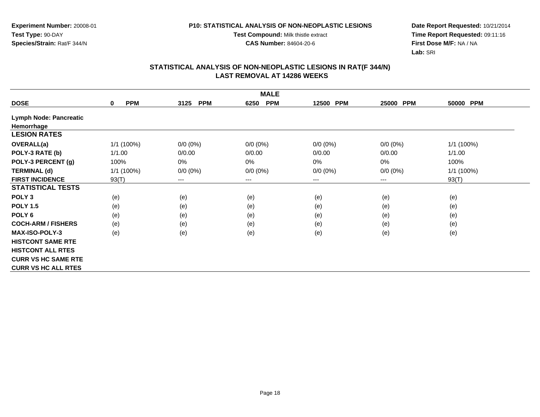**Test Compound:** Milk thistle extract

**CAS Number:** 84604-20-6

**Date Report Requested:** 10/21/2014 **Time Report Requested:** 09:11:16**First Dose M/F:** NA / NA**Lab:** SRI

|                               | <b>MALE</b>               |                        |                    |             |                     |            |  |  |  |
|-------------------------------|---------------------------|------------------------|--------------------|-------------|---------------------|------------|--|--|--|
| <b>DOSE</b>                   | <b>PPM</b><br>$\mathbf 0$ | <b>PPM</b><br>3125     | <b>PPM</b><br>6250 | 12500 PPM   | 25000<br><b>PPM</b> | 50000 PPM  |  |  |  |
| <b>Lymph Node: Pancreatic</b> |                           |                        |                    |             |                     |            |  |  |  |
| Hemorrhage                    |                           |                        |                    |             |                     |            |  |  |  |
| <b>LESION RATES</b>           |                           |                        |                    |             |                     |            |  |  |  |
| OVERALL(a)                    | 1/1 (100%)                | $0/0 (0\%)$            | $0/0 (0\%)$        | $0/0 (0\%)$ | $0/0 (0\%)$         | 1/1 (100%) |  |  |  |
| POLY-3 RATE (b)               | 1/1.00                    | 0/0.00                 | 0/0.00             | 0/0.00      | 0/0.00              | 1/1.00     |  |  |  |
| POLY-3 PERCENT (g)            | 100%                      | 0%                     | 0%                 | 0%          | 0%                  | 100%       |  |  |  |
| <b>TERMINAL (d)</b>           | $1/1$ (100%)              | $0/0 (0\%)$            | $0/0 (0\%)$        | $0/0 (0\%)$ | $0/0 (0\%)$         | 1/1 (100%) |  |  |  |
| <b>FIRST INCIDENCE</b>        | 93(T)                     | $\qquad \qquad \cdots$ | ---                | ---         | ---                 | 93(T)      |  |  |  |
| <b>STATISTICAL TESTS</b>      |                           |                        |                    |             |                     |            |  |  |  |
| POLY <sub>3</sub>             | (e)                       | (e)                    | (e)                | (e)         | (e)                 | (e)        |  |  |  |
| <b>POLY 1.5</b>               | (e)                       | (e)                    | (e)                | (e)         | (e)                 | (e)        |  |  |  |
| POLY <sub>6</sub>             | (e)                       | (e)                    | (e)                | (e)         | (e)                 | (e)        |  |  |  |
| <b>COCH-ARM / FISHERS</b>     | (e)                       | (e)                    | (e)                | (e)         | (e)                 | (e)        |  |  |  |
| <b>MAX-ISO-POLY-3</b>         | (e)                       | (e)                    | (e)                | (e)         | (e)                 | (e)        |  |  |  |
| <b>HISTCONT SAME RTE</b>      |                           |                        |                    |             |                     |            |  |  |  |
| <b>HISTCONT ALL RTES</b>      |                           |                        |                    |             |                     |            |  |  |  |
| <b>CURR VS HC SAME RTE</b>    |                           |                        |                    |             |                     |            |  |  |  |
| <b>CURR VS HC ALL RTES</b>    |                           |                        |                    |             |                     |            |  |  |  |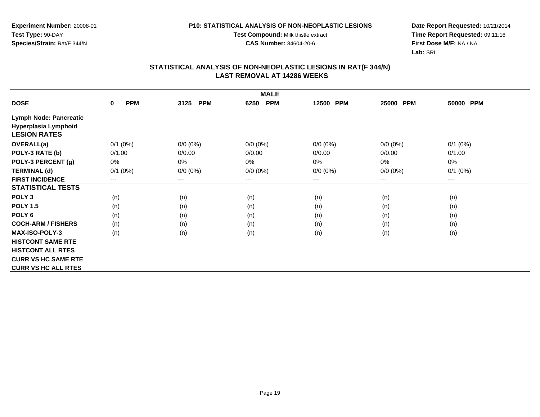**Test Compound:** Milk thistle extract

**CAS Number:** 84604-20-6

**Date Report Requested:** 10/21/2014 **Time Report Requested:** 09:11:16**First Dose M/F:** NA / NA**Lab:** SRI

| <b>MALE</b>                   |                           |                        |                    |             |                     |              |  |  |
|-------------------------------|---------------------------|------------------------|--------------------|-------------|---------------------|--------------|--|--|
| <b>DOSE</b>                   | <b>PPM</b><br>$\mathbf 0$ | <b>PPM</b><br>3125     | <b>PPM</b><br>6250 | 12500 PPM   | <b>PPM</b><br>25000 | 50000 PPM    |  |  |
| <b>Lymph Node: Pancreatic</b> |                           |                        |                    |             |                     |              |  |  |
| Hyperplasia Lymphoid          |                           |                        |                    |             |                     |              |  |  |
| <b>LESION RATES</b>           |                           |                        |                    |             |                     |              |  |  |
| OVERALL(a)                    | $0/1$ $(0%)$              | $0/0 (0\%)$            | $0/0 (0\%)$        | $0/0 (0\%)$ | $0/0 (0\%)$         | $0/1$ (0%)   |  |  |
| POLY-3 RATE (b)               | 0/1.00                    | 0/0.00                 | 0/0.00             | 0/0.00      | 0/0.00              | 0/1.00       |  |  |
| POLY-3 PERCENT (g)            | 0%                        | 0%                     | 0%                 | 0%          | 0%                  | $0\%$        |  |  |
| <b>TERMINAL (d)</b>           | $0/1$ $(0%)$              | $0/0 (0\%)$            | $0/0 (0\%)$        | $0/0 (0\%)$ | $0/0 (0\%)$         | $0/1$ $(0%)$ |  |  |
| <b>FIRST INCIDENCE</b>        | ---                       | $\qquad \qquad \cdots$ | ---                | ---         | $---$               | $--$         |  |  |
| <b>STATISTICAL TESTS</b>      |                           |                        |                    |             |                     |              |  |  |
| POLY <sub>3</sub>             | (n)                       | (n)                    | (n)                | (n)         | (n)                 | (n)          |  |  |
| <b>POLY 1.5</b>               | (n)                       | (n)                    | (n)                | (n)         | (n)                 | (n)          |  |  |
| POLY <sub>6</sub>             | (n)                       | (n)                    | (n)                | (n)         | (n)                 | (n)          |  |  |
| <b>COCH-ARM / FISHERS</b>     | (n)                       | (n)                    | (n)                | (n)         | (n)                 | (n)          |  |  |
| <b>MAX-ISO-POLY-3</b>         | (n)                       | (n)                    | (n)                | (n)         | (n)                 | (n)          |  |  |
| <b>HISTCONT SAME RTE</b>      |                           |                        |                    |             |                     |              |  |  |
| <b>HISTCONT ALL RTES</b>      |                           |                        |                    |             |                     |              |  |  |
| <b>CURR VS HC SAME RTE</b>    |                           |                        |                    |             |                     |              |  |  |
| <b>CURR VS HC ALL RTES</b>    |                           |                        |                    |             |                     |              |  |  |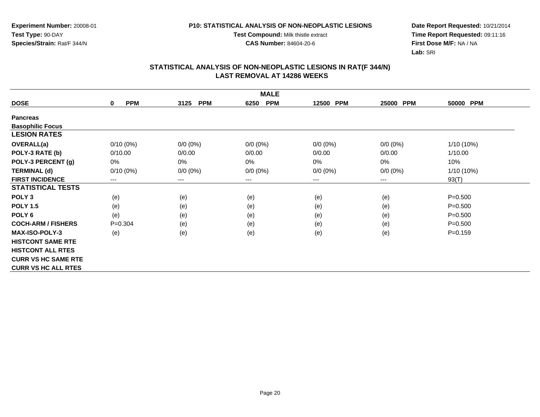**Experiment Number:** 20008-01**Test Type:** 90-DAY**Species/Strain:** Rat/F 344/N

**Test Compound:** Milk thistle extract

**CAS Number:** 84604-20-6

**Date Report Requested:** 10/21/2014 **Time Report Requested:** 09:11:16**First Dose M/F:** NA / NA**Lab:** SRI

| <b>MALE</b>                |                           |                        |                     |                     |                        |              |  |
|----------------------------|---------------------------|------------------------|---------------------|---------------------|------------------------|--------------|--|
| <b>DOSE</b>                | <b>PPM</b><br>$\mathbf 0$ | <b>PPM</b><br>3125     | <b>PPM</b><br>6250  | <b>PPM</b><br>12500 | 25000 PPM              | 50000 PPM    |  |
| <b>Pancreas</b>            |                           |                        |                     |                     |                        |              |  |
| <b>Basophilic Focus</b>    |                           |                        |                     |                     |                        |              |  |
| <b>LESION RATES</b>        |                           |                        |                     |                     |                        |              |  |
| <b>OVERALL(a)</b>          | $0/10(0\%)$               | $0/0 (0\%)$            | $0/0 (0\%)$         | $0/0 (0\%)$         | $0/0 (0\%)$            | $1/10(10\%)$ |  |
| POLY-3 RATE (b)            | 0/10.00                   | 0/0.00                 | 0/0.00              | 0/0.00              | 0/0.00                 | 1/10.00      |  |
| POLY-3 PERCENT (g)         | 0%                        | 0%                     | $0\%$               | 0%                  | 0%                     | 10%          |  |
| <b>TERMINAL (d)</b>        | $0/10(0\%)$               | $0/0 (0\%)$            | $0/0 (0\%)$         | $0/0 (0\%)$         | $0/0 (0\%)$            | $1/10(10\%)$ |  |
| <b>FIRST INCIDENCE</b>     | ---                       | $\qquad \qquad \cdots$ | $\qquad \qquad - -$ | ---                 | $\qquad \qquad \cdots$ | 93(T)        |  |
| <b>STATISTICAL TESTS</b>   |                           |                        |                     |                     |                        |              |  |
| POLY <sub>3</sub>          | (e)                       | (e)                    | (e)                 | (e)                 | (e)                    | $P = 0.500$  |  |
| <b>POLY 1.5</b>            | (e)                       | (e)                    | (e)                 | (e)                 | (e)                    | $P = 0.500$  |  |
| POLY 6                     | (e)                       | (e)                    | (e)                 | (e)                 | (e)                    | $P = 0.500$  |  |
| <b>COCH-ARM / FISHERS</b>  | $P = 0.304$               | (e)                    | (e)                 | (e)                 | (e)                    | $P = 0.500$  |  |
| <b>MAX-ISO-POLY-3</b>      | (e)                       | (e)                    | (e)                 | (e)                 | (e)                    | $P = 0.159$  |  |
| <b>HISTCONT SAME RTE</b>   |                           |                        |                     |                     |                        |              |  |
| <b>HISTCONT ALL RTES</b>   |                           |                        |                     |                     |                        |              |  |
| <b>CURR VS HC SAME RTE</b> |                           |                        |                     |                     |                        |              |  |
| <b>CURR VS HC ALL RTES</b> |                           |                        |                     |                     |                        |              |  |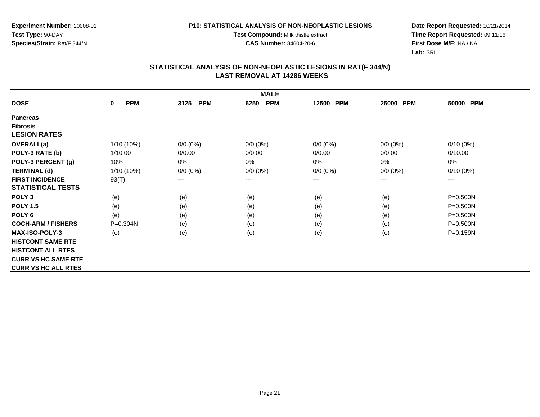**Experiment Number:** 20008-01**Test Type:** 90-DAY**Species/Strain:** Rat/F 344/N

**Test Compound:** Milk thistle extract

**CAS Number:** 84604-20-6

**Date Report Requested:** 10/21/2014 **Time Report Requested:** 09:11:16**First Dose M/F:** NA / NA**Lab:** SRI

| <b>MALE</b>                |                        |                    |                    |             |                        |              |  |  |
|----------------------------|------------------------|--------------------|--------------------|-------------|------------------------|--------------|--|--|
| <b>DOSE</b>                | <b>PPM</b><br>$\bf{0}$ | <b>PPM</b><br>3125 | <b>PPM</b><br>6250 | 12500 PPM   | 25000<br><b>PPM</b>    | 50000 PPM    |  |  |
| <b>Pancreas</b>            |                        |                    |                    |             |                        |              |  |  |
| <b>Fibrosis</b>            |                        |                    |                    |             |                        |              |  |  |
| <b>LESION RATES</b>        |                        |                    |                    |             |                        |              |  |  |
| OVERALL(a)                 | 1/10 (10%)             | $0/0 (0\%)$        | $0/0 (0\%)$        | $0/0 (0\%)$ | $0/0 (0\%)$            | $0/10(0\%)$  |  |  |
| POLY-3 RATE (b)            | 1/10.00                | 0/0.00             | 0/0.00             | 0/0.00      | 0/0.00                 | 0/10.00      |  |  |
| POLY-3 PERCENT (g)         | 10%                    | 0%                 | 0%                 | 0%          | 0%                     | 0%           |  |  |
| <b>TERMINAL (d)</b>        | $1/10(10\%)$           | $0/0 (0\%)$        | $0/0 (0\%)$        | $0/0 (0\%)$ | $0/0 (0\%)$            | $0/10(0\%)$  |  |  |
| <b>FIRST INCIDENCE</b>     | 93(T)                  | ---                | $---$              | ---         | $\qquad \qquad \cdots$ | ---          |  |  |
| <b>STATISTICAL TESTS</b>   |                        |                    |                    |             |                        |              |  |  |
| POLY <sub>3</sub>          | (e)                    | (e)                | (e)                | (e)         | (e)                    | $P = 0.500N$ |  |  |
| <b>POLY 1.5</b>            | (e)                    | (e)                | (e)                | (e)         | (e)                    | $P = 0.500N$ |  |  |
| POLY 6                     | (e)                    | (e)                | (e)                | (e)         | (e)                    | $P = 0.500N$ |  |  |
| <b>COCH-ARM / FISHERS</b>  | P=0.304N               | (e)                | (e)                | (e)         | (e)                    | $P = 0.500N$ |  |  |
| <b>MAX-ISO-POLY-3</b>      | (e)                    | (e)                | (e)                | (e)         | (e)                    | P=0.159N     |  |  |
| <b>HISTCONT SAME RTE</b>   |                        |                    |                    |             |                        |              |  |  |
| <b>HISTCONT ALL RTES</b>   |                        |                    |                    |             |                        |              |  |  |
| <b>CURR VS HC SAME RTE</b> |                        |                    |                    |             |                        |              |  |  |
| <b>CURR VS HC ALL RTES</b> |                        |                    |                    |             |                        |              |  |  |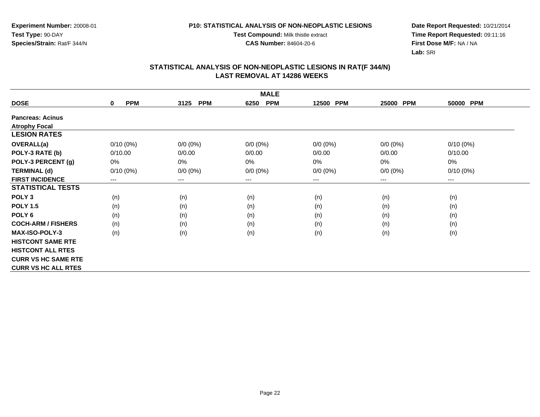**Test Compound:** Milk thistle extract

**CAS Number:** 84604-20-6

**Date Report Requested:** 10/21/2014 **Time Report Requested:** 09:11:16**First Dose M/F:** NA / NA**Lab:** SRI

| <b>MALE</b>                |                           |                    |                    |             |                        |                        |  |  |
|----------------------------|---------------------------|--------------------|--------------------|-------------|------------------------|------------------------|--|--|
| <b>DOSE</b>                | <b>PPM</b><br>$\mathbf 0$ | <b>PPM</b><br>3125 | <b>PPM</b><br>6250 | 12500 PPM   | 25000<br><b>PPM</b>    | 50000 PPM              |  |  |
| <b>Pancreas: Acinus</b>    |                           |                    |                    |             |                        |                        |  |  |
| <b>Atrophy Focal</b>       |                           |                    |                    |             |                        |                        |  |  |
| <b>LESION RATES</b>        |                           |                    |                    |             |                        |                        |  |  |
| <b>OVERALL(a)</b>          | $0/10(0\%)$               | $0/0 (0\%)$        | $0/0 (0\%)$        | $0/0 (0\%)$ | $0/0 (0\%)$            | $0/10(0\%)$            |  |  |
| POLY-3 RATE (b)            | 0/10.00                   | 0/0.00             | 0/0.00             | 0/0.00      | 0/0.00                 | 0/10.00                |  |  |
| POLY-3 PERCENT (g)         | 0%                        | 0%                 | 0%                 | 0%          | 0%                     | 0%                     |  |  |
| <b>TERMINAL (d)</b>        | $0/10(0\%)$               | $0/0 (0\%)$        | $0/0 (0\%)$        | $0/0 (0\%)$ | $0/0 (0\%)$            | $0/10(0\%)$            |  |  |
| <b>FIRST INCIDENCE</b>     | $---$                     | ---                | $--$               | ---         | $\qquad \qquad \cdots$ | $\qquad \qquad \cdots$ |  |  |
| <b>STATISTICAL TESTS</b>   |                           |                    |                    |             |                        |                        |  |  |
| POLY <sub>3</sub>          | (n)                       | (n)                | (n)                | (n)         | (n)                    | (n)                    |  |  |
| <b>POLY 1.5</b>            | (n)                       | (n)                | (n)                | (n)         | (n)                    | (n)                    |  |  |
| POLY 6                     | (n)                       | (n)                | (n)                | (n)         | (n)                    | (n)                    |  |  |
| <b>COCH-ARM / FISHERS</b>  | (n)                       | (n)                | (n)                | (n)         | (n)                    | (n)                    |  |  |
| <b>MAX-ISO-POLY-3</b>      | (n)                       | (n)                | (n)                | (n)         | (n)                    | (n)                    |  |  |
| <b>HISTCONT SAME RTE</b>   |                           |                    |                    |             |                        |                        |  |  |
| <b>HISTCONT ALL RTES</b>   |                           |                    |                    |             |                        |                        |  |  |
| <b>CURR VS HC SAME RTE</b> |                           |                    |                    |             |                        |                        |  |  |
| <b>CURR VS HC ALL RTES</b> |                           |                    |                    |             |                        |                        |  |  |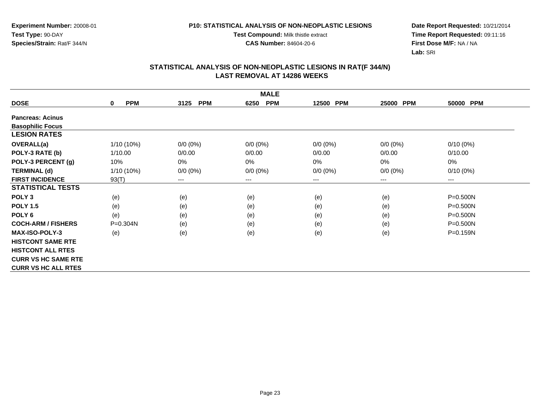**Experiment Number:** 20008-01**Test Type:** 90-DAY**Species/Strain:** Rat/F 344/N

**Test Compound:** Milk thistle extract

**CAS Number:** 84604-20-6

**Date Report Requested:** 10/21/2014 **Time Report Requested:** 09:11:16**First Dose M/F:** NA / NA**Lab:** SRI

| <b>MALE</b>                |                            |                        |                    |             |                     |                        |  |  |
|----------------------------|----------------------------|------------------------|--------------------|-------------|---------------------|------------------------|--|--|
| <b>DOSE</b>                | <b>PPM</b><br>$\mathbf{0}$ | <b>PPM</b><br>3125     | <b>PPM</b><br>6250 | 12500 PPM   | <b>PPM</b><br>25000 | 50000 PPM              |  |  |
| <b>Pancreas: Acinus</b>    |                            |                        |                    |             |                     |                        |  |  |
| <b>Basophilic Focus</b>    |                            |                        |                    |             |                     |                        |  |  |
| <b>LESION RATES</b>        |                            |                        |                    |             |                     |                        |  |  |
| <b>OVERALL(a)</b>          | 1/10 (10%)                 | $0/0 (0\%)$            | $0/0 (0\%)$        | $0/0 (0\%)$ | $0/0 (0\%)$         | $0/10(0\%)$            |  |  |
| POLY-3 RATE (b)            | 1/10.00                    | 0/0.00                 | 0/0.00             | 0/0.00      | 0/0.00              | 0/10.00                |  |  |
| POLY-3 PERCENT (g)         | 10%                        | $0\%$                  | $0\%$              | $0\%$       | 0%                  | $0\%$                  |  |  |
| <b>TERMINAL (d)</b>        | 1/10 (10%)                 | $0/0 (0\%)$            | $0/0 (0\%)$        | $0/0 (0\%)$ | $0/0 (0\%)$         | $0/10(0\%)$            |  |  |
| <b>FIRST INCIDENCE</b>     | 93(T)                      | $\qquad \qquad \cdots$ | ---                | ---         | ---                 | $\qquad \qquad \cdots$ |  |  |
| <b>STATISTICAL TESTS</b>   |                            |                        |                    |             |                     |                        |  |  |
| POLY <sub>3</sub>          | (e)                        | (e)                    | (e)                | (e)         | (e)                 | $P = 0.500N$           |  |  |
| <b>POLY 1.5</b>            | (e)                        | (e)                    | (e)                | (e)         | (e)                 | $P = 0.500N$           |  |  |
| POLY <sub>6</sub>          | (e)                        | (e)                    | (e)                | (e)         | (e)                 | P=0.500N               |  |  |
| <b>COCH-ARM / FISHERS</b>  | P=0.304N                   | (e)                    | (e)                | (e)         | (e)                 | $P = 0.500N$           |  |  |
| <b>MAX-ISO-POLY-3</b>      | (e)                        | (e)                    | (e)                | (e)         | (e)                 | P=0.159N               |  |  |
| <b>HISTCONT SAME RTE</b>   |                            |                        |                    |             |                     |                        |  |  |
| <b>HISTCONT ALL RTES</b>   |                            |                        |                    |             |                     |                        |  |  |
| <b>CURR VS HC SAME RTE</b> |                            |                        |                    |             |                     |                        |  |  |
| <b>CURR VS HC ALL RTES</b> |                            |                        |                    |             |                     |                        |  |  |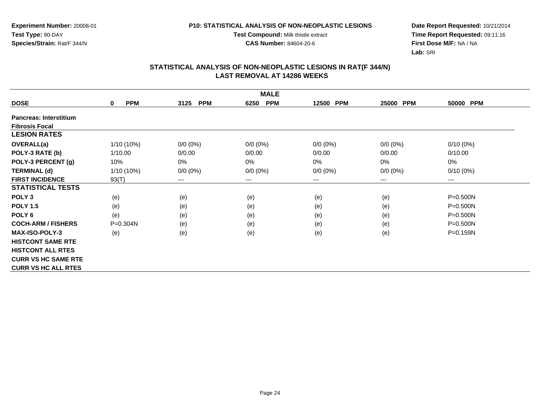**Test Compound:** Milk thistle extract

**CAS Number:** 84604-20-6

**Date Report Requested:** 10/21/2014 **Time Report Requested:** 09:11:16**First Dose M/F:** NA / NA**Lab:** SRI

|                               | <b>MALE</b>            |                                          |                    |             |             |                        |  |  |  |
|-------------------------------|------------------------|------------------------------------------|--------------------|-------------|-------------|------------------------|--|--|--|
| <b>DOSE</b>                   | <b>PPM</b><br>$\bf{0}$ | <b>PPM</b><br>3125                       | <b>PPM</b><br>6250 | 12500 PPM   | 25000 PPM   | 50000 PPM              |  |  |  |
| <b>Pancreas: Interstitium</b> |                        |                                          |                    |             |             |                        |  |  |  |
| <b>Fibrosis Focal</b>         |                        |                                          |                    |             |             |                        |  |  |  |
| <b>LESION RATES</b>           |                        |                                          |                    |             |             |                        |  |  |  |
| OVERALL(a)                    | 1/10 (10%)             | $0/0 (0\%)$                              | $0/0 (0\%)$        | $0/0 (0\%)$ | $0/0 (0\%)$ | $0/10(0\%)$            |  |  |  |
| POLY-3 RATE (b)               | 1/10.00                | 0/0.00                                   | 0/0.00             | 0/0.00      | 0/0.00      | 0/10.00                |  |  |  |
| POLY-3 PERCENT (g)            | 10%                    | 0%                                       | 0%                 | 0%          | $0\%$       | 0%                     |  |  |  |
| <b>TERMINAL (d)</b>           | 1/10 (10%)             | $0/0 (0\%)$                              | $0/0 (0\%)$        | $0/0 (0\%)$ | $0/0 (0\%)$ | $0/10(0\%)$            |  |  |  |
| <b>FIRST INCIDENCE</b>        | 93(T)                  | $\hspace{0.05cm} \ldots \hspace{0.05cm}$ | $--$               | ---         | $---$       | $\qquad \qquad \cdots$ |  |  |  |
| <b>STATISTICAL TESTS</b>      |                        |                                          |                    |             |             |                        |  |  |  |
| POLY <sub>3</sub>             | (e)                    | (e)                                      | (e)                | (e)         | (e)         | $P = 0.500N$           |  |  |  |
| <b>POLY 1.5</b>               | (e)                    | (e)                                      | (e)                | (e)         | (e)         | $P = 0.500N$           |  |  |  |
| POLY <sub>6</sub>             | (e)                    | (e)                                      | (e)                | (e)         | (e)         | $P = 0.500N$           |  |  |  |
| <b>COCH-ARM / FISHERS</b>     | $P = 0.304N$           | (e)                                      | (e)                | (e)         | (e)         | $P = 0.500N$           |  |  |  |
| <b>MAX-ISO-POLY-3</b>         | (e)                    | (e)                                      | (e)                | (e)         | (e)         | P=0.159N               |  |  |  |
| <b>HISTCONT SAME RTE</b>      |                        |                                          |                    |             |             |                        |  |  |  |
| <b>HISTCONT ALL RTES</b>      |                        |                                          |                    |             |             |                        |  |  |  |
| <b>CURR VS HC SAME RTE</b>    |                        |                                          |                    |             |             |                        |  |  |  |
| <b>CURR VS HC ALL RTES</b>    |                        |                                          |                    |             |             |                        |  |  |  |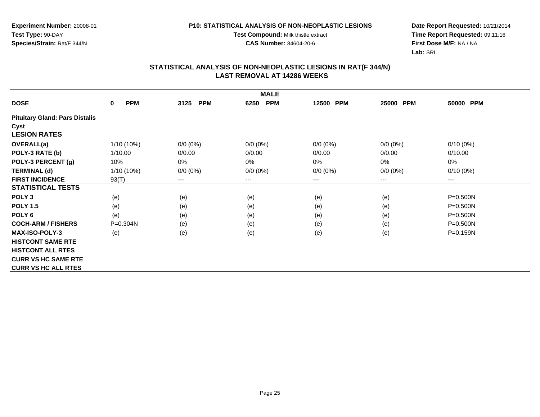**Test Compound:** Milk thistle extract

**CAS Number:** 84604-20-6

**Date Report Requested:** 10/21/2014 **Time Report Requested:** 09:11:16**First Dose M/F:** NA / NA**Lab:** SRI

| <b>MALE</b>                           |                           |                    |                    |                     |             |                        |  |
|---------------------------------------|---------------------------|--------------------|--------------------|---------------------|-------------|------------------------|--|
| <b>DOSE</b>                           | <b>PPM</b><br>$\mathbf 0$ | <b>PPM</b><br>3125 | <b>PPM</b><br>6250 | <b>PPM</b><br>12500 | 25000 PPM   | 50000 PPM              |  |
| <b>Pituitary Gland: Pars Distalis</b> |                           |                    |                    |                     |             |                        |  |
| Cyst                                  |                           |                    |                    |                     |             |                        |  |
| <b>LESION RATES</b>                   |                           |                    |                    |                     |             |                        |  |
| <b>OVERALL(a)</b>                     | $1/10(10\%)$              | $0/0 (0\%)$        | $0/0 (0\%)$        | $0/0 (0\%)$         | $0/0 (0\%)$ | $0/10(0\%)$            |  |
| POLY-3 RATE (b)                       | 1/10.00                   | 0/0.00             | 0/0.00             | 0/0.00              | 0/0.00      | 0/10.00                |  |
| POLY-3 PERCENT (g)                    | 10%                       | 0%                 | 0%                 | 0%                  | $0\%$       | 0%                     |  |
| <b>TERMINAL (d)</b>                   | $1/10(10\%)$              | $0/0 (0\%)$        | $0/0 (0\%)$        | $0/0 (0\%)$         | $0/0 (0\%)$ | $0/10(0\%)$            |  |
| <b>FIRST INCIDENCE</b>                | 93(T)                     | $---$              | ---                | $---$               | $---$       | $\qquad \qquad \cdots$ |  |
| <b>STATISTICAL TESTS</b>              |                           |                    |                    |                     |             |                        |  |
| POLY <sub>3</sub>                     | (e)                       | (e)                | (e)                | (e)                 | (e)         | P=0.500N               |  |
| <b>POLY 1.5</b>                       | (e)                       | (e)                | (e)                | (e)                 | (e)         | P=0.500N               |  |
| POLY <sub>6</sub>                     | (e)                       | (e)                | (e)                | (e)                 | (e)         | P=0.500N               |  |
| <b>COCH-ARM / FISHERS</b>             | $P = 0.304N$              | (e)                | (e)                | (e)                 | (e)         | P=0.500N               |  |
| <b>MAX-ISO-POLY-3</b>                 | (e)                       | (e)                | (e)                | (e)                 | (e)         | $P = 0.159N$           |  |
| <b>HISTCONT SAME RTE</b>              |                           |                    |                    |                     |             |                        |  |
| <b>HISTCONT ALL RTES</b>              |                           |                    |                    |                     |             |                        |  |
| <b>CURR VS HC SAME RTE</b>            |                           |                    |                    |                     |             |                        |  |
| <b>CURR VS HC ALL RTES</b>            |                           |                    |                    |                     |             |                        |  |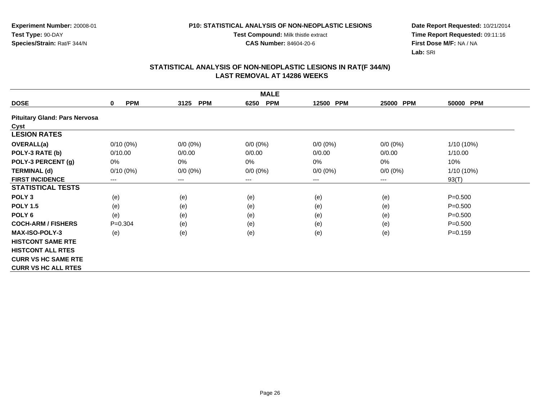**Test Compound:** Milk thistle extract

**CAS Number:** 84604-20-6

**Date Report Requested:** 10/21/2014 **Time Report Requested:** 09:11:16**First Dose M/F:** NA / NA**Lab:** SRI

| <b>MALE</b>                          |                        |                    |                    |                     |                     |             |  |
|--------------------------------------|------------------------|--------------------|--------------------|---------------------|---------------------|-------------|--|
| <b>DOSE</b>                          | <b>PPM</b><br>0        | <b>PPM</b><br>3125 | <b>PPM</b><br>6250 | <b>PPM</b><br>12500 | <b>PPM</b><br>25000 | 50000 PPM   |  |
| <b>Pituitary Gland: Pars Nervosa</b> |                        |                    |                    |                     |                     |             |  |
| Cyst                                 |                        |                    |                    |                     |                     |             |  |
| <b>LESION RATES</b>                  |                        |                    |                    |                     |                     |             |  |
| <b>OVERALL(a)</b>                    | $0/10(0\%)$            | $0/0 (0\%)$        | $0/0 (0\%)$        | $0/0 (0\%)$         | $0/0 (0\%)$         | 1/10 (10%)  |  |
| POLY-3 RATE (b)                      | 0/10.00                | 0/0.00             | 0/0.00             | 0/0.00              | 0/0.00              | 1/10.00     |  |
| POLY-3 PERCENT (g)                   | 0%                     | 0%                 | 0%                 | 0%                  | 0%                  | 10%         |  |
| <b>TERMINAL (d)</b>                  | $0/10(0\%)$            | $0/0 (0\%)$        | $0/0 (0\%)$        | $0/0 (0\%)$         | $0/0 (0\%)$         | 1/10 (10%)  |  |
| <b>FIRST INCIDENCE</b>               | $\qquad \qquad \cdots$ | $---$              | ---                | ---                 | $---$               | 93(T)       |  |
| <b>STATISTICAL TESTS</b>             |                        |                    |                    |                     |                     |             |  |
| POLY <sub>3</sub>                    | (e)                    | (e)                | (e)                | (e)                 | (e)                 | $P = 0.500$ |  |
| <b>POLY 1.5</b>                      | (e)                    | (e)                | (e)                | (e)                 | (e)                 | $P = 0.500$ |  |
| POLY <sub>6</sub>                    | (e)                    | (e)                | (e)                | (e)                 | (e)                 | $P = 0.500$ |  |
| <b>COCH-ARM / FISHERS</b>            | $P=0.304$              | (e)                | (e)                | (e)                 | (e)                 | $P = 0.500$ |  |
| <b>MAX-ISO-POLY-3</b>                | (e)                    | (e)                | (e)                | (e)                 | (e)                 | $P = 0.159$ |  |
| <b>HISTCONT SAME RTE</b>             |                        |                    |                    |                     |                     |             |  |
| <b>HISTCONT ALL RTES</b>             |                        |                    |                    |                     |                     |             |  |
| <b>CURR VS HC SAME RTE</b>           |                        |                    |                    |                     |                     |             |  |
| <b>CURR VS HC ALL RTES</b>           |                        |                    |                    |                     |                     |             |  |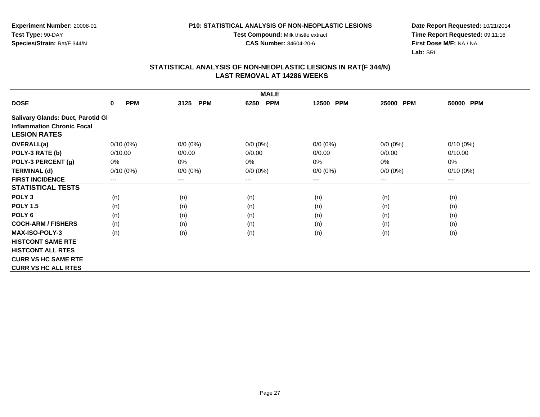**Test Compound:** Milk thistle extract

**CAS Number:** 84604-20-6

**Date Report Requested:** 10/21/2014 **Time Report Requested:** 09:11:16**First Dose M/F:** NA / NA**Lab:** SRI

|                                   | <b>MALE</b>            |                    |                    |                     |                     |             |  |  |  |
|-----------------------------------|------------------------|--------------------|--------------------|---------------------|---------------------|-------------|--|--|--|
| <b>DOSE</b>                       | <b>PPM</b><br>0        | <b>PPM</b><br>3125 | <b>PPM</b><br>6250 | <b>PPM</b><br>12500 | <b>PPM</b><br>25000 | 50000 PPM   |  |  |  |
| Salivary Glands: Duct, Parotid Gl |                        |                    |                    |                     |                     |             |  |  |  |
| <b>Inflammation Chronic Focal</b> |                        |                    |                    |                     |                     |             |  |  |  |
| <b>LESION RATES</b>               |                        |                    |                    |                     |                     |             |  |  |  |
| <b>OVERALL(a)</b>                 | $0/10(0\%)$            | $0/0 (0\%)$        | $0/0 (0\%)$        | $0/0 (0\%)$         | $0/0 (0\%)$         | $0/10(0\%)$ |  |  |  |
| POLY-3 RATE (b)                   | 0/10.00                | 0/0.00             | 0/0.00             | 0/0.00              | 0/0.00              | 0/10.00     |  |  |  |
| POLY-3 PERCENT (g)                | 0%                     | 0%                 | 0%                 | 0%                  | $0\%$               | 0%          |  |  |  |
| <b>TERMINAL (d)</b>               | $0/10(0\%)$            | $0/0 (0\%)$        | $0/0 (0\%)$        | $0/0 (0\%)$         | $0/0 (0\%)$         | $0/10(0\%)$ |  |  |  |
| <b>FIRST INCIDENCE</b>            | $\qquad \qquad \cdots$ | $---$              | $--$               | ---                 | ---                 | ---         |  |  |  |
| <b>STATISTICAL TESTS</b>          |                        |                    |                    |                     |                     |             |  |  |  |
| POLY <sub>3</sub>                 | (n)                    | (n)                | (n)                | (n)                 | (n)                 | (n)         |  |  |  |
| <b>POLY 1.5</b>                   | (n)                    | (n)                | (n)                | (n)                 | (n)                 | (n)         |  |  |  |
| POLY <sub>6</sub>                 | (n)                    | (n)                | (n)                | (n)                 | (n)                 | (n)         |  |  |  |
| <b>COCH-ARM / FISHERS</b>         | (n)                    | (n)                | (n)                | (n)                 | (n)                 | (n)         |  |  |  |
| <b>MAX-ISO-POLY-3</b>             | (n)                    | (n)                | (n)                | (n)                 | (n)                 | (n)         |  |  |  |
| <b>HISTCONT SAME RTE</b>          |                        |                    |                    |                     |                     |             |  |  |  |
| <b>HISTCONT ALL RTES</b>          |                        |                    |                    |                     |                     |             |  |  |  |
| <b>CURR VS HC SAME RTE</b>        |                        |                    |                    |                     |                     |             |  |  |  |
| <b>CURR VS HC ALL RTES</b>        |                        |                    |                    |                     |                     |             |  |  |  |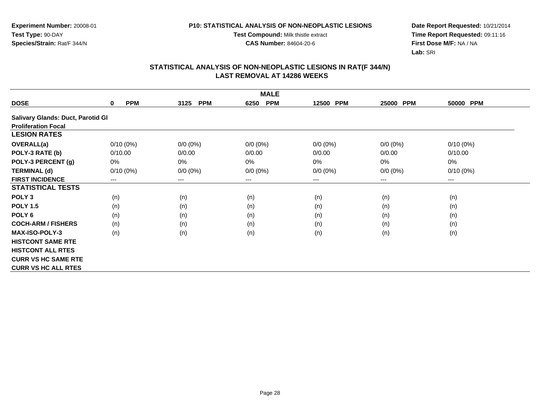**Test Compound:** Milk thistle extract

**CAS Number:** 84604-20-6

**Date Report Requested:** 10/21/2014 **Time Report Requested:** 09:11:16**First Dose M/F:** NA / NA**Lab:** SRI

|                                   | <b>MALE</b>               |                        |                    |                     |                        |             |  |  |  |
|-----------------------------------|---------------------------|------------------------|--------------------|---------------------|------------------------|-------------|--|--|--|
| <b>DOSE</b>                       | <b>PPM</b><br>$\mathbf 0$ | 3125<br><b>PPM</b>     | <b>PPM</b><br>6250 | <b>PPM</b><br>12500 | <b>PPM</b><br>25000    | 50000 PPM   |  |  |  |
| Salivary Glands: Duct, Parotid Gl |                           |                        |                    |                     |                        |             |  |  |  |
| <b>Proliferation Focal</b>        |                           |                        |                    |                     |                        |             |  |  |  |
| <b>LESION RATES</b>               |                           |                        |                    |                     |                        |             |  |  |  |
| OVERALL(a)                        | $0/10(0\%)$               | $0/0 (0\%)$            | $0/0 (0\%)$        | $0/0 (0\%)$         | $0/0 (0\%)$            | $0/10(0\%)$ |  |  |  |
| POLY-3 RATE (b)                   | 0/10.00                   | 0/0.00                 | 0/0.00             | 0/0.00              | 0/0.00                 | 0/10.00     |  |  |  |
| POLY-3 PERCENT (g)                | 0%                        | 0%                     | 0%                 | 0%                  | 0%                     | 0%          |  |  |  |
| <b>TERMINAL (d)</b>               | $0/10(0\%)$               | $0/0 (0\%)$            | $0/0 (0\%)$        | $0/0 (0\%)$         | $0/0 (0\%)$            | $0/10(0\%)$ |  |  |  |
| <b>FIRST INCIDENCE</b>            | ---                       | $\qquad \qquad \cdots$ | ---                | ---                 | $\qquad \qquad \cdots$ | ---         |  |  |  |
| <b>STATISTICAL TESTS</b>          |                           |                        |                    |                     |                        |             |  |  |  |
| POLY <sub>3</sub>                 | (n)                       | (n)                    | (n)                | (n)                 | (n)                    | (n)         |  |  |  |
| <b>POLY 1.5</b>                   | (n)                       | (n)                    | (n)                | (n)                 | (n)                    | (n)         |  |  |  |
| POLY <sub>6</sub>                 | (n)                       | (n)                    | (n)                | (n)                 | (n)                    | (n)         |  |  |  |
| <b>COCH-ARM / FISHERS</b>         | (n)                       | (n)                    | (n)                | (n)                 | (n)                    | (n)         |  |  |  |
| <b>MAX-ISO-POLY-3</b>             | (n)                       | (n)                    | (n)                | (n)                 | (n)                    | (n)         |  |  |  |
| <b>HISTCONT SAME RTE</b>          |                           |                        |                    |                     |                        |             |  |  |  |
| <b>HISTCONT ALL RTES</b>          |                           |                        |                    |                     |                        |             |  |  |  |
| <b>CURR VS HC SAME RTE</b>        |                           |                        |                    |                     |                        |             |  |  |  |
| <b>CURR VS HC ALL RTES</b>        |                           |                        |                    |                     |                        |             |  |  |  |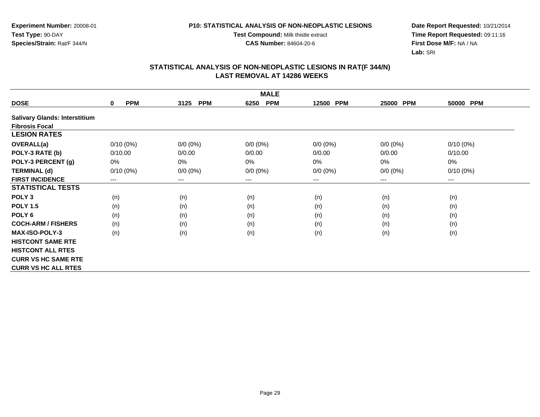**Test Compound:** Milk thistle extract

**CAS Number:** 84604-20-6

**Date Report Requested:** 10/21/2014 **Time Report Requested:** 09:11:16**First Dose M/F:** NA / NA**Lab:** SRI

|                                      | <b>MALE</b>            |                    |                    |                     |             |             |  |  |  |
|--------------------------------------|------------------------|--------------------|--------------------|---------------------|-------------|-------------|--|--|--|
| <b>DOSE</b>                          | <b>PPM</b><br>0        | <b>PPM</b><br>3125 | <b>PPM</b><br>6250 | <b>PPM</b><br>12500 | 25000 PPM   | 50000 PPM   |  |  |  |
| <b>Salivary Glands: Interstitium</b> |                        |                    |                    |                     |             |             |  |  |  |
| <b>Fibrosis Focal</b>                |                        |                    |                    |                     |             |             |  |  |  |
| <b>LESION RATES</b>                  |                        |                    |                    |                     |             |             |  |  |  |
| <b>OVERALL(a)</b>                    | $0/10(0\%)$            | $0/0 (0\%)$        | $0/0 (0\%)$        | $0/0 (0\%)$         | $0/0 (0\%)$ | $0/10(0\%)$ |  |  |  |
| POLY-3 RATE (b)                      | 0/10.00                | 0/0.00             | 0/0.00             | 0/0.00              | 0/0.00      | 0/10.00     |  |  |  |
| POLY-3 PERCENT (g)                   | 0%                     | 0%                 | 0%                 | 0%                  | 0%          | 0%          |  |  |  |
| <b>TERMINAL (d)</b>                  | $0/10(0\%)$            | $0/0 (0\%)$        | $0/0 (0\%)$        | $0/0 (0\%)$         | $0/0 (0\%)$ | $0/10(0\%)$ |  |  |  |
| <b>FIRST INCIDENCE</b>               | $\qquad \qquad \cdots$ | $---$              | ---                | $---$               | $---$       | $--$        |  |  |  |
| <b>STATISTICAL TESTS</b>             |                        |                    |                    |                     |             |             |  |  |  |
| POLY <sub>3</sub>                    | (n)                    | (n)                | (n)                | (n)                 | (n)         | (n)         |  |  |  |
| <b>POLY 1.5</b>                      | (n)                    | (n)                | (n)                | (n)                 | (n)         | (n)         |  |  |  |
| POLY <sub>6</sub>                    | (n)                    | (n)                | (n)                | (n)                 | (n)         | (n)         |  |  |  |
| <b>COCH-ARM / FISHERS</b>            | (n)                    | (n)                | (n)                | (n)                 | (n)         | (n)         |  |  |  |
| <b>MAX-ISO-POLY-3</b>                | (n)                    | (n)                | (n)                | (n)                 | (n)         | (n)         |  |  |  |
| <b>HISTCONT SAME RTE</b>             |                        |                    |                    |                     |             |             |  |  |  |
| <b>HISTCONT ALL RTES</b>             |                        |                    |                    |                     |             |             |  |  |  |
| <b>CURR VS HC SAME RTE</b>           |                        |                    |                    |                     |             |             |  |  |  |
| <b>CURR VS HC ALL RTES</b>           |                        |                    |                    |                     |             |             |  |  |  |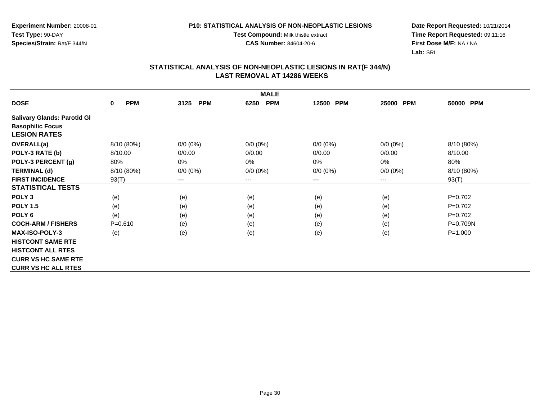**Test Compound:** Milk thistle extract

**CAS Number:** 84604-20-6

**Date Report Requested:** 10/21/2014 **Time Report Requested:** 09:11:16**First Dose M/F:** NA / NA**Lab:** SRI

| <b>MALE</b>                        |                        |                    |                    |                     |                     |              |  |  |
|------------------------------------|------------------------|--------------------|--------------------|---------------------|---------------------|--------------|--|--|
| <b>DOSE</b>                        | <b>PPM</b><br>$\bf{0}$ | <b>PPM</b><br>3125 | <b>PPM</b><br>6250 | 12500<br><b>PPM</b> | <b>PPM</b><br>25000 | 50000 PPM    |  |  |
| <b>Salivary Glands: Parotid Gl</b> |                        |                    |                    |                     |                     |              |  |  |
| <b>Basophilic Focus</b>            |                        |                    |                    |                     |                     |              |  |  |
| <b>LESION RATES</b>                |                        |                    |                    |                     |                     |              |  |  |
| OVERALL(a)                         | 8/10 (80%)             | $0/0 (0\%)$        | $0/0 (0\%)$        | $0/0 (0\%)$         | $0/0 (0\%)$         | 8/10 (80%)   |  |  |
| POLY-3 RATE (b)                    | 8/10.00                | 0/0.00             | 0/0.00             | 0/0.00              | 0/0.00              | 8/10.00      |  |  |
| POLY-3 PERCENT (g)                 | 80%                    | 0%                 | 0%                 | $0\%$               | 0%                  | 80%          |  |  |
| <b>TERMINAL (d)</b>                | 8/10 (80%)             | $0/0 (0\%)$        | $0/0 (0\%)$        | $0/0 (0\%)$         | $0/0 (0\%)$         | 8/10 (80%)   |  |  |
| <b>FIRST INCIDENCE</b>             | 93(T)                  | $---$              | ---                | ---                 | ---                 | 93(T)        |  |  |
| <b>STATISTICAL TESTS</b>           |                        |                    |                    |                     |                     |              |  |  |
| POLY <sub>3</sub>                  | (e)                    | (e)                | (e)                | (e)                 | (e)                 | $P=0.702$    |  |  |
| <b>POLY 1.5</b>                    | (e)                    | (e)                | (e)                | (e)                 | (e)                 | $P=0.702$    |  |  |
| POLY <sub>6</sub>                  | (e)                    | (e)                | (e)                | (e)                 | (e)                 | $P=0.702$    |  |  |
| <b>COCH-ARM / FISHERS</b>          | $P = 0.610$            | (e)                | (e)                | (e)                 | (e)                 | $P = 0.709N$ |  |  |
| <b>MAX-ISO-POLY-3</b>              | (e)                    | (e)                | (e)                | (e)                 | (e)                 | $P = 1.000$  |  |  |
| <b>HISTCONT SAME RTE</b>           |                        |                    |                    |                     |                     |              |  |  |
| <b>HISTCONT ALL RTES</b>           |                        |                    |                    |                     |                     |              |  |  |
| <b>CURR VS HC SAME RTE</b>         |                        |                    |                    |                     |                     |              |  |  |
| <b>CURR VS HC ALL RTES</b>         |                        |                    |                    |                     |                     |              |  |  |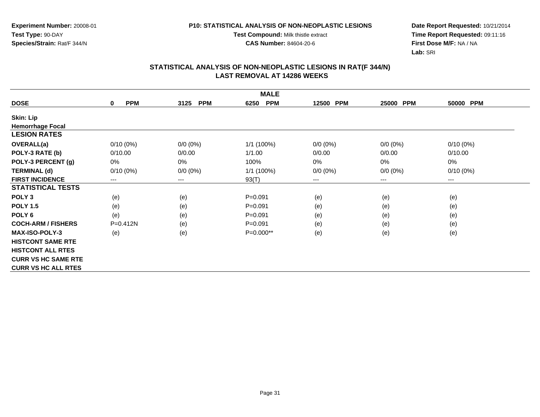**Test Compound:** Milk thistle extract

**CAS Number:** 84604-20-6

**Date Report Requested:** 10/21/2014 **Time Report Requested:** 09:11:16**First Dose M/F:** NA / NA**Lab:** SRI

| <b>MALE</b>                |                        |                        |                    |             |             |             |  |
|----------------------------|------------------------|------------------------|--------------------|-------------|-------------|-------------|--|
| <b>DOSE</b>                | <b>PPM</b><br>$\bf{0}$ | <b>PPM</b><br>3125     | <b>PPM</b><br>6250 | 12500 PPM   | 25000 PPM   | 50000 PPM   |  |
| <b>Skin: Lip</b>           |                        |                        |                    |             |             |             |  |
| <b>Hemorrhage Focal</b>    |                        |                        |                    |             |             |             |  |
| <b>LESION RATES</b>        |                        |                        |                    |             |             |             |  |
| <b>OVERALL(a)</b>          | $0/10(0\%)$            | $0/0 (0\%)$            | 1/1 (100%)         | $0/0 (0\%)$ | $0/0 (0\%)$ | $0/10(0\%)$ |  |
| POLY-3 RATE (b)            | 0/10.00                | 0/0.00                 | 1/1.00             | 0/0.00      | 0/0.00      | 0/10.00     |  |
| POLY-3 PERCENT (g)         | 0%                     | 0%                     | 100%               | 0%          | 0%          | 0%          |  |
| <b>TERMINAL (d)</b>        | $0/10(0\%)$            | $0/0 (0\%)$            | 1/1 (100%)         | $0/0 (0\%)$ | $0/0 (0\%)$ | $0/10(0\%)$ |  |
| <b>FIRST INCIDENCE</b>     | $---$                  | $\qquad \qquad \cdots$ | 93(T)              | ---         | $---$       | ---         |  |
| <b>STATISTICAL TESTS</b>   |                        |                        |                    |             |             |             |  |
| POLY <sub>3</sub>          | (e)                    | (e)                    | $P = 0.091$        | (e)         | (e)         | (e)         |  |
| <b>POLY 1.5</b>            | (e)                    | (e)                    | $P = 0.091$        | (e)         | (e)         | (e)         |  |
| POLY <sub>6</sub>          | (e)                    | (e)                    | $P = 0.091$        | (e)         | (e)         | (e)         |  |
| <b>COCH-ARM / FISHERS</b>  | P=0.412N               | (e)                    | $P = 0.091$        | (e)         | (e)         | (e)         |  |
| <b>MAX-ISO-POLY-3</b>      | (e)                    | (e)                    | P=0.000**          | (e)         | (e)         | (e)         |  |
| <b>HISTCONT SAME RTE</b>   |                        |                        |                    |             |             |             |  |
| <b>HISTCONT ALL RTES</b>   |                        |                        |                    |             |             |             |  |
| <b>CURR VS HC SAME RTE</b> |                        |                        |                    |             |             |             |  |
| <b>CURR VS HC ALL RTES</b> |                        |                        |                    |             |             |             |  |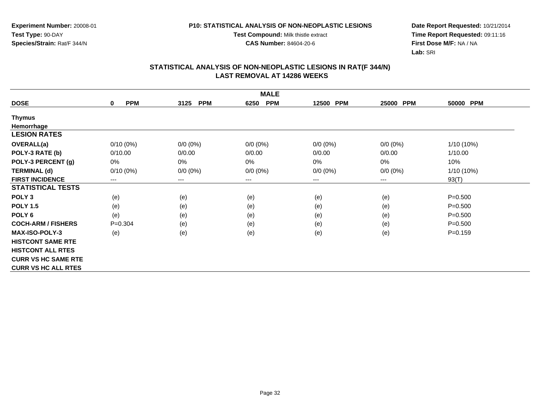**Experiment Number:** 20008-01**Test Type:** 90-DAY**Species/Strain:** Rat/F 344/N

**Test Compound:** Milk thistle extract

**CAS Number:** 84604-20-6

**Date Report Requested:** 10/21/2014 **Time Report Requested:** 09:11:16**First Dose M/F:** NA / NA**Lab:** SRI

| <b>MALE</b>                |                           |                    |                    |             |             |              |  |
|----------------------------|---------------------------|--------------------|--------------------|-------------|-------------|--------------|--|
| <b>DOSE</b>                | <b>PPM</b><br>$\mathbf 0$ | <b>PPM</b><br>3125 | <b>PPM</b><br>6250 | 12500 PPM   | 25000 PPM   | 50000 PPM    |  |
| Thymus                     |                           |                    |                    |             |             |              |  |
| Hemorrhage                 |                           |                    |                    |             |             |              |  |
| <b>LESION RATES</b>        |                           |                    |                    |             |             |              |  |
| <b>OVERALL(a)</b>          | $0/10(0\%)$               | $0/0 (0\%)$        | $0/0 (0\%)$        | $0/0 (0\%)$ | $0/0 (0\%)$ | $1/10(10\%)$ |  |
| POLY-3 RATE (b)            | 0/10.00                   | 0/0.00             | 0/0.00             | 0/0.00      | 0/0.00      | 1/10.00      |  |
| POLY-3 PERCENT (g)         | 0%                        | 0%                 | $0\%$              | 0%          | 0%          | 10%          |  |
| <b>TERMINAL (d)</b>        | $0/10(0\%)$               | $0/0 (0\%)$        | $0/0 (0\%)$        | $0/0 (0\%)$ | $0/0 (0\%)$ | $1/10(10\%)$ |  |
| <b>FIRST INCIDENCE</b>     | $\qquad \qquad \cdots$    | ---                | $--$               | ---         | ---         | 93(T)        |  |
| <b>STATISTICAL TESTS</b>   |                           |                    |                    |             |             |              |  |
| POLY <sub>3</sub>          | (e)                       | (e)                | (e)                | (e)         | (e)         | $P = 0.500$  |  |
| <b>POLY 1.5</b>            | (e)                       | (e)                | (e)                | (e)         | (e)         | $P = 0.500$  |  |
| POLY <sub>6</sub>          | (e)                       | (e)                | (e)                | (e)         | (e)         | $P = 0.500$  |  |
| <b>COCH-ARM / FISHERS</b>  | $P=0.304$                 | (e)                | (e)                | (e)         | (e)         | $P = 0.500$  |  |
| <b>MAX-ISO-POLY-3</b>      | (e)                       | (e)                | (e)                | (e)         | (e)         | $P = 0.159$  |  |
| <b>HISTCONT SAME RTE</b>   |                           |                    |                    |             |             |              |  |
| <b>HISTCONT ALL RTES</b>   |                           |                    |                    |             |             |              |  |
| <b>CURR VS HC SAME RTE</b> |                           |                    |                    |             |             |              |  |
| <b>CURR VS HC ALL RTES</b> |                           |                    |                    |             |             |              |  |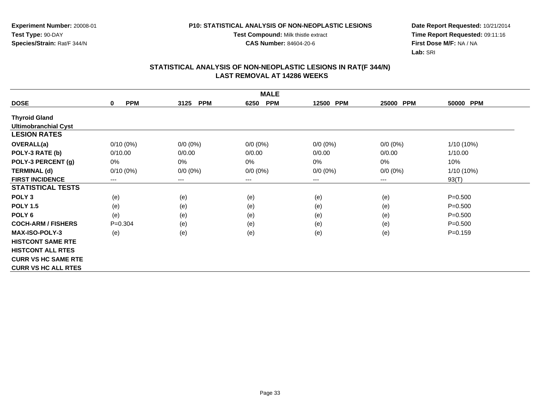**Test Compound:** Milk thistle extract

**CAS Number:** 84604-20-6

**Date Report Requested:** 10/21/2014 **Time Report Requested:** 09:11:16**First Dose M/F:** NA / NA**Lab:** SRI

|                             | <b>MALE</b>               |                    |                    |             |             |              |  |  |
|-----------------------------|---------------------------|--------------------|--------------------|-------------|-------------|--------------|--|--|
| <b>DOSE</b>                 | <b>PPM</b><br>$\mathbf 0$ | <b>PPM</b><br>3125 | <b>PPM</b><br>6250 | 12500 PPM   | 25000 PPM   | 50000 PPM    |  |  |
| <b>Thyroid Gland</b>        |                           |                    |                    |             |             |              |  |  |
| <b>Ultimobranchial Cyst</b> |                           |                    |                    |             |             |              |  |  |
| <b>LESION RATES</b>         |                           |                    |                    |             |             |              |  |  |
| <b>OVERALL(a)</b>           | $0/10(0\%)$               | $0/0 (0\%)$        | $0/0 (0\%)$        | $0/0 (0\%)$ | $0/0 (0\%)$ | $1/10(10\%)$ |  |  |
| POLY-3 RATE (b)             | 0/10.00                   | 0/0.00             | 0/0.00             | 0/0.00      | 0/0.00      | 1/10.00      |  |  |
| POLY-3 PERCENT (g)          | 0%                        | 0%                 | $0\%$              | 0%          | 0%          | 10%          |  |  |
| <b>TERMINAL (d)</b>         | $0/10(0\%)$               | $0/0 (0\%)$        | $0/0 (0\%)$        | $0/0 (0\%)$ | $0/0 (0\%)$ | $1/10(10\%)$ |  |  |
| <b>FIRST INCIDENCE</b>      | ---                       | ---                | $--$               | ---         | ---         | 93(T)        |  |  |
| <b>STATISTICAL TESTS</b>    |                           |                    |                    |             |             |              |  |  |
| POLY <sub>3</sub>           | (e)                       | (e)                | (e)                | (e)         | (e)         | $P = 0.500$  |  |  |
| <b>POLY 1.5</b>             | (e)                       | (e)                | (e)                | (e)         | (e)         | $P = 0.500$  |  |  |
| POLY <sub>6</sub>           | (e)                       | (e)                | (e)                | (e)         | (e)         | $P = 0.500$  |  |  |
| <b>COCH-ARM / FISHERS</b>   | $P=0.304$                 | (e)                | (e)                | (e)         | (e)         | $P = 0.500$  |  |  |
| <b>MAX-ISO-POLY-3</b>       | (e)                       | (e)                | (e)                | (e)         | (e)         | $P = 0.159$  |  |  |
| <b>HISTCONT SAME RTE</b>    |                           |                    |                    |             |             |              |  |  |
| <b>HISTCONT ALL RTES</b>    |                           |                    |                    |             |             |              |  |  |
| <b>CURR VS HC SAME RTE</b>  |                           |                    |                    |             |             |              |  |  |
| <b>CURR VS HC ALL RTES</b>  |                           |                    |                    |             |             |              |  |  |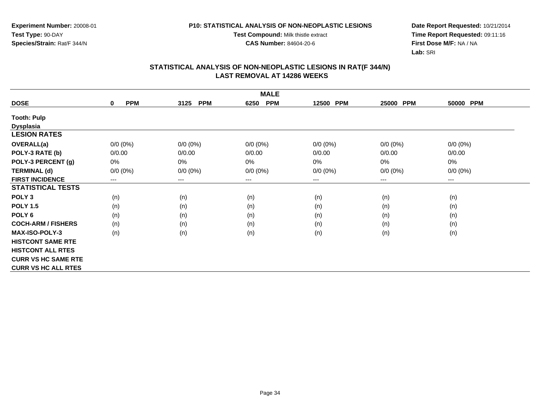**Experiment Number:** 20008-01**Test Type:** 90-DAY**Species/Strain:** Rat/F 344/N

**Test Compound:** Milk thistle extract

**CAS Number:** 84604-20-6

**Date Report Requested:** 10/21/2014 **Time Report Requested:** 09:11:16**First Dose M/F:** NA / NA**Lab:** SRI

| <b>MALE</b>                |                           |                    |                        |             |                        |                        |  |  |
|----------------------------|---------------------------|--------------------|------------------------|-------------|------------------------|------------------------|--|--|
| <b>DOSE</b>                | <b>PPM</b><br>$\mathbf 0$ | 3125<br><b>PPM</b> | <b>PPM</b><br>6250     | 12500 PPM   | <b>PPM</b><br>25000    | 50000 PPM              |  |  |
| <b>Tooth: Pulp</b>         |                           |                    |                        |             |                        |                        |  |  |
| <b>Dysplasia</b>           |                           |                    |                        |             |                        |                        |  |  |
| <b>LESION RATES</b>        |                           |                    |                        |             |                        |                        |  |  |
| <b>OVERALL(a)</b>          | $0/0 (0\%)$               | $0/0 (0\%)$        | $0/0 (0\%)$            | $0/0 (0\%)$ | $0/0 (0\%)$            | $0/0 (0\%)$            |  |  |
| POLY-3 RATE (b)            | 0/0.00                    | 0/0.00             | 0/0.00                 | 0/0.00      | 0/0.00                 | 0/0.00                 |  |  |
| POLY-3 PERCENT (g)         | 0%                        | 0%                 | 0%                     | 0%          | 0%                     | 0%                     |  |  |
| <b>TERMINAL (d)</b>        | $0/0 (0\%)$               | $0/0 (0\%)$        | $0/0 (0\%)$            | $0/0 (0\%)$ | $0/0 (0\%)$            | $0/0 (0\%)$            |  |  |
| <b>FIRST INCIDENCE</b>     | ---                       | ---                | $\qquad \qquad \cdots$ | ---         | $\qquad \qquad \cdots$ | $\qquad \qquad \cdots$ |  |  |
| <b>STATISTICAL TESTS</b>   |                           |                    |                        |             |                        |                        |  |  |
| POLY <sub>3</sub>          | (n)                       | (n)                | (n)                    | (n)         | (n)                    | (n)                    |  |  |
| <b>POLY 1.5</b>            | (n)                       | (n)                | (n)                    | (n)         | (n)                    | (n)                    |  |  |
| POLY <sub>6</sub>          | (n)                       | (n)                | (n)                    | (n)         | (n)                    | (n)                    |  |  |
| <b>COCH-ARM / FISHERS</b>  | (n)                       | (n)                | (n)                    | (n)         | (n)                    | (n)                    |  |  |
| <b>MAX-ISO-POLY-3</b>      | (n)                       | (n)                | (n)                    | (n)         | (n)                    | (n)                    |  |  |
| <b>HISTCONT SAME RTE</b>   |                           |                    |                        |             |                        |                        |  |  |
| <b>HISTCONT ALL RTES</b>   |                           |                    |                        |             |                        |                        |  |  |
| <b>CURR VS HC SAME RTE</b> |                           |                    |                        |             |                        |                        |  |  |
| <b>CURR VS HC ALL RTES</b> |                           |                    |                        |             |                        |                        |  |  |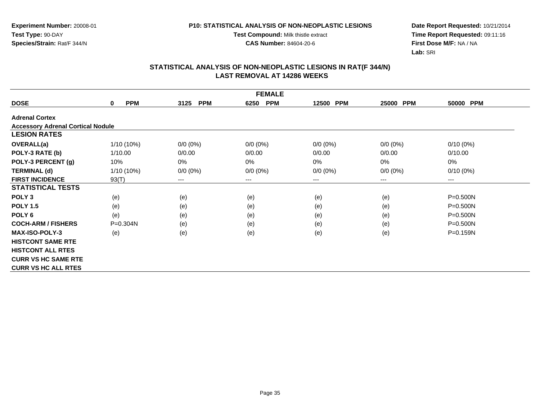**Test Compound:** Milk thistle extract

**CAS Number:** 84604-20-6

**Date Report Requested:** 10/21/2014 **Time Report Requested:** 09:11:16**First Dose M/F:** NA / NA**Lab:** SRI

|                                          | <b>FEMALE</b>             |                    |                    |                     |             |              |  |  |  |
|------------------------------------------|---------------------------|--------------------|--------------------|---------------------|-------------|--------------|--|--|--|
| <b>DOSE</b>                              | <b>PPM</b><br>$\mathbf 0$ | <b>PPM</b><br>3125 | <b>PPM</b><br>6250 | <b>PPM</b><br>12500 | 25000 PPM   | 50000 PPM    |  |  |  |
| <b>Adrenal Cortex</b>                    |                           |                    |                    |                     |             |              |  |  |  |
| <b>Accessory Adrenal Cortical Nodule</b> |                           |                    |                    |                     |             |              |  |  |  |
| <b>LESION RATES</b>                      |                           |                    |                    |                     |             |              |  |  |  |
| <b>OVERALL(a)</b>                        | 1/10 (10%)                | $0/0 (0\%)$        | $0/0 (0\%)$        | $0/0 (0\%)$         | $0/0(0\%)$  | $0/10(0\%)$  |  |  |  |
| POLY-3 RATE (b)                          | 1/10.00                   | 0/0.00             | 0/0.00             | 0/0.00              | 0/0.00      | 0/10.00      |  |  |  |
| POLY-3 PERCENT (g)                       | 10%                       | $0\%$              | 0%                 | 0%                  | $0\%$       | 0%           |  |  |  |
| <b>TERMINAL (d)</b>                      | $1/10(10\%)$              | $0/0 (0\%)$        | $0/0 (0\%)$        | $0/0 (0\%)$         | $0/0 (0\%)$ | $0/10(0\%)$  |  |  |  |
| <b>FIRST INCIDENCE</b>                   | 93(T)                     | $---$              | ---                | ---                 | ---         | $--$         |  |  |  |
| <b>STATISTICAL TESTS</b>                 |                           |                    |                    |                     |             |              |  |  |  |
| POLY <sub>3</sub>                        | (e)                       | (e)                | (e)                | (e)                 | (e)         | P=0.500N     |  |  |  |
| <b>POLY 1.5</b>                          | (e)                       | (e)                | (e)                | (e)                 | (e)         | P=0.500N     |  |  |  |
| POLY <sub>6</sub>                        | (e)                       | (e)                | (e)                | (e)                 | (e)         | P=0.500N     |  |  |  |
| <b>COCH-ARM / FISHERS</b>                | $P = 0.304N$              | (e)                | (e)                | (e)                 | (e)         | P=0.500N     |  |  |  |
| <b>MAX-ISO-POLY-3</b>                    | (e)                       | (e)                | (e)                | (e)                 | (e)         | $P = 0.159N$ |  |  |  |
| <b>HISTCONT SAME RTE</b>                 |                           |                    |                    |                     |             |              |  |  |  |
| <b>HISTCONT ALL RTES</b>                 |                           |                    |                    |                     |             |              |  |  |  |
| <b>CURR VS HC SAME RTE</b>               |                           |                    |                    |                     |             |              |  |  |  |
| <b>CURR VS HC ALL RTES</b>               |                           |                    |                    |                     |             |              |  |  |  |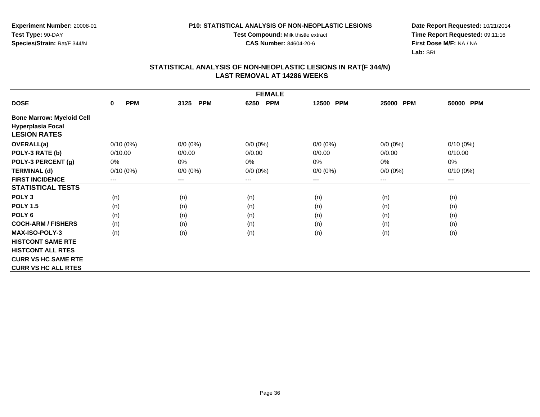**Test Compound:** Milk thistle extract

**CAS Number:** 84604-20-6

**Date Report Requested:** 10/21/2014 **Time Report Requested:** 09:11:16**First Dose M/F:** NA / NA**Lab:** SRI

|                                  | <b>FEMALE</b>             |                    |                    |                     |                     |             |  |  |  |
|----------------------------------|---------------------------|--------------------|--------------------|---------------------|---------------------|-------------|--|--|--|
| <b>DOSE</b>                      | <b>PPM</b><br>$\mathbf 0$ | 3125<br><b>PPM</b> | <b>PPM</b><br>6250 | <b>PPM</b><br>12500 | <b>PPM</b><br>25000 | 50000 PPM   |  |  |  |
| <b>Bone Marrow: Myeloid Cell</b> |                           |                    |                    |                     |                     |             |  |  |  |
| <b>Hyperplasia Focal</b>         |                           |                    |                    |                     |                     |             |  |  |  |
| <b>LESION RATES</b>              |                           |                    |                    |                     |                     |             |  |  |  |
| <b>OVERALL(a)</b>                | $0/10(0\%)$               | $0/0 (0\%)$        | $0/0 (0\%)$        | $0/0 (0\%)$         | $0/0 (0\%)$         | $0/10(0\%)$ |  |  |  |
| POLY-3 RATE (b)                  | 0/10.00                   | 0/0.00             | 0/0.00             | 0/0.00              | 0/0.00              | 0/10.00     |  |  |  |
| POLY-3 PERCENT (g)               | 0%                        | 0%                 | 0%                 | 0%                  | $0\%$               | 0%          |  |  |  |
| <b>TERMINAL (d)</b>              | $0/10(0\%)$               | $0/0 (0\%)$        | $0/0 (0\%)$        | $0/0 (0\%)$         | $0/0 (0\%)$         | $0/10(0\%)$ |  |  |  |
| <b>FIRST INCIDENCE</b>           | ---                       | $---$              | $---$              | ---                 | $---$               | ---         |  |  |  |
| <b>STATISTICAL TESTS</b>         |                           |                    |                    |                     |                     |             |  |  |  |
| POLY <sub>3</sub>                | (n)                       | (n)                | (n)                | (n)                 | (n)                 | (n)         |  |  |  |
| <b>POLY 1.5</b>                  | (n)                       | (n)                | (n)                | (n)                 | (n)                 | (n)         |  |  |  |
| POLY <sub>6</sub>                | (n)                       | (n)                | (n)                | (n)                 | (n)                 | (n)         |  |  |  |
| <b>COCH-ARM / FISHERS</b>        | (n)                       | (n)                | (n)                | (n)                 | (n)                 | (n)         |  |  |  |
| <b>MAX-ISO-POLY-3</b>            | (n)                       | (n)                | (n)                | (n)                 | (n)                 | (n)         |  |  |  |
| <b>HISTCONT SAME RTE</b>         |                           |                    |                    |                     |                     |             |  |  |  |
| <b>HISTCONT ALL RTES</b>         |                           |                    |                    |                     |                     |             |  |  |  |
| <b>CURR VS HC SAME RTE</b>       |                           |                    |                    |                     |                     |             |  |  |  |
| <b>CURR VS HC ALL RTES</b>       |                           |                    |                    |                     |                     |             |  |  |  |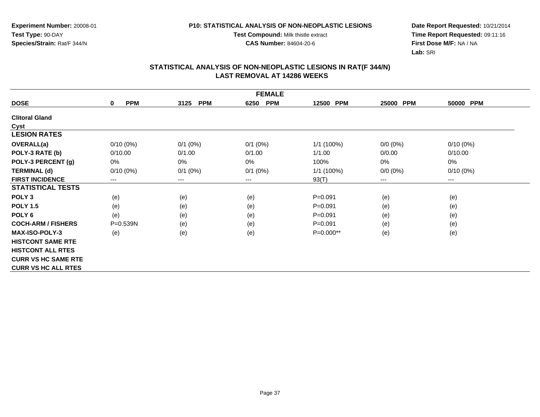#### **P10: STATISTICAL ANALYSIS OF NON-NEOPLASTIC LESIONS**

**Test Compound:** Milk thistle extract

**CAS Number:** 84604-20-6

**Date Report Requested:** 10/21/2014 **Time Report Requested:** 09:11:16**First Dose M/F:** NA / NA**Lab:** SRI

|                            | <b>FEMALE</b>             |                        |                    |                     |                     |             |  |  |  |
|----------------------------|---------------------------|------------------------|--------------------|---------------------|---------------------|-------------|--|--|--|
| <b>DOSE</b>                | <b>PPM</b><br>$\mathbf 0$ | 3125<br><b>PPM</b>     | <b>PPM</b><br>6250 | <b>PPM</b><br>12500 | <b>PPM</b><br>25000 | 50000 PPM   |  |  |  |
| <b>Clitoral Gland</b>      |                           |                        |                    |                     |                     |             |  |  |  |
| Cyst                       |                           |                        |                    |                     |                     |             |  |  |  |
| <b>LESION RATES</b>        |                           |                        |                    |                     |                     |             |  |  |  |
| OVERALL(a)                 | $0/10(0\%)$               | $0/1$ (0%)             | $0/1$ $(0%)$       | 1/1 (100%)          | $0/0 (0\%)$         | $0/10(0\%)$ |  |  |  |
| POLY-3 RATE (b)            | 0/10.00                   | 0/1.00                 | 0/1.00             | 1/1.00              | 0/0.00              | 0/10.00     |  |  |  |
| POLY-3 PERCENT (g)         | $0\%$                     | $0\%$                  | $0\%$              | 100%                | 0%                  | 0%          |  |  |  |
| <b>TERMINAL (d)</b>        | $0/10(0\%)$               | $0/1$ (0%)             | $0/1$ $(0%)$       | $1/1$ (100%)        | $0/0 (0\%)$         | $0/10(0\%)$ |  |  |  |
| <b>FIRST INCIDENCE</b>     | $---$                     | $\qquad \qquad \cdots$ | $--$               | 93(T)               | ---                 | $--$        |  |  |  |
| <b>STATISTICAL TESTS</b>   |                           |                        |                    |                     |                     |             |  |  |  |
| POLY <sub>3</sub>          | (e)                       | (e)                    | (e)                | $P = 0.091$         | (e)                 | (e)         |  |  |  |
| <b>POLY 1.5</b>            | (e)                       | (e)                    | (e)                | $P = 0.091$         | (e)                 | (e)         |  |  |  |
| POLY 6                     | (e)                       | (e)                    | (e)                | $P = 0.091$         | (e)                 | (e)         |  |  |  |
| <b>COCH-ARM / FISHERS</b>  | $P = 0.539N$              | (e)                    | (e)                | $P = 0.091$         | (e)                 | (e)         |  |  |  |
| <b>MAX-ISO-POLY-3</b>      | (e)                       | (e)                    | (e)                | $P=0.000**$         | (e)                 | (e)         |  |  |  |
| <b>HISTCONT SAME RTE</b>   |                           |                        |                    |                     |                     |             |  |  |  |
| <b>HISTCONT ALL RTES</b>   |                           |                        |                    |                     |                     |             |  |  |  |
| <b>CURR VS HC SAME RTE</b> |                           |                        |                    |                     |                     |             |  |  |  |
| <b>CURR VS HC ALL RTES</b> |                           |                        |                    |                     |                     |             |  |  |  |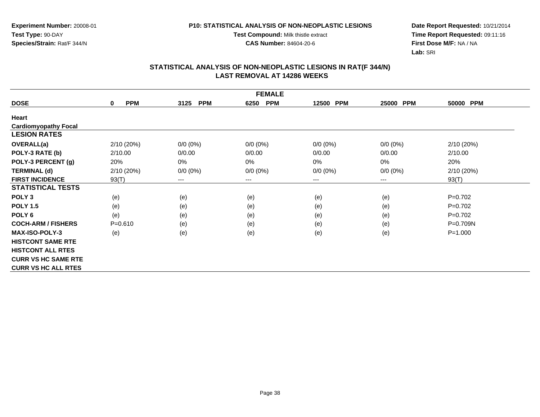#### **P10: STATISTICAL ANALYSIS OF NON-NEOPLASTIC LESIONS**

**Test Compound:** Milk thistle extract

**CAS Number:** 84604-20-6

**Date Report Requested:** 10/21/2014 **Time Report Requested:** 09:11:16**First Dose M/F:** NA / NA**Lab:** SRI

| <b>FEMALE</b>               |                 |                    |                    |                     |             |              |  |  |
|-----------------------------|-----------------|--------------------|--------------------|---------------------|-------------|--------------|--|--|
| <b>DOSE</b>                 | <b>PPM</b><br>0 | 3125<br><b>PPM</b> | <b>PPM</b><br>6250 | <b>PPM</b><br>12500 | 25000 PPM   | 50000 PPM    |  |  |
| Heart                       |                 |                    |                    |                     |             |              |  |  |
| <b>Cardiomyopathy Focal</b> |                 |                    |                    |                     |             |              |  |  |
| <b>LESION RATES</b>         |                 |                    |                    |                     |             |              |  |  |
| <b>OVERALL(a)</b>           | 2/10(20%)       | $0/0 (0\%)$        | $0/0 (0\%)$        | $0/0 (0\%)$         | $0/0(0\%)$  | 2/10 (20%)   |  |  |
| POLY-3 RATE (b)             | 2/10.00         | 0/0.00             | 0/0.00             | 0/0.00              | 0/0.00      | 2/10.00      |  |  |
| POLY-3 PERCENT (g)          | 20%             | 0%                 | 0%                 | 0%                  | 0%          | 20%          |  |  |
| <b>TERMINAL (d)</b>         | 2/10(20%)       | $0/0 (0\%)$        | $0/0 (0\%)$        | $0/0 (0\%)$         | $0/0 (0\%)$ | 2/10(20%)    |  |  |
| <b>FIRST INCIDENCE</b>      | 93(T)           | $---$              | ---                | ---                 | $---$       | 93(T)        |  |  |
| <b>STATISTICAL TESTS</b>    |                 |                    |                    |                     |             |              |  |  |
| POLY <sub>3</sub>           | (e)             | (e)                | (e)                | (e)                 | (e)         | $P=0.702$    |  |  |
| <b>POLY 1.5</b>             | (e)             | (e)                | (e)                | (e)                 | (e)         | $P=0.702$    |  |  |
| POLY <sub>6</sub>           | (e)             | (e)                | (e)                | (e)                 | (e)         | $P=0.702$    |  |  |
| <b>COCH-ARM / FISHERS</b>   | $P = 0.610$     | (e)                | (e)                | (e)                 | (e)         | $P = 0.709N$ |  |  |
| <b>MAX-ISO-POLY-3</b>       | (e)             | (e)                | (e)                | (e)                 | (e)         | $P = 1.000$  |  |  |
| <b>HISTCONT SAME RTE</b>    |                 |                    |                    |                     |             |              |  |  |
| <b>HISTCONT ALL RTES</b>    |                 |                    |                    |                     |             |              |  |  |
| <b>CURR VS HC SAME RTE</b>  |                 |                    |                    |                     |             |              |  |  |
| <b>CURR VS HC ALL RTES</b>  |                 |                    |                    |                     |             |              |  |  |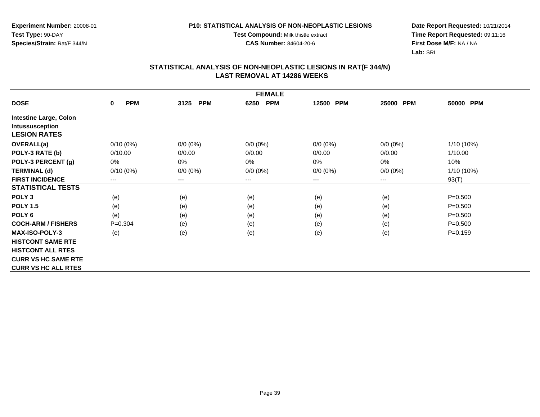#### **P10: STATISTICAL ANALYSIS OF NON-NEOPLASTIC LESIONS**

**Test Compound:** Milk thistle extract

**CAS Number:** 84604-20-6

**Date Report Requested:** 10/21/2014 **Time Report Requested:** 09:11:16**First Dose M/F:** NA / NA**Lab:** SRI

|                               | <b>FEMALE</b>              |                        |                    |                     |                     |             |  |  |  |
|-------------------------------|----------------------------|------------------------|--------------------|---------------------|---------------------|-------------|--|--|--|
| <b>DOSE</b>                   | <b>PPM</b><br>$\mathbf{0}$ | <b>PPM</b><br>3125     | <b>PPM</b><br>6250 | 12500<br><b>PPM</b> | <b>PPM</b><br>25000 | 50000 PPM   |  |  |  |
| <b>Intestine Large, Colon</b> |                            |                        |                    |                     |                     |             |  |  |  |
| Intussusception               |                            |                        |                    |                     |                     |             |  |  |  |
| <b>LESION RATES</b>           |                            |                        |                    |                     |                     |             |  |  |  |
| OVERALL(a)                    | $0/10(0\%)$                | $0/0 (0\%)$            | $0/0 (0\%)$        | $0/0 (0\%)$         | $0/0(0\%)$          | 1/10 (10%)  |  |  |  |
| POLY-3 RATE (b)               | 0/10.00                    | 0/0.00                 | 0/0.00             | 0/0.00              | 0/0.00              | 1/10.00     |  |  |  |
| POLY-3 PERCENT (g)            | 0%                         | 0%                     | 0%                 | 0%                  | 0%                  | 10%         |  |  |  |
| <b>TERMINAL (d)</b>           | $0/10(0\%)$                | $0/0 (0\%)$            | $0/0 (0\%)$        | $0/0 (0\%)$         | $0/0 (0\%)$         | 1/10 (10%)  |  |  |  |
| <b>FIRST INCIDENCE</b>        | ---                        | $\qquad \qquad \cdots$ | $--$               | ---                 | ---                 | 93(T)       |  |  |  |
| <b>STATISTICAL TESTS</b>      |                            |                        |                    |                     |                     |             |  |  |  |
| POLY <sub>3</sub>             | (e)                        | (e)                    | (e)                | (e)                 | (e)                 | $P = 0.500$ |  |  |  |
| <b>POLY 1.5</b>               | (e)                        | (e)                    | (e)                | (e)                 | (e)                 | $P = 0.500$ |  |  |  |
| POLY <sub>6</sub>             | (e)                        | (e)                    | (e)                | (e)                 | (e)                 | $P = 0.500$ |  |  |  |
| <b>COCH-ARM / FISHERS</b>     | $P = 0.304$                | (e)                    | (e)                | (e)                 | (e)                 | $P = 0.500$ |  |  |  |
| <b>MAX-ISO-POLY-3</b>         | (e)                        | (e)                    | (e)                | (e)                 | (e)                 | $P = 0.159$ |  |  |  |
| <b>HISTCONT SAME RTE</b>      |                            |                        |                    |                     |                     |             |  |  |  |
| <b>HISTCONT ALL RTES</b>      |                            |                        |                    |                     |                     |             |  |  |  |
| <b>CURR VS HC SAME RTE</b>    |                            |                        |                    |                     |                     |             |  |  |  |
| <b>CURR VS HC ALL RTES</b>    |                            |                        |                    |                     |                     |             |  |  |  |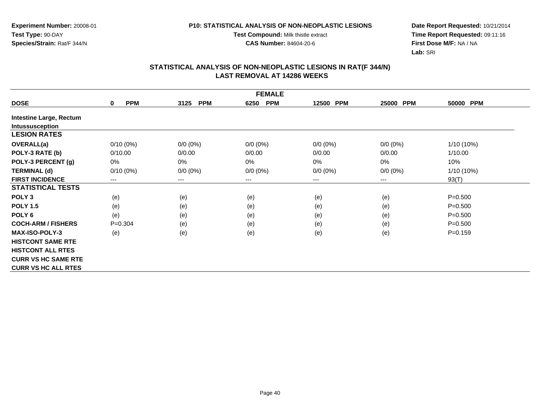**Test Compound:** Milk thistle extract

**CAS Number:** 84604-20-6

**Date Report Requested:** 10/21/2014 **Time Report Requested:** 09:11:16**First Dose M/F:** NA / NA**Lab:** SRI

|                                | <b>FEMALE</b>              |                        |                    |                     |                     |             |  |  |  |
|--------------------------------|----------------------------|------------------------|--------------------|---------------------|---------------------|-------------|--|--|--|
| <b>DOSE</b>                    | <b>PPM</b><br>$\mathbf{0}$ | <b>PPM</b><br>3125     | <b>PPM</b><br>6250 | 12500<br><b>PPM</b> | <b>PPM</b><br>25000 | 50000 PPM   |  |  |  |
| <b>Intestine Large, Rectum</b> |                            |                        |                    |                     |                     |             |  |  |  |
| Intussusception                |                            |                        |                    |                     |                     |             |  |  |  |
| <b>LESION RATES</b>            |                            |                        |                    |                     |                     |             |  |  |  |
| OVERALL(a)                     | $0/10(0\%)$                | $0/0 (0\%)$            | $0/0 (0\%)$        | $0/0 (0\%)$         | $0/0(0\%)$          | 1/10 (10%)  |  |  |  |
| POLY-3 RATE (b)                | 0/10.00                    | 0/0.00                 | 0/0.00             | 0/0.00              | 0/0.00              | 1/10.00     |  |  |  |
| POLY-3 PERCENT (g)             | 0%                         | 0%                     | 0%                 | 0%                  | 0%                  | 10%         |  |  |  |
| <b>TERMINAL (d)</b>            | $0/10(0\%)$                | $0/0 (0\%)$            | $0/0 (0\%)$        | $0/0 (0\%)$         | $0/0 (0\%)$         | 1/10 (10%)  |  |  |  |
| <b>FIRST INCIDENCE</b>         | ---                        | $\qquad \qquad \cdots$ | $--$               | ---                 | ---                 | 93(T)       |  |  |  |
| <b>STATISTICAL TESTS</b>       |                            |                        |                    |                     |                     |             |  |  |  |
| POLY <sub>3</sub>              | (e)                        | (e)                    | (e)                | (e)                 | (e)                 | $P = 0.500$ |  |  |  |
| <b>POLY 1.5</b>                | (e)                        | (e)                    | (e)                | (e)                 | (e)                 | $P = 0.500$ |  |  |  |
| POLY <sub>6</sub>              | (e)                        | (e)                    | (e)                | (e)                 | (e)                 | $P = 0.500$ |  |  |  |
| <b>COCH-ARM / FISHERS</b>      | $P = 0.304$                | (e)                    | (e)                | (e)                 | (e)                 | $P = 0.500$ |  |  |  |
| <b>MAX-ISO-POLY-3</b>          | (e)                        | (e)                    | (e)                | (e)                 | (e)                 | $P = 0.159$ |  |  |  |
| <b>HISTCONT SAME RTE</b>       |                            |                        |                    |                     |                     |             |  |  |  |
| <b>HISTCONT ALL RTES</b>       |                            |                        |                    |                     |                     |             |  |  |  |
| <b>CURR VS HC SAME RTE</b>     |                            |                        |                    |                     |                     |             |  |  |  |
| <b>CURR VS HC ALL RTES</b>     |                            |                        |                    |                     |                     |             |  |  |  |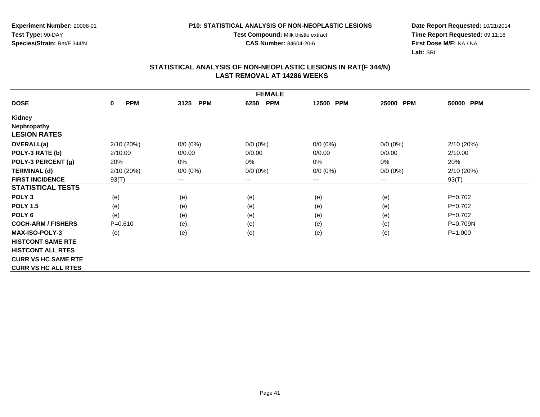**Experiment Number:** 20008-01**Test Type:** 90-DAY**Species/Strain:** Rat/F 344/N

**Test Compound:** Milk thistle extract

**CAS Number:** 84604-20-6

**Date Report Requested:** 10/21/2014 **Time Report Requested:** 09:11:16**First Dose M/F:** NA / NA**Lab:** SRI

|                            | <b>FEMALE</b>             |                    |                    |             |                        |              |  |  |  |
|----------------------------|---------------------------|--------------------|--------------------|-------------|------------------------|--------------|--|--|--|
| <b>DOSE</b>                | <b>PPM</b><br>$\mathbf 0$ | <b>PPM</b><br>3125 | <b>PPM</b><br>6250 | 12500 PPM   | <b>PPM</b><br>25000    | 50000 PPM    |  |  |  |
| <b>Kidney</b>              |                           |                    |                    |             |                        |              |  |  |  |
| <b>Nephropathy</b>         |                           |                    |                    |             |                        |              |  |  |  |
| <b>LESION RATES</b>        |                           |                    |                    |             |                        |              |  |  |  |
| <b>OVERALL(a)</b>          | 2/10 (20%)                | $0/0 (0\%)$        | $0/0 (0\%)$        | $0/0 (0\%)$ | $0/0 (0\%)$            | 2/10(20%)    |  |  |  |
| POLY-3 RATE (b)            | 2/10.00                   | 0/0.00             | 0/0.00             | 0/0.00      | 0/0.00                 | 2/10.00      |  |  |  |
| POLY-3 PERCENT (g)         | 20%                       | 0%                 | 0%                 | 0%          | 0%                     | 20%          |  |  |  |
| <b>TERMINAL (d)</b>        | 2/10 (20%)                | $0/0 (0\%)$        | $0/0 (0\%)$        | $0/0 (0\%)$ | $0/0 (0\%)$            | 2/10(20%)    |  |  |  |
| <b>FIRST INCIDENCE</b>     | 93(T)                     | $---$              | $---$              | ---         | $\qquad \qquad \cdots$ | 93(T)        |  |  |  |
| <b>STATISTICAL TESTS</b>   |                           |                    |                    |             |                        |              |  |  |  |
| POLY <sub>3</sub>          | (e)                       | (e)                | (e)                | (e)         | (e)                    | $P=0.702$    |  |  |  |
| <b>POLY 1.5</b>            | (e)                       | (e)                | (e)                | (e)         | (e)                    | $P=0.702$    |  |  |  |
| POLY <sub>6</sub>          | (e)                       | (e)                | (e)                | (e)         | (e)                    | $P=0.702$    |  |  |  |
| <b>COCH-ARM / FISHERS</b>  | $P = 0.610$               | (e)                | (e)                | (e)         | (e)                    | $P = 0.709N$ |  |  |  |
| <b>MAX-ISO-POLY-3</b>      | (e)                       | (e)                | (e)                | (e)         | (e)                    | $P = 1.000$  |  |  |  |
| <b>HISTCONT SAME RTE</b>   |                           |                    |                    |             |                        |              |  |  |  |
| <b>HISTCONT ALL RTES</b>   |                           |                    |                    |             |                        |              |  |  |  |
| <b>CURR VS HC SAME RTE</b> |                           |                    |                    |             |                        |              |  |  |  |
| <b>CURR VS HC ALL RTES</b> |                           |                    |                    |             |                        |              |  |  |  |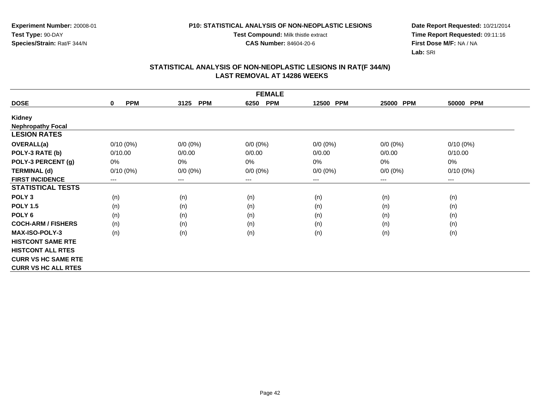#### **P10: STATISTICAL ANALYSIS OF NON-NEOPLASTIC LESIONS**

**Test Compound:** Milk thistle extract

**CAS Number:** 84604-20-6

**Date Report Requested:** 10/21/2014 **Time Report Requested:** 09:11:16**First Dose M/F:** NA / NA**Lab:** SRI

| <b>FEMALE</b>              |                        |                        |                    |             |             |                        |  |  |
|----------------------------|------------------------|------------------------|--------------------|-------------|-------------|------------------------|--|--|
| <b>DOSE</b>                | <b>PPM</b><br>$\bf{0}$ | <b>PPM</b><br>3125     | <b>PPM</b><br>6250 | 12500 PPM   | 25000 PPM   | 50000 PPM              |  |  |
| <b>Kidney</b>              |                        |                        |                    |             |             |                        |  |  |
| <b>Nephropathy Focal</b>   |                        |                        |                    |             |             |                        |  |  |
| <b>LESION RATES</b>        |                        |                        |                    |             |             |                        |  |  |
| OVERALL(a)                 | $0/10(0\%)$            | $0/0 (0\%)$            | $0/0 (0\%)$        | $0/0 (0\%)$ | $0/0(0\%)$  | $0/10(0\%)$            |  |  |
| POLY-3 RATE (b)            | 0/10.00                | 0/0.00                 | 0/0.00             | 0/0.00      | 0/0.00      | 0/10.00                |  |  |
| POLY-3 PERCENT (g)         | 0%                     | 0%                     | 0%                 | 0%          | 0%          | 0%                     |  |  |
| <b>TERMINAL (d)</b>        | $0/10(0\%)$            | $0/0 (0\%)$            | $0/0 (0\%)$        | $0/0 (0\%)$ | $0/0 (0\%)$ | $0/10(0\%)$            |  |  |
| <b>FIRST INCIDENCE</b>     | ---                    | $\qquad \qquad \cdots$ | ---                | ---         | ---         | $\qquad \qquad \cdots$ |  |  |
| <b>STATISTICAL TESTS</b>   |                        |                        |                    |             |             |                        |  |  |
| POLY <sub>3</sub>          | (n)                    | (n)                    | (n)                | (n)         | (n)         | (n)                    |  |  |
| <b>POLY 1.5</b>            | (n)                    | (n)                    | (n)                | (n)         | (n)         | (n)                    |  |  |
| POLY <sub>6</sub>          | (n)                    | (n)                    | (n)                | (n)         | (n)         | (n)                    |  |  |
| <b>COCH-ARM / FISHERS</b>  | (n)                    | (n)                    | (n)                | (n)         | (n)         | (n)                    |  |  |
| <b>MAX-ISO-POLY-3</b>      | (n)                    | (n)                    | (n)                | (n)         | (n)         | (n)                    |  |  |
| <b>HISTCONT SAME RTE</b>   |                        |                        |                    |             |             |                        |  |  |
| <b>HISTCONT ALL RTES</b>   |                        |                        |                    |             |             |                        |  |  |
| <b>CURR VS HC SAME RTE</b> |                        |                        |                    |             |             |                        |  |  |
| <b>CURR VS HC ALL RTES</b> |                        |                        |                    |             |             |                        |  |  |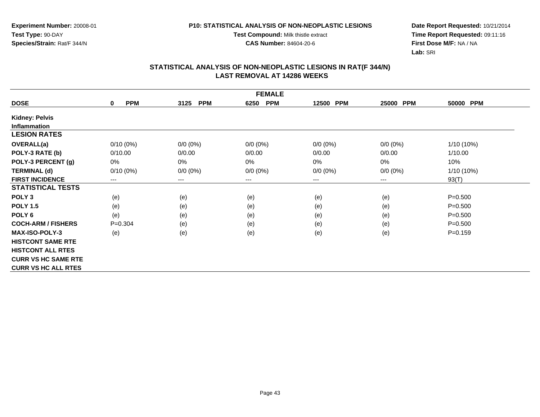#### **P10: STATISTICAL ANALYSIS OF NON-NEOPLASTIC LESIONS**

**Test Compound:** Milk thistle extract

**CAS Number:** 84604-20-6

**Date Report Requested:** 10/21/2014 **Time Report Requested:** 09:11:16**First Dose M/F:** NA / NA**Lab:** SRI

| <b>FEMALE</b>              |                        |                    |                    |             |                        |              |  |  |
|----------------------------|------------------------|--------------------|--------------------|-------------|------------------------|--------------|--|--|
| <b>DOSE</b>                | <b>PPM</b><br>$\bf{0}$ | <b>PPM</b><br>3125 | <b>PPM</b><br>6250 | 12500 PPM   | 25000<br><b>PPM</b>    | 50000 PPM    |  |  |
| <b>Kidney: Pelvis</b>      |                        |                    |                    |             |                        |              |  |  |
| <b>Inflammation</b>        |                        |                    |                    |             |                        |              |  |  |
| <b>LESION RATES</b>        |                        |                    |                    |             |                        |              |  |  |
| OVERALL(a)                 | $0/10(0\%)$            | $0/0 (0\%)$        | $0/0 (0\%)$        | $0/0 (0\%)$ | $0/0 (0\%)$            | $1/10(10\%)$ |  |  |
| POLY-3 RATE (b)            | 0/10.00                | 0/0.00             | 0/0.00             | 0/0.00      | 0/0.00                 | 1/10.00      |  |  |
| POLY-3 PERCENT (g)         | 0%                     | 0%                 | 0%                 | 0%          | 0%                     | 10%          |  |  |
| <b>TERMINAL (d)</b>        | $0/10(0\%)$            | $0/0 (0\%)$        | $0/0 (0\%)$        | $0/0 (0\%)$ | $0/0 (0\%)$            | 1/10 (10%)   |  |  |
| <b>FIRST INCIDENCE</b>     | $---$                  | ---                | $---$              | ---         | $\qquad \qquad \cdots$ | 93(T)        |  |  |
| <b>STATISTICAL TESTS</b>   |                        |                    |                    |             |                        |              |  |  |
| POLY <sub>3</sub>          | (e)                    | (e)                | (e)                | (e)         | (e)                    | $P = 0.500$  |  |  |
| <b>POLY 1.5</b>            | (e)                    | (e)                | (e)                | (e)         | (e)                    | $P = 0.500$  |  |  |
| POLY 6                     | (e)                    | (e)                | (e)                | (e)         | (e)                    | $P = 0.500$  |  |  |
| <b>COCH-ARM / FISHERS</b>  | $P=0.304$              | (e)                | (e)                | (e)         | (e)                    | $P = 0.500$  |  |  |
| <b>MAX-ISO-POLY-3</b>      | (e)                    | (e)                | (e)                | (e)         | (e)                    | $P = 0.159$  |  |  |
| <b>HISTCONT SAME RTE</b>   |                        |                    |                    |             |                        |              |  |  |
| <b>HISTCONT ALL RTES</b>   |                        |                    |                    |             |                        |              |  |  |
| <b>CURR VS HC SAME RTE</b> |                        |                    |                    |             |                        |              |  |  |
| <b>CURR VS HC ALL RTES</b> |                        |                    |                    |             |                        |              |  |  |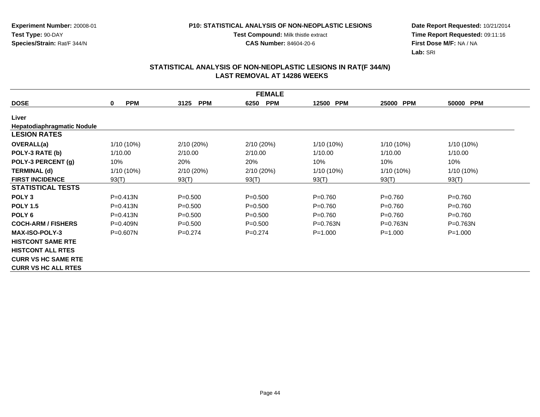**Test Compound:** Milk thistle extract

**CAS Number:** 84604-20-6

**Date Report Requested:** 10/21/2014 **Time Report Requested:** 09:11:16**First Dose M/F:** NA / NA**Lab:** SRI

| <b>FEMALE</b>                     |                 |                    |                    |              |              |              |  |  |
|-----------------------------------|-----------------|--------------------|--------------------|--------------|--------------|--------------|--|--|
| <b>DOSE</b>                       | <b>PPM</b><br>0 | <b>PPM</b><br>3125 | <b>PPM</b><br>6250 | 12500 PPM    | 25000 PPM    | 50000 PPM    |  |  |
| Liver                             |                 |                    |                    |              |              |              |  |  |
| <b>Hepatodiaphragmatic Nodule</b> |                 |                    |                    |              |              |              |  |  |
| <b>LESION RATES</b>               |                 |                    |                    |              |              |              |  |  |
| <b>OVERALL(a)</b>                 | $1/10(10\%)$    | 2/10 (20%)         | 2/10(20%)          | $1/10(10\%)$ | 1/10 (10%)   | $1/10(10\%)$ |  |  |
| POLY-3 RATE (b)                   | 1/10.00         | 2/10.00            | 2/10.00            | 1/10.00      | 1/10.00      | 1/10.00      |  |  |
| POLY-3 PERCENT (g)                | 10%             | 20%                | 20%                | 10%          | 10%          | 10%          |  |  |
| <b>TERMINAL (d)</b>               | $1/10(10\%)$    | 2/10 (20%)         | 2/10 (20%)         | 1/10 (10%)   | $1/10(10\%)$ | $1/10(10\%)$ |  |  |
| <b>FIRST INCIDENCE</b>            | 93(T)           | 93(T)              | 93(T)              | 93(T)        | 93(T)        | 93(T)        |  |  |
| <b>STATISTICAL TESTS</b>          |                 |                    |                    |              |              |              |  |  |
| POLY <sub>3</sub>                 | $P = 0.413N$    | $P = 0.500$        | $P = 0.500$        | $P=0.760$    | $P = 0.760$  | $P=0.760$    |  |  |
| <b>POLY 1.5</b>                   | $P = 0.413N$    | $P = 0.500$        | $P = 0.500$        | $P = 0.760$  | $P = 0.760$  | $P=0.760$    |  |  |
| POLY <sub>6</sub>                 | $P = 0.413N$    | $P = 0.500$        | $P = 0.500$        | $P=0.760$    | $P = 0.760$  | $P=0.760$    |  |  |
| <b>COCH-ARM / FISHERS</b>         | $P = 0.409N$    | $P = 0.500$        | $P = 0.500$        | $P = 0.763N$ | $P = 0.763N$ | $P = 0.763N$ |  |  |
| <b>MAX-ISO-POLY-3</b>             | $P = 0.607N$    | $P=0.274$          | $P=0.274$          | $P = 1.000$  | $P = 1.000$  | $P = 1.000$  |  |  |
| <b>HISTCONT SAME RTE</b>          |                 |                    |                    |              |              |              |  |  |
| <b>HISTCONT ALL RTES</b>          |                 |                    |                    |              |              |              |  |  |
| <b>CURR VS HC SAME RTE</b>        |                 |                    |                    |              |              |              |  |  |
| <b>CURR VS HC ALL RTES</b>        |                 |                    |                    |              |              |              |  |  |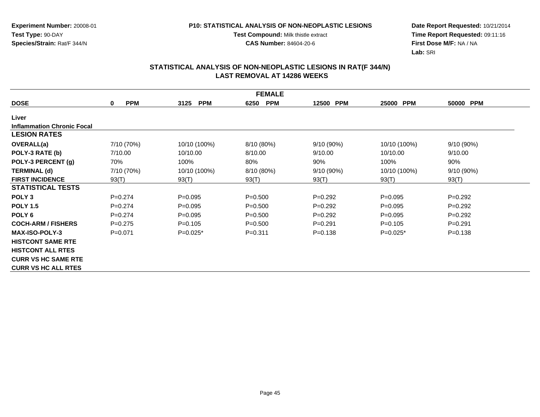**Test Compound:** Milk thistle extract

**CAS Number:** 84604-20-6

**Date Report Requested:** 10/21/2014 **Time Report Requested:** 09:11:16**First Dose M/F:** NA / NA**Lab:** SRI

|                                   | <b>FEMALE</b>   |                    |                    |                     |              |             |  |  |  |
|-----------------------------------|-----------------|--------------------|--------------------|---------------------|--------------|-------------|--|--|--|
| <b>DOSE</b>                       | <b>PPM</b><br>0 | <b>PPM</b><br>3125 | <b>PPM</b><br>6250 | <b>PPM</b><br>12500 | 25000 PPM    | 50000 PPM   |  |  |  |
| Liver                             |                 |                    |                    |                     |              |             |  |  |  |
| <b>Inflammation Chronic Focal</b> |                 |                    |                    |                     |              |             |  |  |  |
| <b>LESION RATES</b>               |                 |                    |                    |                     |              |             |  |  |  |
| <b>OVERALL(a)</b>                 | 7/10 (70%)      | 10/10 (100%)       | 8/10 (80%)         | 9/10(90%)           | 10/10 (100%) | 9/10(90%)   |  |  |  |
| POLY-3 RATE (b)                   | 7/10.00         | 10/10.00           | 8/10.00            | 9/10.00             | 10/10.00     | 9/10.00     |  |  |  |
| POLY-3 PERCENT (g)                | 70%             | 100%               | 80%                | 90%                 | 100%         | 90%         |  |  |  |
| <b>TERMINAL (d)</b>               | 7/10 (70%)      | 10/10 (100%)       | 8/10 (80%)         | $9/10(90\%)$        | 10/10 (100%) | 9/10(90%)   |  |  |  |
| <b>FIRST INCIDENCE</b>            | 93(T)           | 93(T)              | 93(T)              | 93(T)               | 93(T)        | 93(T)       |  |  |  |
| <b>STATISTICAL TESTS</b>          |                 |                    |                    |                     |              |             |  |  |  |
| POLY <sub>3</sub>                 | $P=0.274$       | $P = 0.095$        | $P = 0.500$        | $P=0.292$           | $P=0.095$    | $P=0.292$   |  |  |  |
| <b>POLY 1.5</b>                   | $P=0.274$       | $P=0.095$          | $P = 0.500$        | $P=0.292$           | $P = 0.095$  | $P=0.292$   |  |  |  |
| POLY <sub>6</sub>                 | $P=0.274$       | $P = 0.095$        | $P = 0.500$        | $P=0.292$           | $P = 0.095$  | $P=0.292$   |  |  |  |
| <b>COCH-ARM / FISHERS</b>         | $P=0.275$       | $P = 0.105$        | $P = 0.500$        | $P = 0.291$         | $P=0.105$    | $P = 0.291$ |  |  |  |
| <b>MAX-ISO-POLY-3</b>             | $P = 0.071$     | $P=0.025*$         | $P = 0.311$        | $P = 0.138$         | $P=0.025*$   | $P = 0.138$ |  |  |  |
| <b>HISTCONT SAME RTE</b>          |                 |                    |                    |                     |              |             |  |  |  |
| <b>HISTCONT ALL RTES</b>          |                 |                    |                    |                     |              |             |  |  |  |
| <b>CURR VS HC SAME RTE</b>        |                 |                    |                    |                     |              |             |  |  |  |
| <b>CURR VS HC ALL RTES</b>        |                 |                    |                    |                     |              |             |  |  |  |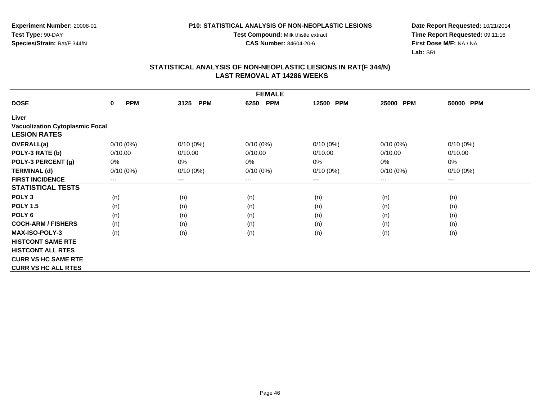**Test Compound:** Milk thistle extract

**CAS Number:** 84604-20-6

**Date Report Requested:** 10/21/2014 **Time Report Requested:** 09:11:16**First Dose M/F:** NA / NA**Lab:** SRI

|                                        | <b>FEMALE</b>          |                    |                    |                     |             |             |  |  |  |
|----------------------------------------|------------------------|--------------------|--------------------|---------------------|-------------|-------------|--|--|--|
| <b>DOSE</b>                            | <b>PPM</b><br>$\bf{0}$ | <b>PPM</b><br>3125 | <b>PPM</b><br>6250 | <b>PPM</b><br>12500 | 25000 PPM   | 50000 PPM   |  |  |  |
| Liver                                  |                        |                    |                    |                     |             |             |  |  |  |
| <b>Vacuolization Cytoplasmic Focal</b> |                        |                    |                    |                     |             |             |  |  |  |
| <b>LESION RATES</b>                    |                        |                    |                    |                     |             |             |  |  |  |
| <b>OVERALL(a)</b>                      | $0/10(0\%)$            | $0/10(0\%)$        | $0/10(0\%)$        | $0/10(0\%)$         | $0/10(0\%)$ | 0/10(0%)    |  |  |  |
| POLY-3 RATE (b)                        | 0/10.00                | 0/10.00            | 0/10.00            | 0/10.00             | 0/10.00     | 0/10.00     |  |  |  |
| POLY-3 PERCENT (g)                     | 0%                     | 0%                 | 0%                 | 0%                  | 0%          | 0%          |  |  |  |
| <b>TERMINAL (d)</b>                    | $0/10(0\%)$            | 0/10(0%)           | $0/10(0\%)$        | $0/10(0\%)$         | $0/10(0\%)$ | $0/10(0\%)$ |  |  |  |
| <b>FIRST INCIDENCE</b>                 | $---$                  | ---                | ---                | ---                 | ---         | $---$       |  |  |  |
| <b>STATISTICAL TESTS</b>               |                        |                    |                    |                     |             |             |  |  |  |
| POLY <sub>3</sub>                      | (n)                    | (n)                | (n)                | (n)                 | (n)         | (n)         |  |  |  |
| <b>POLY 1.5</b>                        | (n)                    | (n)                | (n)                | (n)                 | (n)         | (n)         |  |  |  |
| POLY <sub>6</sub>                      | (n)                    | (n)                | (n)                | (n)                 | (n)         | (n)         |  |  |  |
| <b>COCH-ARM / FISHERS</b>              | (n)                    | (n)                | (n)                | (n)                 | (n)         | (n)         |  |  |  |
| <b>MAX-ISO-POLY-3</b>                  | (n)                    | (n)                | (n)                | (n)                 | (n)         | (n)         |  |  |  |
| <b>HISTCONT SAME RTE</b>               |                        |                    |                    |                     |             |             |  |  |  |
| <b>HISTCONT ALL RTES</b>               |                        |                    |                    |                     |             |             |  |  |  |
| <b>CURR VS HC SAME RTE</b>             |                        |                    |                    |                     |             |             |  |  |  |
| <b>CURR VS HC ALL RTES</b>             |                        |                    |                    |                     |             |             |  |  |  |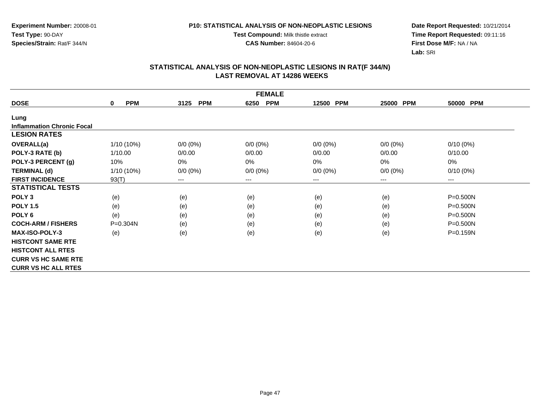**Test Compound:** Milk thistle extract

**CAS Number:** 84604-20-6

**Date Report Requested:** 10/21/2014 **Time Report Requested:** 09:11:16**First Dose M/F:** NA / NA**Lab:** SRI

|                                   | <b>FEMALE</b>              |                    |                    |                     |             |                        |  |  |  |
|-----------------------------------|----------------------------|--------------------|--------------------|---------------------|-------------|------------------------|--|--|--|
| <b>DOSE</b>                       | <b>PPM</b><br>$\mathbf{0}$ | <b>PPM</b><br>3125 | <b>PPM</b><br>6250 | <b>PPM</b><br>12500 | 25000 PPM   | 50000 PPM              |  |  |  |
| Lung                              |                            |                    |                    |                     |             |                        |  |  |  |
| <b>Inflammation Chronic Focal</b> |                            |                    |                    |                     |             |                        |  |  |  |
| <b>LESION RATES</b>               |                            |                    |                    |                     |             |                        |  |  |  |
| OVERALL(a)                        | 1/10 (10%)                 | $0/0 (0\%)$        | $0/0 (0\%)$        | $0/0(0\%)$          | $0/0(0\%)$  | $0/10(0\%)$            |  |  |  |
| POLY-3 RATE (b)                   | 1/10.00                    | 0/0.00             | 0/0.00             | 0/0.00              | 0/0.00      | 0/10.00                |  |  |  |
| POLY-3 PERCENT (g)                | 10%                        | 0%                 | 0%                 | 0%                  | $0\%$       | 0%                     |  |  |  |
| <b>TERMINAL (d)</b>               | 1/10 (10%)                 | $0/0 (0\%)$        | $0/0 (0\%)$        | $0/0 (0\%)$         | $0/0 (0\%)$ | $0/10(0\%)$            |  |  |  |
| <b>FIRST INCIDENCE</b>            | 93(T)                      | $---$              | ---                | ---                 | ---         | $\qquad \qquad \cdots$ |  |  |  |
| <b>STATISTICAL TESTS</b>          |                            |                    |                    |                     |             |                        |  |  |  |
| POLY <sub>3</sub>                 | (e)                        | (e)                | (e)                | (e)                 | (e)         | P=0.500N               |  |  |  |
| <b>POLY 1.5</b>                   | (e)                        | (e)                | (e)                | (e)                 | (e)         | P=0.500N               |  |  |  |
| POLY <sub>6</sub>                 | (e)                        | (e)                | (e)                | (e)                 | (e)         | $P = 0.500N$           |  |  |  |
| <b>COCH-ARM / FISHERS</b>         | P=0.304N                   | (e)                | (e)                | (e)                 | (e)         | P=0.500N               |  |  |  |
| <b>MAX-ISO-POLY-3</b>             | (e)                        | (e)                | (e)                | (e)                 | (e)         | P=0.159N               |  |  |  |
| <b>HISTCONT SAME RTE</b>          |                            |                    |                    |                     |             |                        |  |  |  |
| <b>HISTCONT ALL RTES</b>          |                            |                    |                    |                     |             |                        |  |  |  |
| <b>CURR VS HC SAME RTE</b>        |                            |                    |                    |                     |             |                        |  |  |  |
| <b>CURR VS HC ALL RTES</b>        |                            |                    |                    |                     |             |                        |  |  |  |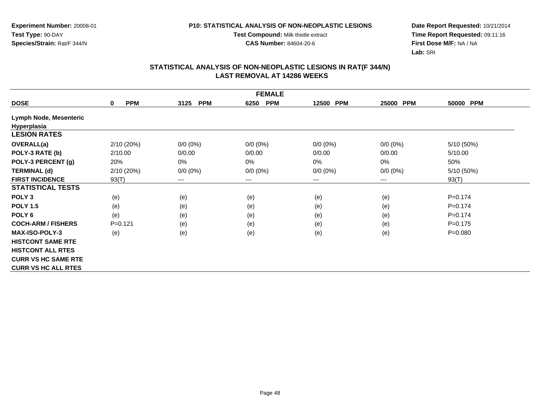**Test Compound:** Milk thistle extract

**CAS Number:** 84604-20-6

**Date Report Requested:** 10/21/2014 **Time Report Requested:** 09:11:16**First Dose M/F:** NA / NA**Lab:** SRI

| <b>FEMALE</b>                 |                            |                    |                    |                     |             |             |  |  |
|-------------------------------|----------------------------|--------------------|--------------------|---------------------|-------------|-------------|--|--|
| <b>DOSE</b>                   | <b>PPM</b><br>$\mathbf{0}$ | 3125<br><b>PPM</b> | <b>PPM</b><br>6250 | <b>PPM</b><br>12500 | 25000 PPM   | 50000 PPM   |  |  |
| <b>Lymph Node, Mesenteric</b> |                            |                    |                    |                     |             |             |  |  |
| Hyperplasia                   |                            |                    |                    |                     |             |             |  |  |
| <b>LESION RATES</b>           |                            |                    |                    |                     |             |             |  |  |
| OVERALL(a)                    | 2/10(20%)                  | $0/0 (0\%)$        | $0/0 (0\%)$        | $0/0 (0\%)$         | $0/0 (0\%)$ | 5/10 (50%)  |  |  |
| POLY-3 RATE (b)               | 2/10.00                    | 0/0.00             | 0/0.00             | 0/0.00              | 0/0.00      | 5/10.00     |  |  |
| POLY-3 PERCENT (g)            | 20%                        | 0%                 | 0%                 | 0%                  | 0%          | 50%         |  |  |
| <b>TERMINAL (d)</b>           | 2/10(20%)                  | $0/0 (0\%)$        | $0/0 (0\%)$        | $0/0 (0\%)$         | $0/0 (0\%)$ | 5/10 (50%)  |  |  |
| <b>FIRST INCIDENCE</b>        | 93(T)                      | $---$              | ---                | ---                 | $---$       | 93(T)       |  |  |
| <b>STATISTICAL TESTS</b>      |                            |                    |                    |                     |             |             |  |  |
| POLY <sub>3</sub>             | (e)                        | (e)                | (e)                | (e)                 | (e)         | $P = 0.174$ |  |  |
| <b>POLY 1.5</b>               | (e)                        | (e)                | (e)                | (e)                 | (e)         | $P = 0.174$ |  |  |
| POLY <sub>6</sub>             | (e)                        | (e)                | (e)                | (e)                 | (e)         | $P = 0.174$ |  |  |
| <b>COCH-ARM / FISHERS</b>     | $P=0.121$                  | (e)                | (e)                | (e)                 | (e)         | $P = 0.175$ |  |  |
| <b>MAX-ISO-POLY-3</b>         | (e)                        | (e)                | (e)                | (e)                 | (e)         | $P = 0.080$ |  |  |
| <b>HISTCONT SAME RTE</b>      |                            |                    |                    |                     |             |             |  |  |
| <b>HISTCONT ALL RTES</b>      |                            |                    |                    |                     |             |             |  |  |
| <b>CURR VS HC SAME RTE</b>    |                            |                    |                    |                     |             |             |  |  |
| <b>CURR VS HC ALL RTES</b>    |                            |                    |                    |                     |             |             |  |  |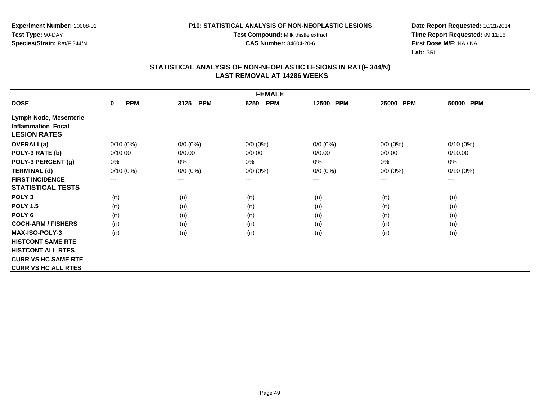**Test Compound:** Milk thistle extract

**CAS Number:** 84604-20-6

**Date Report Requested:** 10/21/2014 **Time Report Requested:** 09:11:16**First Dose M/F:** NA / NA**Lab:** SRI

|                            | <b>FEMALE</b>             |                    |                    |                     |                     |             |  |  |  |
|----------------------------|---------------------------|--------------------|--------------------|---------------------|---------------------|-------------|--|--|--|
| <b>DOSE</b>                | <b>PPM</b><br>$\mathbf 0$ | 3125<br><b>PPM</b> | <b>PPM</b><br>6250 | <b>PPM</b><br>12500 | <b>PPM</b><br>25000 | 50000 PPM   |  |  |  |
| Lymph Node, Mesenteric     |                           |                    |                    |                     |                     |             |  |  |  |
| <b>Inflammation Focal</b>  |                           |                    |                    |                     |                     |             |  |  |  |
| <b>LESION RATES</b>        |                           |                    |                    |                     |                     |             |  |  |  |
| OVERALL(a)                 | $0/10(0\%)$               | $0/0 (0\%)$        | $0/0 (0\%)$        | $0/0 (0\%)$         | $0/0 (0\%)$         | $0/10(0\%)$ |  |  |  |
| POLY-3 RATE (b)            | 0/10.00                   | 0/0.00             | 0/0.00             | 0/0.00              | 0/0.00              | 0/10.00     |  |  |  |
| POLY-3 PERCENT (g)         | 0%                        | 0%                 | 0%                 | 0%                  | $0\%$               | 0%          |  |  |  |
| <b>TERMINAL (d)</b>        | $0/10(0\%)$               | $0/0 (0\%)$        | $0/0 (0\%)$        | $0/0 (0\%)$         | $0/0 (0\%)$         | $0/10(0\%)$ |  |  |  |
| <b>FIRST INCIDENCE</b>     | ---                       | $---$              | $---$              | ---                 | $---$               | ---         |  |  |  |
| <b>STATISTICAL TESTS</b>   |                           |                    |                    |                     |                     |             |  |  |  |
| POLY <sub>3</sub>          | (n)                       | (n)                | (n)                | (n)                 | (n)                 | (n)         |  |  |  |
| <b>POLY 1.5</b>            | (n)                       | (n)                | (n)                | (n)                 | (n)                 | (n)         |  |  |  |
| POLY <sub>6</sub>          | (n)                       | (n)                | (n)                | (n)                 | (n)                 | (n)         |  |  |  |
| <b>COCH-ARM / FISHERS</b>  | (n)                       | (n)                | (n)                | (n)                 | (n)                 | (n)         |  |  |  |
| <b>MAX-ISO-POLY-3</b>      | (n)                       | (n)                | (n)                | (n)                 | (n)                 | (n)         |  |  |  |
| <b>HISTCONT SAME RTE</b>   |                           |                    |                    |                     |                     |             |  |  |  |
| <b>HISTCONT ALL RTES</b>   |                           |                    |                    |                     |                     |             |  |  |  |
| <b>CURR VS HC SAME RTE</b> |                           |                    |                    |                     |                     |             |  |  |  |
| <b>CURR VS HC ALL RTES</b> |                           |                    |                    |                     |                     |             |  |  |  |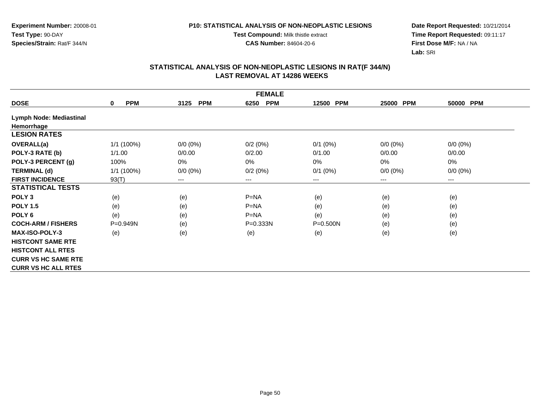**Test Compound:** Milk thistle extract

**CAS Number:** 84604-20-6

**Date Report Requested:** 10/21/2014 **Time Report Requested:** 09:11:17**First Dose M/F:** NA / NA**Lab:** SRI

|                                | <b>FEMALE</b>             |                    |                    |                     |                     |             |  |  |  |
|--------------------------------|---------------------------|--------------------|--------------------|---------------------|---------------------|-------------|--|--|--|
| <b>DOSE</b>                    | <b>PPM</b><br>$\mathbf 0$ | <b>PPM</b><br>3125 | <b>PPM</b><br>6250 | <b>PPM</b><br>12500 | <b>PPM</b><br>25000 | 50000 PPM   |  |  |  |
| <b>Lymph Node: Mediastinal</b> |                           |                    |                    |                     |                     |             |  |  |  |
| Hemorrhage                     |                           |                    |                    |                     |                     |             |  |  |  |
| <b>LESION RATES</b>            |                           |                    |                    |                     |                     |             |  |  |  |
| OVERALL(a)                     | 1/1 (100%)                | $0/0 (0\%)$        | 0/2(0%)            | $0/1$ (0%)          | $0/0 (0\%)$         | $0/0 (0\%)$ |  |  |  |
| POLY-3 RATE (b)                | 1/1.00                    | 0/0.00             | 0/2.00             | 0/1.00              | 0/0.00              | 0/0.00      |  |  |  |
| POLY-3 PERCENT (g)             | 100%                      | 0%                 | 0%                 | $0\%$               | 0%                  | 0%          |  |  |  |
| <b>TERMINAL (d)</b>            | 1/1 (100%)                | $0/0 (0\%)$        | 0/2(0%)            | $0/1$ $(0%)$        | $0/0 (0\%)$         | $0/0 (0\%)$ |  |  |  |
| <b>FIRST INCIDENCE</b>         | 93(T)                     | $\cdots$           | $---$              | ---                 | ---                 | ---         |  |  |  |
| <b>STATISTICAL TESTS</b>       |                           |                    |                    |                     |                     |             |  |  |  |
| POLY <sub>3</sub>              | (e)                       | (e)                | $P = NA$           | (e)                 | (e)                 | (e)         |  |  |  |
| <b>POLY 1.5</b>                | (e)                       | (e)                | $P = NA$           | (e)                 | (e)                 | (e)         |  |  |  |
| POLY <sub>6</sub>              | (e)                       | (e)                | $P = NA$           | (e)                 | (e)                 | (e)         |  |  |  |
| <b>COCH-ARM / FISHERS</b>      | P=0.949N                  | (e)                | $P = 0.333N$       | $P = 0.500N$        | (e)                 | (e)         |  |  |  |
| <b>MAX-ISO-POLY-3</b>          | (e)                       | (e)                | (e)                | (e)                 | (e)                 | (e)         |  |  |  |
| <b>HISTCONT SAME RTE</b>       |                           |                    |                    |                     |                     |             |  |  |  |
| <b>HISTCONT ALL RTES</b>       |                           |                    |                    |                     |                     |             |  |  |  |
| <b>CURR VS HC SAME RTE</b>     |                           |                    |                    |                     |                     |             |  |  |  |
| <b>CURR VS HC ALL RTES</b>     |                           |                    |                    |                     |                     |             |  |  |  |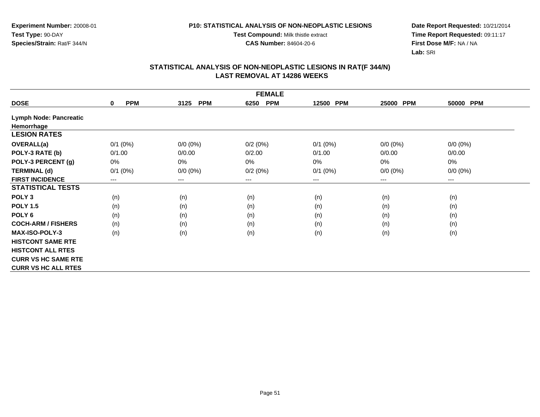**Test Compound:** Milk thistle extract

**CAS Number:** 84604-20-6

**Date Report Requested:** 10/21/2014 **Time Report Requested:** 09:11:17**First Dose M/F:** NA / NA**Lab:** SRI

| <b>FEMALE</b>                 |                           |                    |                    |              |             |             |  |  |
|-------------------------------|---------------------------|--------------------|--------------------|--------------|-------------|-------------|--|--|
| <b>DOSE</b>                   | <b>PPM</b><br>$\mathbf 0$ | <b>PPM</b><br>3125 | <b>PPM</b><br>6250 | 12500 PPM    | 25000 PPM   | 50000 PPM   |  |  |
| <b>Lymph Node: Pancreatic</b> |                           |                    |                    |              |             |             |  |  |
| Hemorrhage                    |                           |                    |                    |              |             |             |  |  |
| <b>LESION RATES</b>           |                           |                    |                    |              |             |             |  |  |
| OVERALL(a)                    | $0/1$ (0%)                | $0/0 (0\%)$        | 0/2(0%)            | $0/1$ (0%)   | $0/0 (0\%)$ | $0/0 (0\%)$ |  |  |
| POLY-3 RATE (b)               | 0/1.00                    | 0/0.00             | 0/2.00             | 0/1.00       | 0/0.00      | 0/0.00      |  |  |
| POLY-3 PERCENT (g)            | 0%                        | 0%                 | $0\%$              | 0%           | 0%          | 0%          |  |  |
| <b>TERMINAL (d)</b>           | $0/1$ (0%)                | $0/0 (0\%)$        | 0/2(0%)            | $0/1$ $(0%)$ | $0/0 (0\%)$ | $0/0 (0\%)$ |  |  |
| <b>FIRST INCIDENCE</b>        | $--$                      | $--$               | ---                | ---          | $---$       | ---         |  |  |
| <b>STATISTICAL TESTS</b>      |                           |                    |                    |              |             |             |  |  |
| POLY <sub>3</sub>             | (n)                       | (n)                | (n)                | (n)          | (n)         | (n)         |  |  |
| <b>POLY 1.5</b>               | (n)                       | (n)                | (n)                | (n)          | (n)         | (n)         |  |  |
| POLY <sub>6</sub>             | (n)                       | (n)                | (n)                | (n)          | (n)         | (n)         |  |  |
| <b>COCH-ARM / FISHERS</b>     | (n)                       | (n)                | (n)                | (n)          | (n)         | (n)         |  |  |
| <b>MAX-ISO-POLY-3</b>         | (n)                       | (n)                | (n)                | (n)          | (n)         | (n)         |  |  |
| <b>HISTCONT SAME RTE</b>      |                           |                    |                    |              |             |             |  |  |
| <b>HISTCONT ALL RTES</b>      |                           |                    |                    |              |             |             |  |  |
| <b>CURR VS HC SAME RTE</b>    |                           |                    |                    |              |             |             |  |  |
| <b>CURR VS HC ALL RTES</b>    |                           |                    |                    |              |             |             |  |  |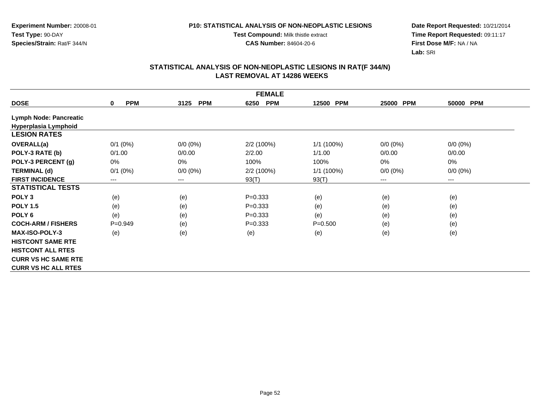**Test Compound:** Milk thistle extract

**CAS Number:** 84604-20-6

**Date Report Requested:** 10/21/2014 **Time Report Requested:** 09:11:17**First Dose M/F:** NA / NA**Lab:** SRI

|                               | <b>FEMALE</b>             |                        |                    |                     |                     |             |  |  |  |
|-------------------------------|---------------------------|------------------------|--------------------|---------------------|---------------------|-------------|--|--|--|
| <b>DOSE</b>                   | <b>PPM</b><br>$\mathbf 0$ | <b>PPM</b><br>3125     | <b>PPM</b><br>6250 | <b>PPM</b><br>12500 | <b>PPM</b><br>25000 | 50000 PPM   |  |  |  |
| <b>Lymph Node: Pancreatic</b> |                           |                        |                    |                     |                     |             |  |  |  |
| Hyperplasia Lymphoid          |                           |                        |                    |                     |                     |             |  |  |  |
| <b>LESION RATES</b>           |                           |                        |                    |                     |                     |             |  |  |  |
| <b>OVERALL(a)</b>             | $0/1$ $(0%)$              | $0/0 (0\%)$            | 2/2(100%)          | 1/1 (100%)          | $0/0 (0\%)$         | $0/0 (0\%)$ |  |  |  |
| POLY-3 RATE (b)               | 0/1.00                    | 0/0.00                 | 2/2.00             | 1/1.00              | 0/0.00              | 0/0.00      |  |  |  |
| POLY-3 PERCENT (g)            | 0%                        | 0%                     | 100%               | 100%                | $0\%$               | 0%          |  |  |  |
| <b>TERMINAL (d)</b>           | $0/1$ (0%)                | $0/0 (0\%)$            | 2/2 (100%)         | 1/1 (100%)          | $0/0 (0\%)$         | $0/0 (0\%)$ |  |  |  |
| <b>FIRST INCIDENCE</b>        | ---                       | $\qquad \qquad \cdots$ | 93(T)              | 93(T)               | $--$                | ---         |  |  |  |
| <b>STATISTICAL TESTS</b>      |                           |                        |                    |                     |                     |             |  |  |  |
| POLY <sub>3</sub>             | (e)                       | (e)                    | $P = 0.333$        | (e)                 | (e)                 | (e)         |  |  |  |
| <b>POLY 1.5</b>               | (e)                       | (e)                    | $P = 0.333$        | (e)                 | (e)                 | (e)         |  |  |  |
| POLY <sub>6</sub>             | (e)                       | (e)                    | $P=0.333$          | (e)                 | (e)                 | (e)         |  |  |  |
| <b>COCH-ARM / FISHERS</b>     | $P=0.949$                 | (e)                    | $P=0.333$          | $P = 0.500$         | (e)                 | (e)         |  |  |  |
| <b>MAX-ISO-POLY-3</b>         | (e)                       | (e)                    | (e)                | (e)                 | (e)                 | (e)         |  |  |  |
| <b>HISTCONT SAME RTE</b>      |                           |                        |                    |                     |                     |             |  |  |  |
| <b>HISTCONT ALL RTES</b>      |                           |                        |                    |                     |                     |             |  |  |  |
| <b>CURR VS HC SAME RTE</b>    |                           |                        |                    |                     |                     |             |  |  |  |
| <b>CURR VS HC ALL RTES</b>    |                           |                        |                    |                     |                     |             |  |  |  |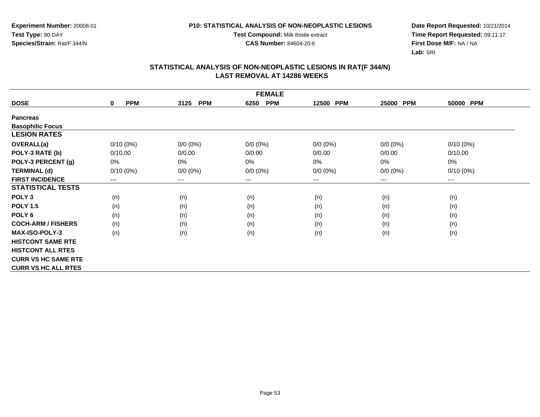#### **P10: STATISTICAL ANALYSIS OF NON-NEOPLASTIC LESIONS**

**Test Compound:** Milk thistle extract

**CAS Number:** 84604-20-6

**Date Report Requested:** 10/21/2014 **Time Report Requested:** 09:11:17**First Dose M/F:** NA / NA**Lab:** SRI

| <b>FEMALE</b>              |                           |                        |                    |             |             |                        |  |  |
|----------------------------|---------------------------|------------------------|--------------------|-------------|-------------|------------------------|--|--|
| <b>DOSE</b>                | <b>PPM</b><br>$\mathbf 0$ | <b>PPM</b><br>3125     | <b>PPM</b><br>6250 | 12500 PPM   | 25000 PPM   | 50000 PPM              |  |  |
| <b>Pancreas</b>            |                           |                        |                    |             |             |                        |  |  |
| <b>Basophilic Focus</b>    |                           |                        |                    |             |             |                        |  |  |
| <b>LESION RATES</b>        |                           |                        |                    |             |             |                        |  |  |
| <b>OVERALL(a)</b>          | $0/10(0\%)$               | $0/0 (0\%)$            | $0/0 (0\%)$        | $0/0 (0\%)$ | $0/0 (0\%)$ | $0/10(0\%)$            |  |  |
| POLY-3 RATE (b)            | 0/10.00                   | 0/0.00                 | 0/0.00             | 0/0.00      | 0/0.00      | 0/10.00                |  |  |
| POLY-3 PERCENT (g)         | 0%                        | 0%                     | 0%                 | 0%          | 0%          | 0%                     |  |  |
| <b>TERMINAL (d)</b>        | $0/10(0\%)$               | $0/0 (0\%)$            | $0/0 (0\%)$        | $0/0 (0\%)$ | $0/0 (0\%)$ | $0/10(0\%)$            |  |  |
| <b>FIRST INCIDENCE</b>     | ---                       | $\qquad \qquad \cdots$ | ---                | ---         | ---         | $\qquad \qquad \cdots$ |  |  |
| <b>STATISTICAL TESTS</b>   |                           |                        |                    |             |             |                        |  |  |
| POLY <sub>3</sub>          | (n)                       | (n)                    | (n)                | (n)         | (n)         | (n)                    |  |  |
| <b>POLY 1.5</b>            | (n)                       | (n)                    | (n)                | (n)         | (n)         | (n)                    |  |  |
| POLY <sub>6</sub>          | (n)                       | (n)                    | (n)                | (n)         | (n)         | (n)                    |  |  |
| <b>COCH-ARM / FISHERS</b>  | (n)                       | (n)                    | (n)                | (n)         | (n)         | (n)                    |  |  |
| <b>MAX-ISO-POLY-3</b>      | (n)                       | (n)                    | (n)                | (n)         | (n)         | (n)                    |  |  |
| <b>HISTCONT SAME RTE</b>   |                           |                        |                    |             |             |                        |  |  |
| <b>HISTCONT ALL RTES</b>   |                           |                        |                    |             |             |                        |  |  |
| <b>CURR VS HC SAME RTE</b> |                           |                        |                    |             |             |                        |  |  |
| <b>CURR VS HC ALL RTES</b> |                           |                        |                    |             |             |                        |  |  |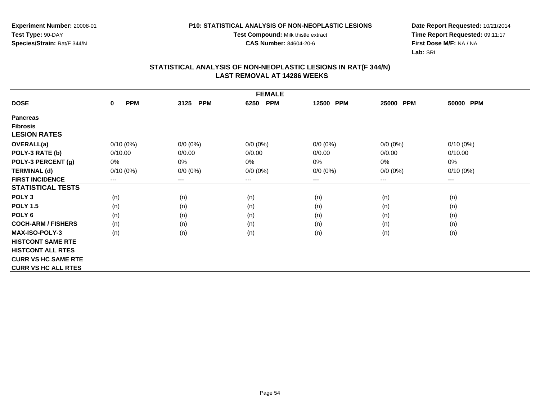#### **P10: STATISTICAL ANALYSIS OF NON-NEOPLASTIC LESIONS**

**Test Compound:** Milk thistle extract

**CAS Number:** 84604-20-6

**Date Report Requested:** 10/21/2014 **Time Report Requested:** 09:11:17**First Dose M/F:** NA / NA**Lab:** SRI

| <b>FEMALE</b>              |                           |                    |                    |             |                        |                        |  |  |
|----------------------------|---------------------------|--------------------|--------------------|-------------|------------------------|------------------------|--|--|
| <b>DOSE</b>                | <b>PPM</b><br>$\mathbf 0$ | <b>PPM</b><br>3125 | <b>PPM</b><br>6250 | 12500 PPM   | 25000 PPM              | 50000 PPM              |  |  |
| <b>Pancreas</b>            |                           |                    |                    |             |                        |                        |  |  |
| <b>Fibrosis</b>            |                           |                    |                    |             |                        |                        |  |  |
| <b>LESION RATES</b>        |                           |                    |                    |             |                        |                        |  |  |
| <b>OVERALL(a)</b>          | $0/10(0\%)$               | $0/0 (0\%)$        | $0/0 (0\%)$        | $0/0 (0\%)$ | $0/0 (0\%)$            | $0/10(0\%)$            |  |  |
| POLY-3 RATE (b)            | 0/10.00                   | 0/0.00             | 0/0.00             | 0/0.00      | 0/0.00                 | 0/10.00                |  |  |
| POLY-3 PERCENT (g)         | 0%                        | 0%                 | 0%                 | 0%          | 0%                     | 0%                     |  |  |
| <b>TERMINAL (d)</b>        | $0/10(0\%)$               | $0/0 (0\%)$        | $0/0 (0\%)$        | $0/0 (0\%)$ | $0/0 (0\%)$            | $0/10(0\%)$            |  |  |
| <b>FIRST INCIDENCE</b>     | $---$                     | ---                | $--$               | ---         | $\qquad \qquad \cdots$ | $\qquad \qquad \cdots$ |  |  |
| <b>STATISTICAL TESTS</b>   |                           |                    |                    |             |                        |                        |  |  |
| POLY <sub>3</sub>          | (n)                       | (n)                | (n)                | (n)         | (n)                    | (n)                    |  |  |
| <b>POLY 1.5</b>            | (n)                       | (n)                | (n)                | (n)         | (n)                    | (n)                    |  |  |
| POLY 6                     | (n)                       | (n)                | (n)                | (n)         | (n)                    | (n)                    |  |  |
| <b>COCH-ARM / FISHERS</b>  | (n)                       | (n)                | (n)                | (n)         | (n)                    | (n)                    |  |  |
| <b>MAX-ISO-POLY-3</b>      | (n)                       | (n)                | (n)                | (n)         | (n)                    | (n)                    |  |  |
| <b>HISTCONT SAME RTE</b>   |                           |                    |                    |             |                        |                        |  |  |
| <b>HISTCONT ALL RTES</b>   |                           |                    |                    |             |                        |                        |  |  |
| <b>CURR VS HC SAME RTE</b> |                           |                    |                    |             |                        |                        |  |  |
| <b>CURR VS HC ALL RTES</b> |                           |                    |                    |             |                        |                        |  |  |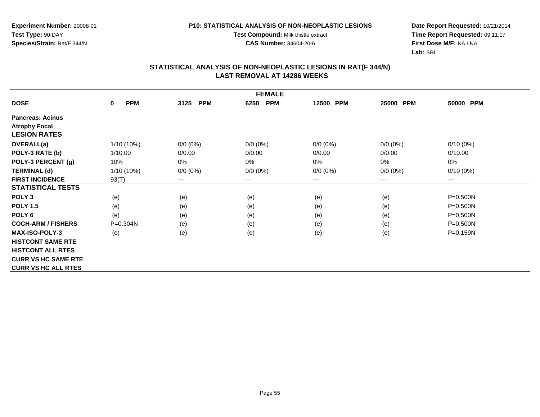#### **P10: STATISTICAL ANALYSIS OF NON-NEOPLASTIC LESIONS**

**Test Compound:** Milk thistle extract

**CAS Number:** 84604-20-6

**Date Report Requested:** 10/21/2014 **Time Report Requested:** 09:11:17**First Dose M/F:** NA / NA**Lab:** SRI

| <b>FEMALE</b>              |                           |                        |                    |             |                     |                        |  |  |
|----------------------------|---------------------------|------------------------|--------------------|-------------|---------------------|------------------------|--|--|
| <b>DOSE</b>                | <b>PPM</b><br>$\mathbf 0$ | 3125<br><b>PPM</b>     | 6250<br><b>PPM</b> | 12500 PPM   | <b>PPM</b><br>25000 | 50000 PPM              |  |  |
| <b>Pancreas: Acinus</b>    |                           |                        |                    |             |                     |                        |  |  |
| <b>Atrophy Focal</b>       |                           |                        |                    |             |                     |                        |  |  |
| <b>LESION RATES</b>        |                           |                        |                    |             |                     |                        |  |  |
| <b>OVERALL(a)</b>          | 1/10 (10%)                | $0/0 (0\%)$            | $0/0 (0\%)$        | $0/0 (0\%)$ | $0/0 (0\%)$         | $0/10(0\%)$            |  |  |
| POLY-3 RATE (b)            | 1/10.00                   | 0/0.00                 | 0/0.00             | 0/0.00      | 0/0.00              | 0/10.00                |  |  |
| POLY-3 PERCENT (g)         | 10%                       | 0%                     | $0\%$              | $0\%$       | 0%                  | $0\%$                  |  |  |
| <b>TERMINAL (d)</b>        | 1/10 (10%)                | $0/0 (0\%)$            | $0/0 (0\%)$        | $0/0 (0\%)$ | $0/0 (0\%)$         | $0/10(0\%)$            |  |  |
| <b>FIRST INCIDENCE</b>     | 93(T)                     | $\qquad \qquad \cdots$ | $---$              | ---         | ---                 | $\qquad \qquad \cdots$ |  |  |
| <b>STATISTICAL TESTS</b>   |                           |                        |                    |             |                     |                        |  |  |
| POLY <sub>3</sub>          | (e)                       | (e)                    | (e)                | (e)         | (e)                 | $P = 0.500N$           |  |  |
| <b>POLY 1.5</b>            | (e)                       | (e)                    | (e)                | (e)         | (e)                 | $P = 0.500N$           |  |  |
| POLY <sub>6</sub>          | (e)                       | (e)                    | (e)                | (e)         | (e)                 | P=0.500N               |  |  |
| <b>COCH-ARM / FISHERS</b>  | $P = 0.304N$              | (e)                    | (e)                | (e)         | (e)                 | $P = 0.500N$           |  |  |
| <b>MAX-ISO-POLY-3</b>      | (e)                       | (e)                    | (e)                | (e)         | (e)                 | P=0.159N               |  |  |
| <b>HISTCONT SAME RTE</b>   |                           |                        |                    |             |                     |                        |  |  |
| <b>HISTCONT ALL RTES</b>   |                           |                        |                    |             |                     |                        |  |  |
| <b>CURR VS HC SAME RTE</b> |                           |                        |                    |             |                     |                        |  |  |
| <b>CURR VS HC ALL RTES</b> |                           |                        |                    |             |                     |                        |  |  |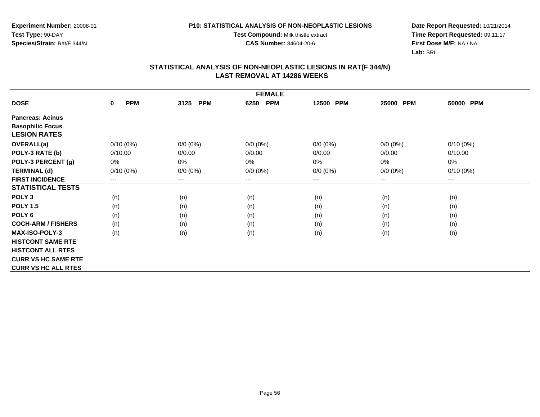#### **P10: STATISTICAL ANALYSIS OF NON-NEOPLASTIC LESIONS**

**Test Compound:** Milk thistle extract

**CAS Number:** 84604-20-6

**Date Report Requested:** 10/21/2014 **Time Report Requested:** 09:11:17**First Dose M/F:** NA / NA**Lab:** SRI

| <b>FEMALE</b>              |                           |                    |                    |             |                        |                        |  |  |
|----------------------------|---------------------------|--------------------|--------------------|-------------|------------------------|------------------------|--|--|
| <b>DOSE</b>                | <b>PPM</b><br>$\mathbf 0$ | <b>PPM</b><br>3125 | <b>PPM</b><br>6250 | 12500 PPM   | 25000<br><b>PPM</b>    | 50000 PPM              |  |  |
| <b>Pancreas: Acinus</b>    |                           |                    |                    |             |                        |                        |  |  |
| <b>Basophilic Focus</b>    |                           |                    |                    |             |                        |                        |  |  |
| <b>LESION RATES</b>        |                           |                    |                    |             |                        |                        |  |  |
| <b>OVERALL(a)</b>          | $0/10(0\%)$               | $0/0 (0\%)$        | $0/0 (0\%)$        | $0/0 (0\%)$ | $0/0 (0\%)$            | $0/10(0\%)$            |  |  |
| POLY-3 RATE (b)            | 0/10.00                   | 0/0.00             | 0/0.00             | 0/0.00      | 0/0.00                 | 0/10.00                |  |  |
| POLY-3 PERCENT (g)         | 0%                        | 0%                 | 0%                 | 0%          | 0%                     | 0%                     |  |  |
| <b>TERMINAL (d)</b>        | $0/10(0\%)$               | $0/0 (0\%)$        | $0/0 (0\%)$        | $0/0 (0\%)$ | $0/0 (0\%)$            | $0/10(0\%)$            |  |  |
| <b>FIRST INCIDENCE</b>     | $---$                     | ---                | $--$               | ---         | $\qquad \qquad \cdots$ | $\qquad \qquad \cdots$ |  |  |
| <b>STATISTICAL TESTS</b>   |                           |                    |                    |             |                        |                        |  |  |
| POLY <sub>3</sub>          | (n)                       | (n)                | (n)                | (n)         | (n)                    | (n)                    |  |  |
| <b>POLY 1.5</b>            | (n)                       | (n)                | (n)                | (n)         | (n)                    | (n)                    |  |  |
| POLY 6                     | (n)                       | (n)                | (n)                | (n)         | (n)                    | (n)                    |  |  |
| <b>COCH-ARM / FISHERS</b>  | (n)                       | (n)                | (n)                | (n)         | (n)                    | (n)                    |  |  |
| <b>MAX-ISO-POLY-3</b>      | (n)                       | (n)                | (n)                | (n)         | (n)                    | (n)                    |  |  |
| <b>HISTCONT SAME RTE</b>   |                           |                    |                    |             |                        |                        |  |  |
| <b>HISTCONT ALL RTES</b>   |                           |                    |                    |             |                        |                        |  |  |
| <b>CURR VS HC SAME RTE</b> |                           |                    |                    |             |                        |                        |  |  |
| <b>CURR VS HC ALL RTES</b> |                           |                    |                    |             |                        |                        |  |  |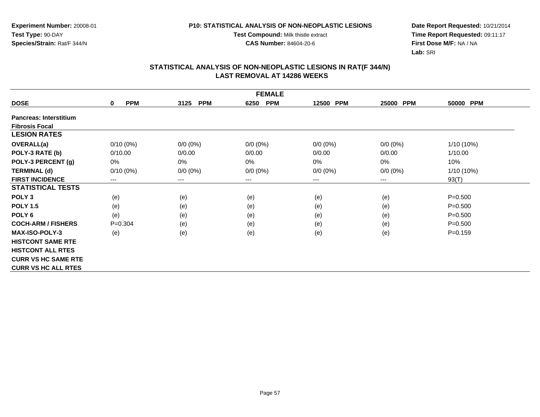**Test Compound:** Milk thistle extract

**CAS Number:** 84604-20-6

**Date Report Requested:** 10/21/2014 **Time Report Requested:** 09:11:17**First Dose M/F:** NA / NA**Lab:** SRI

| <b>FEMALE</b>                 |                            |                        |                    |             |                     |             |  |  |
|-------------------------------|----------------------------|------------------------|--------------------|-------------|---------------------|-------------|--|--|
| <b>DOSE</b>                   | <b>PPM</b><br>$\mathbf{0}$ | <b>PPM</b><br>3125     | <b>PPM</b><br>6250 | 12500 PPM   | <b>PPM</b><br>25000 | 50000 PPM   |  |  |
| <b>Pancreas: Interstitium</b> |                            |                        |                    |             |                     |             |  |  |
| <b>Fibrosis Focal</b>         |                            |                        |                    |             |                     |             |  |  |
| <b>LESION RATES</b>           |                            |                        |                    |             |                     |             |  |  |
| OVERALL(a)                    | $0/10(0\%)$                | $0/0 (0\%)$            | $0/0 (0\%)$        | $0/0 (0\%)$ | $0/0 (0\%)$         | 1/10 (10%)  |  |  |
| POLY-3 RATE (b)               | 0/10.00                    | 0/0.00                 | 0/0.00             | 0/0.00      | 0/0.00              | 1/10.00     |  |  |
| POLY-3 PERCENT (g)            | 0%                         | 0%                     | 0%                 | 0%          | 0%                  | 10%         |  |  |
| <b>TERMINAL (d)</b>           | $0/10(0\%)$                | $0/0 (0\%)$            | $0/0 (0\%)$        | $0/0 (0\%)$ | $0/0 (0\%)$         | 1/10 (10%)  |  |  |
| <b>FIRST INCIDENCE</b>        | ---                        | $\qquad \qquad \cdots$ | $--$               | ---         | ---                 | 93(T)       |  |  |
| <b>STATISTICAL TESTS</b>      |                            |                        |                    |             |                     |             |  |  |
| POLY <sub>3</sub>             | (e)                        | (e)                    | (e)                | (e)         | (e)                 | $P = 0.500$ |  |  |
| <b>POLY 1.5</b>               | (e)                        | (e)                    | (e)                | (e)         | (e)                 | $P = 0.500$ |  |  |
| POLY <sub>6</sub>             | (e)                        | (e)                    | (e)                | (e)         | (e)                 | $P = 0.500$ |  |  |
| <b>COCH-ARM / FISHERS</b>     | $P = 0.304$                | (e)                    | (e)                | (e)         | (e)                 | $P = 0.500$ |  |  |
| <b>MAX-ISO-POLY-3</b>         | (e)                        | (e)                    | (e)                | (e)         | (e)                 | $P = 0.159$ |  |  |
| <b>HISTCONT SAME RTE</b>      |                            |                        |                    |             |                     |             |  |  |
| <b>HISTCONT ALL RTES</b>      |                            |                        |                    |             |                     |             |  |  |
| <b>CURR VS HC SAME RTE</b>    |                            |                        |                    |             |                     |             |  |  |
| <b>CURR VS HC ALL RTES</b>    |                            |                        |                    |             |                     |             |  |  |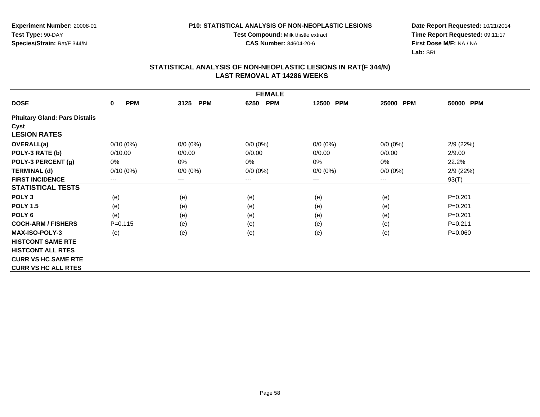**Test Compound:** Milk thistle extract

**CAS Number:** 84604-20-6

**Date Report Requested:** 10/21/2014 **Time Report Requested:** 09:11:17**First Dose M/F:** NA / NA**Lab:** SRI

| <b>FEMALE</b>                         |                           |                    |                    |                     |             |             |  |  |
|---------------------------------------|---------------------------|--------------------|--------------------|---------------------|-------------|-------------|--|--|
| <b>DOSE</b>                           | <b>PPM</b><br>$\mathbf 0$ | <b>PPM</b><br>3125 | <b>PPM</b><br>6250 | <b>PPM</b><br>12500 | 25000 PPM   | 50000 PPM   |  |  |
| <b>Pituitary Gland: Pars Distalis</b> |                           |                    |                    |                     |             |             |  |  |
| Cyst                                  |                           |                    |                    |                     |             |             |  |  |
| <b>LESION RATES</b>                   |                           |                    |                    |                     |             |             |  |  |
| OVERALL(a)                            | $0/10(0\%)$               | $0/0 (0\%)$        | $0/0 (0\%)$        | $0/0 (0\%)$         | $0/0 (0\%)$ | 2/9 (22%)   |  |  |
| POLY-3 RATE (b)                       | 0/10.00                   | 0/0.00             | 0/0.00             | 0/0.00              | 0/0.00      | 2/9.00      |  |  |
| POLY-3 PERCENT (g)                    | 0%                        | 0%                 | 0%                 | $0\%$               | 0%          | 22.2%       |  |  |
| <b>TERMINAL (d)</b>                   | $0/10(0\%)$               | $0/0 (0\%)$        | $0/0 (0\%)$        | $0/0 (0\%)$         | $0/0 (0\%)$ | 2/9(22%)    |  |  |
| <b>FIRST INCIDENCE</b>                | $---$                     | $---$              | ---                | $---$               | ---         | 93(T)       |  |  |
| <b>STATISTICAL TESTS</b>              |                           |                    |                    |                     |             |             |  |  |
| POLY <sub>3</sub>                     | (e)                       | (e)                | (e)                | (e)                 | (e)         | $P = 0.201$ |  |  |
| <b>POLY 1.5</b>                       | (e)                       | (e)                | (e)                | (e)                 | (e)         | $P = 0.201$ |  |  |
| POLY <sub>6</sub>                     | (e)                       | (e)                | (e)                | (e)                 | (e)         | $P = 0.201$ |  |  |
| <b>COCH-ARM / FISHERS</b>             | $P = 0.115$               | (e)                | (e)                | (e)                 | (e)         | $P = 0.211$ |  |  |
| <b>MAX-ISO-POLY-3</b>                 | (e)                       | (e)                | (e)                | (e)                 | (e)         | $P = 0.060$ |  |  |
| <b>HISTCONT SAME RTE</b>              |                           |                    |                    |                     |             |             |  |  |
| <b>HISTCONT ALL RTES</b>              |                           |                    |                    |                     |             |             |  |  |
| <b>CURR VS HC SAME RTE</b>            |                           |                    |                    |                     |             |             |  |  |
| <b>CURR VS HC ALL RTES</b>            |                           |                    |                    |                     |             |             |  |  |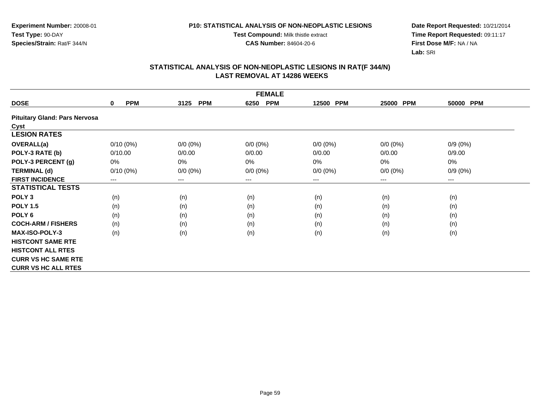**Test Compound:** Milk thistle extract

**CAS Number:** 84604-20-6

**Date Report Requested:** 10/21/2014 **Time Report Requested:** 09:11:17**First Dose M/F:** NA / NA**Lab:** SRI

|                                      | <b>FEMALE</b>          |                    |                    |                     |             |            |  |  |  |
|--------------------------------------|------------------------|--------------------|--------------------|---------------------|-------------|------------|--|--|--|
| <b>DOSE</b>                          | <b>PPM</b><br>0        | <b>PPM</b><br>3125 | <b>PPM</b><br>6250 | <b>PPM</b><br>12500 | 25000 PPM   | 50000 PPM  |  |  |  |
| <b>Pituitary Gland: Pars Nervosa</b> |                        |                    |                    |                     |             |            |  |  |  |
| Cyst                                 |                        |                    |                    |                     |             |            |  |  |  |
| <b>LESION RATES</b>                  |                        |                    |                    |                     |             |            |  |  |  |
| <b>OVERALL(a)</b>                    | $0/10(0\%)$            | $0/0 (0\%)$        | $0/0 (0\%)$        | $0/0 (0\%)$         | $0/0 (0\%)$ | $0/9(0\%)$ |  |  |  |
| POLY-3 RATE (b)                      | 0/10.00                | 0/0.00             | 0/0.00             | 0/0.00              | 0/0.00      | 0/9.00     |  |  |  |
| POLY-3 PERCENT (g)                   | 0%                     | 0%                 | 0%                 | 0%                  | 0%          | 0%         |  |  |  |
| <b>TERMINAL (d)</b>                  | $0/10(0\%)$            | $0/0 (0\%)$        | $0/0 (0\%)$        | $0/0 (0\%)$         | $0/0 (0\%)$ | $0/9(0\%)$ |  |  |  |
| <b>FIRST INCIDENCE</b>               | $\qquad \qquad \cdots$ | $---$              | ---                | $---$               | ---         | $--$       |  |  |  |
| <b>STATISTICAL TESTS</b>             |                        |                    |                    |                     |             |            |  |  |  |
| POLY <sub>3</sub>                    | (n)                    | (n)                | (n)                | (n)                 | (n)         | (n)        |  |  |  |
| <b>POLY 1.5</b>                      | (n)                    | (n)                | (n)                | (n)                 | (n)         | (n)        |  |  |  |
| POLY <sub>6</sub>                    | (n)                    | (n)                | (n)                | (n)                 | (n)         | (n)        |  |  |  |
| <b>COCH-ARM / FISHERS</b>            | (n)                    | (n)                | (n)                | (n)                 | (n)         | (n)        |  |  |  |
| <b>MAX-ISO-POLY-3</b>                | (n)                    | (n)                | (n)                | (n)                 | (n)         | (n)        |  |  |  |
| <b>HISTCONT SAME RTE</b>             |                        |                    |                    |                     |             |            |  |  |  |
| <b>HISTCONT ALL RTES</b>             |                        |                    |                    |                     |             |            |  |  |  |
| <b>CURR VS HC SAME RTE</b>           |                        |                    |                    |                     |             |            |  |  |  |
| <b>CURR VS HC ALL RTES</b>           |                        |                    |                    |                     |             |            |  |  |  |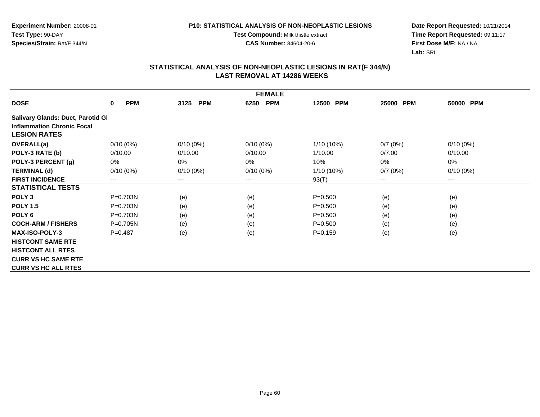**Test Compound:** Milk thistle extract

**CAS Number:** 84604-20-6

**Date Report Requested:** 10/21/2014 **Time Report Requested:** 09:11:17**First Dose M/F:** NA / NA**Lab:** SRI

| <b>FEMALE</b>                     |                        |                    |                    |                     |           |             |  |  |
|-----------------------------------|------------------------|--------------------|--------------------|---------------------|-----------|-------------|--|--|
| <b>DOSE</b>                       | <b>PPM</b><br>0        | <b>PPM</b><br>3125 | <b>PPM</b><br>6250 | <b>PPM</b><br>12500 | 25000 PPM | 50000 PPM   |  |  |
| Salivary Glands: Duct, Parotid Gl |                        |                    |                    |                     |           |             |  |  |
| <b>Inflammation Chronic Focal</b> |                        |                    |                    |                     |           |             |  |  |
| <b>LESION RATES</b>               |                        |                    |                    |                     |           |             |  |  |
| OVERALL(a)                        | $0/10(0\%)$            | $0/10(0\%)$        | $0/10(0\%)$        | 1/10 (10%)          | 0/7(0%)   | $0/10(0\%)$ |  |  |
| POLY-3 RATE (b)                   | 0/10.00                | 0/10.00            | 0/10.00            | 1/10.00             | 0/7.00    | 0/10.00     |  |  |
| POLY-3 PERCENT (g)                | 0%                     | 0%                 | $0\%$              | 10%                 | 0%        | 0%          |  |  |
| <b>TERMINAL (d)</b>               | $0/10(0\%)$            | $0/10(0\%)$        | $0/10(0\%)$        | 1/10 (10%)          | 0/7(0%)   | $0/10(0\%)$ |  |  |
| <b>FIRST INCIDENCE</b>            | $\qquad \qquad \cdots$ | $---$              | ---                | 93(T)               | ---       | $---$       |  |  |
| <b>STATISTICAL TESTS</b>          |                        |                    |                    |                     |           |             |  |  |
| POLY <sub>3</sub>                 | P=0.703N               | (e)                | (e)                | $P = 0.500$         | (e)       | (e)         |  |  |
| <b>POLY 1.5</b>                   | $P = 0.703N$           | (e)                | (e)                | $P = 0.500$         | (e)       | (e)         |  |  |
| POLY <sub>6</sub>                 | $P = 0.703N$           | (e)                | (e)                | $P = 0.500$         | (e)       | (e)         |  |  |
| <b>COCH-ARM / FISHERS</b>         | $P=0.705N$             | (e)                | (e)                | $P = 0.500$         | (e)       | (e)         |  |  |
| <b>MAX-ISO-POLY-3</b>             | $P=0.487$              | (e)                | (e)                | $P=0.159$           | (e)       | (e)         |  |  |
| <b>HISTCONT SAME RTE</b>          |                        |                    |                    |                     |           |             |  |  |
| <b>HISTCONT ALL RTES</b>          |                        |                    |                    |                     |           |             |  |  |
| <b>CURR VS HC SAME RTE</b>        |                        |                    |                    |                     |           |             |  |  |
| <b>CURR VS HC ALL RTES</b>        |                        |                    |                    |                     |           |             |  |  |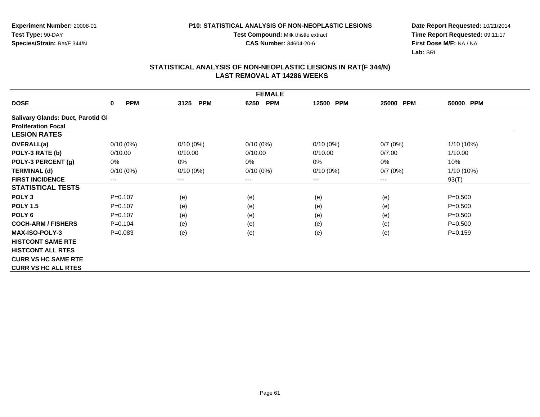**Test Compound:** Milk thistle extract

**CAS Number:** 84604-20-6

**Date Report Requested:** 10/21/2014 **Time Report Requested:** 09:11:17**First Dose M/F:** NA / NA**Lab:** SRI

|                                          |                 |                    | <b>FEMALE</b>      |                     |                     |             |
|------------------------------------------|-----------------|--------------------|--------------------|---------------------|---------------------|-------------|
| <b>DOSE</b>                              | <b>PPM</b><br>0 | <b>PPM</b><br>3125 | <b>PPM</b><br>6250 | 12500<br><b>PPM</b> | <b>PPM</b><br>25000 | 50000 PPM   |
| <b>Salivary Glands: Duct, Parotid Gl</b> |                 |                    |                    |                     |                     |             |
| <b>Proliferation Focal</b>               |                 |                    |                    |                     |                     |             |
| <b>LESION RATES</b>                      |                 |                    |                    |                     |                     |             |
| <b>OVERALL(a)</b>                        | $0/10(0\%)$     | $0/10(0\%)$        | $0/10(0\%)$        | $0/10(0\%)$         | 0/7(0%)             | 1/10 (10%)  |
| POLY-3 RATE (b)                          | 0/10.00         | 0/10.00            | 0/10.00            | 0/10.00             | 0/7.00              | 1/10.00     |
| POLY-3 PERCENT (g)                       | 0%              | 0%                 | 0%                 | 0%                  | 0%                  | 10%         |
| <b>TERMINAL (d)</b>                      | $0/10(0\%)$     | $0/10(0\%)$        | $0/10(0\%)$        | $0/10(0\%)$         | 0/7(0%)             | 1/10 (10%)  |
| <b>FIRST INCIDENCE</b>                   | $---$           | $---$              | $---$              | ---                 | $---$               | 93(T)       |
| <b>STATISTICAL TESTS</b>                 |                 |                    |                    |                     |                     |             |
| POLY <sub>3</sub>                        | $P=0.107$       | (e)                | (e)                | (e)                 | (e)                 | $P = 0.500$ |
| <b>POLY 1.5</b>                          | $P=0.107$       | (e)                | (e)                | (e)                 | (e)                 | $P = 0.500$ |
| POLY <sub>6</sub>                        | $P=0.107$       | (e)                | (e)                | (e)                 | (e)                 | $P = 0.500$ |
| <b>COCH-ARM / FISHERS</b>                | $P=0.104$       | (e)                | (e)                | (e)                 | (e)                 | $P = 0.500$ |
| <b>MAX-ISO-POLY-3</b>                    | $P=0.083$       | (e)                | (e)                | (e)                 | (e)                 | $P = 0.159$ |
| <b>HISTCONT SAME RTE</b>                 |                 |                    |                    |                     |                     |             |
| <b>HISTCONT ALL RTES</b>                 |                 |                    |                    |                     |                     |             |
| <b>CURR VS HC SAME RTE</b>               |                 |                    |                    |                     |                     |             |
| <b>CURR VS HC ALL RTES</b>               |                 |                    |                    |                     |                     |             |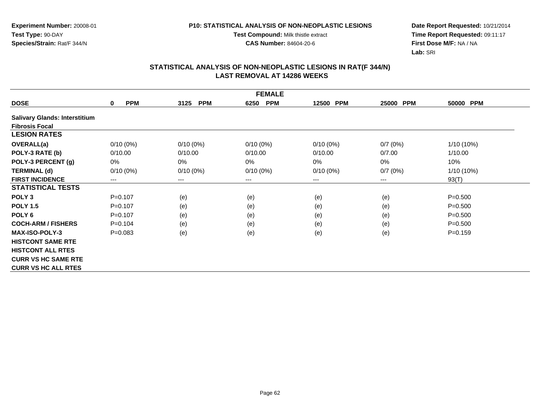**Test Compound:** Milk thistle extract

**CAS Number:** 84604-20-6

**Date Report Requested:** 10/21/2014 **Time Report Requested:** 09:11:17**First Dose M/F:** NA / NA**Lab:** SRI

|                                      | <b>FEMALE</b>          |                    |                    |                     |           |             |
|--------------------------------------|------------------------|--------------------|--------------------|---------------------|-----------|-------------|
| <b>DOSE</b>                          | <b>PPM</b><br>$\bf{0}$ | <b>PPM</b><br>3125 | <b>PPM</b><br>6250 | <b>PPM</b><br>12500 | 25000 PPM | 50000 PPM   |
| <b>Salivary Glands: Interstitium</b> |                        |                    |                    |                     |           |             |
| <b>Fibrosis Focal</b>                |                        |                    |                    |                     |           |             |
| <b>LESION RATES</b>                  |                        |                    |                    |                     |           |             |
| <b>OVERALL(a)</b>                    | $0/10(0\%)$            | $0/10(0\%)$        | $0/10(0\%)$        | $0/10(0\%)$         | 0/7(0%)   | 1/10 (10%)  |
| POLY-3 RATE (b)                      | 0/10.00                | 0/10.00            | 0/10.00            | 0/10.00             | 0/7.00    | 1/10.00     |
| POLY-3 PERCENT (g)                   | 0%                     | 0%                 | 0%                 | $0\%$               | 0%        | 10%         |
| <b>TERMINAL (d)</b>                  | $0/10(0\%)$            | $0/10(0\%)$        | $0/10(0\%)$        | $0/10(0\%)$         | 0/7(0%)   | 1/10 (10%)  |
| <b>FIRST INCIDENCE</b>               | $---$                  | $---$              | ---                | ---                 | ---       | 93(T)       |
| <b>STATISTICAL TESTS</b>             |                        |                    |                    |                     |           |             |
| POLY <sub>3</sub>                    | $P = 0.107$            | (e)                | (e)                | (e)                 | (e)       | $P = 0.500$ |
| <b>POLY 1.5</b>                      | $P=0.107$              | (e)                | (e)                | (e)                 | (e)       | $P = 0.500$ |
| POLY <sub>6</sub>                    | $P = 0.107$            | (e)                | (e)                | (e)                 | (e)       | $P = 0.500$ |
| <b>COCH-ARM / FISHERS</b>            | $P=0.104$              | (e)                | (e)                | (e)                 | (e)       | $P = 0.500$ |
| <b>MAX-ISO-POLY-3</b>                | $P = 0.083$            | (e)                | (e)                | (e)                 | (e)       | $P = 0.159$ |
| <b>HISTCONT SAME RTE</b>             |                        |                    |                    |                     |           |             |
| <b>HISTCONT ALL RTES</b>             |                        |                    |                    |                     |           |             |
| <b>CURR VS HC SAME RTE</b>           |                        |                    |                    |                     |           |             |
| <b>CURR VS HC ALL RTES</b>           |                        |                    |                    |                     |           |             |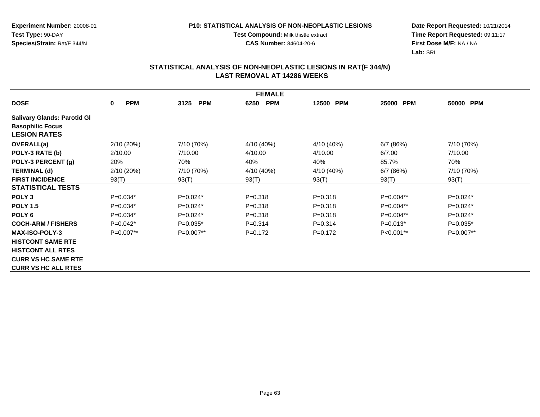**Test Compound:** Milk thistle extract

**CAS Number:** 84604-20-6

**Date Report Requested:** 10/21/2014 **Time Report Requested:** 09:11:17**First Dose M/F:** NA / NA**Lab:** SRI

|                                    | <b>FEMALE</b>             |                    |                    |                     |             |             |  |
|------------------------------------|---------------------------|--------------------|--------------------|---------------------|-------------|-------------|--|
| <b>DOSE</b>                        | <b>PPM</b><br>$\mathbf 0$ | <b>PPM</b><br>3125 | <b>PPM</b><br>6250 | <b>PPM</b><br>12500 | 25000 PPM   | 50000 PPM   |  |
| <b>Salivary Glands: Parotid Gl</b> |                           |                    |                    |                     |             |             |  |
| <b>Basophilic Focus</b>            |                           |                    |                    |                     |             |             |  |
| <b>LESION RATES</b>                |                           |                    |                    |                     |             |             |  |
| OVERALL(a)                         | 2/10(20%)                 | 7/10 (70%)         | 4/10 (40%)         | 4/10 (40%)          | 6/7(86%)    | 7/10 (70%)  |  |
| POLY-3 RATE (b)                    | 2/10.00                   | 7/10.00            | 4/10.00            | 4/10.00             | 6/7.00      | 7/10.00     |  |
| POLY-3 PERCENT (g)                 | 20%                       | 70%                | 40%                | 40%                 | 85.7%       | 70%         |  |
| <b>TERMINAL (d)</b>                | 2/10(20%)                 | 7/10 (70%)         | 4/10 (40%)         | 4/10 (40%)          | 6/7(86%)    | 7/10 (70%)  |  |
| <b>FIRST INCIDENCE</b>             | 93(T)                     | 93(T)              | 93(T)              | 93(T)               | 93(T)       | 93(T)       |  |
| <b>STATISTICAL TESTS</b>           |                           |                    |                    |                     |             |             |  |
| POLY <sub>3</sub>                  | $P=0.034*$                | $P=0.024*$         | $P = 0.318$        | $P = 0.318$         | $P=0.004**$ | $P=0.024*$  |  |
| <b>POLY 1.5</b>                    | $P=0.034*$                | $P=0.024*$         | $P = 0.318$        | $P = 0.318$         | P=0.004**   | $P=0.024*$  |  |
| POLY <sub>6</sub>                  | $P=0.034*$                | $P=0.024*$         | $P = 0.318$        | $P = 0.318$         | P=0.004**   | $P=0.024*$  |  |
| <b>COCH-ARM / FISHERS</b>          | $P=0.042*$                | $P=0.035*$         | $P = 0.314$        | $P = 0.314$         | $P=0.013*$  | $P=0.035*$  |  |
| <b>MAX-ISO-POLY-3</b>              | $P=0.007**$               | $P=0.007**$        | $P=0.172$          | $P=0.172$           | $P<0.001**$ | $P=0.007**$ |  |
| <b>HISTCONT SAME RTE</b>           |                           |                    |                    |                     |             |             |  |
| <b>HISTCONT ALL RTES</b>           |                           |                    |                    |                     |             |             |  |
| <b>CURR VS HC SAME RTE</b>         |                           |                    |                    |                     |             |             |  |
| <b>CURR VS HC ALL RTES</b>         |                           |                    |                    |                     |             |             |  |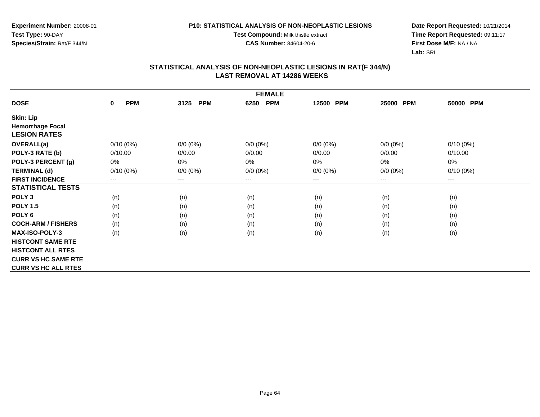#### **P10: STATISTICAL ANALYSIS OF NON-NEOPLASTIC LESIONS**

**Test Compound:** Milk thistle extract

**CAS Number:** 84604-20-6

**Date Report Requested:** 10/21/2014 **Time Report Requested:** 09:11:17**First Dose M/F:** NA / NA**Lab:** SRI

|                            | <b>FEMALE</b>             |                        |                    |             |             |                        |
|----------------------------|---------------------------|------------------------|--------------------|-------------|-------------|------------------------|
| <b>DOSE</b>                | <b>PPM</b><br>$\mathbf 0$ | <b>PPM</b><br>3125     | <b>PPM</b><br>6250 | 12500 PPM   | 25000 PPM   | 50000 PPM              |
| <b>Skin: Lip</b>           |                           |                        |                    |             |             |                        |
| <b>Hemorrhage Focal</b>    |                           |                        |                    |             |             |                        |
| <b>LESION RATES</b>        |                           |                        |                    |             |             |                        |
| <b>OVERALL(a)</b>          | $0/10(0\%)$               | $0/0 (0\%)$            | $0/0 (0\%)$        | $0/0 (0\%)$ | $0/0 (0\%)$ | $0/10(0\%)$            |
| POLY-3 RATE (b)            | 0/10.00                   | 0/0.00                 | 0/0.00             | 0/0.00      | 0/0.00      | 0/10.00                |
| POLY-3 PERCENT (g)         | 0%                        | 0%                     | 0%                 | 0%          | 0%          | 0%                     |
| <b>TERMINAL (d)</b>        | $0/10(0\%)$               | $0/0 (0\%)$            | $0/0 (0\%)$        | $0/0 (0\%)$ | $0/0 (0\%)$ | $0/10(0\%)$            |
| <b>FIRST INCIDENCE</b>     | ---                       | $\qquad \qquad \cdots$ | ---                | ---         | ---         | $\qquad \qquad \cdots$ |
| <b>STATISTICAL TESTS</b>   |                           |                        |                    |             |             |                        |
| POLY <sub>3</sub>          | (n)                       | (n)                    | (n)                | (n)         | (n)         | (n)                    |
| <b>POLY 1.5</b>            | (n)                       | (n)                    | (n)                | (n)         | (n)         | (n)                    |
| POLY <sub>6</sub>          | (n)                       | (n)                    | (n)                | (n)         | (n)         | (n)                    |
| <b>COCH-ARM / FISHERS</b>  | (n)                       | (n)                    | (n)                | (n)         | (n)         | (n)                    |
| <b>MAX-ISO-POLY-3</b>      | (n)                       | (n)                    | (n)                | (n)         | (n)         | (n)                    |
| <b>HISTCONT SAME RTE</b>   |                           |                        |                    |             |             |                        |
| <b>HISTCONT ALL RTES</b>   |                           |                        |                    |             |             |                        |
| <b>CURR VS HC SAME RTE</b> |                           |                        |                    |             |             |                        |
| <b>CURR VS HC ALL RTES</b> |                           |                        |                    |             |             |                        |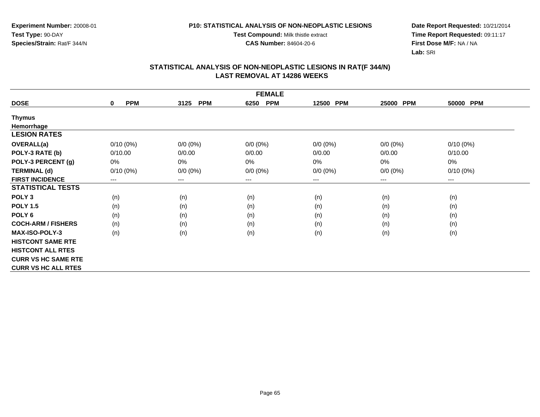**Experiment Number:** 20008-01**Test Type:** 90-DAY**Species/Strain:** Rat/F 344/N

**Test Compound:** Milk thistle extract

**CAS Number:** 84604-20-6

**Date Report Requested:** 10/21/2014 **Time Report Requested:** 09:11:17**First Dose M/F:** NA / NA**Lab:** SRI

|                            | <b>FEMALE</b>             |                    |                    |             |                     |             |
|----------------------------|---------------------------|--------------------|--------------------|-------------|---------------------|-------------|
| <b>DOSE</b>                | <b>PPM</b><br>$\mathbf 0$ | <b>PPM</b><br>3125 | <b>PPM</b><br>6250 | 12500 PPM   | <b>PPM</b><br>25000 | 50000 PPM   |
| Thymus                     |                           |                    |                    |             |                     |             |
| Hemorrhage                 |                           |                    |                    |             |                     |             |
| <b>LESION RATES</b>        |                           |                    |                    |             |                     |             |
| <b>OVERALL(a)</b>          | $0/10(0\%)$               | $0/0 (0\%)$        | $0/0 (0\%)$        | $0/0 (0\%)$ | $0/0 (0\%)$         | $0/10(0\%)$ |
| POLY-3 RATE (b)            | 0/10.00                   | 0/0.00             | 0/0.00             | 0/0.00      | 0/0.00              | 0/10.00     |
| POLY-3 PERCENT (g)         | 0%                        | 0%                 | 0%                 | 0%          | 0%                  | 0%          |
| <b>TERMINAL (d)</b>        | $0/10(0\%)$               | $0/0 (0\%)$        | $0/0 (0\%)$        | $0/0 (0\%)$ | $0/0 (0\%)$         | $0/10(0\%)$ |
| <b>FIRST INCIDENCE</b>     | ---                       | ---                | $--$               | ---         | ---                 | $--$        |
| <b>STATISTICAL TESTS</b>   |                           |                    |                    |             |                     |             |
| POLY <sub>3</sub>          | (n)                       | (n)                | (n)                | (n)         | (n)                 | (n)         |
| <b>POLY 1.5</b>            | (n)                       | (n)                | (n)                | (n)         | (n)                 | (n)         |
| POLY <sub>6</sub>          | (n)                       | (n)                | (n)                | (n)         | (n)                 | (n)         |
| <b>COCH-ARM / FISHERS</b>  | (n)                       | (n)                | (n)                | (n)         | (n)                 | (n)         |
| <b>MAX-ISO-POLY-3</b>      | (n)                       | (n)                | (n)                | (n)         | (n)                 | (n)         |
| <b>HISTCONT SAME RTE</b>   |                           |                    |                    |             |                     |             |
| <b>HISTCONT ALL RTES</b>   |                           |                    |                    |             |                     |             |
| <b>CURR VS HC SAME RTE</b> |                           |                    |                    |             |                     |             |
| <b>CURR VS HC ALL RTES</b> |                           |                    |                    |             |                     |             |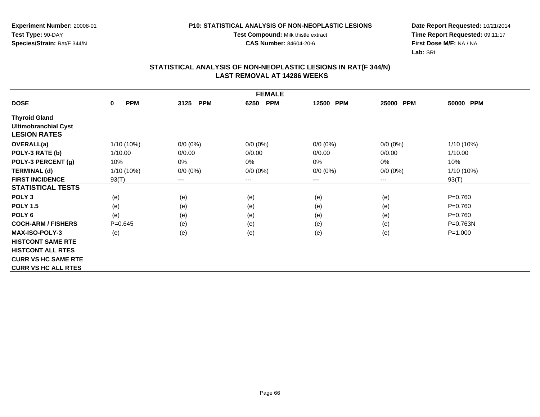#### **P10: STATISTICAL ANALYSIS OF NON-NEOPLASTIC LESIONS**

**Test Compound:** Milk thistle extract

**CAS Number:** 84604-20-6

**Date Report Requested:** 10/21/2014 **Time Report Requested:** 09:11:17**First Dose M/F:** NA / NA**Lab:** SRI

|                             | <b>FEMALE</b>             |                        |                    |             |                     |              |
|-----------------------------|---------------------------|------------------------|--------------------|-------------|---------------------|--------------|
| <b>DOSE</b>                 | <b>PPM</b><br>$\mathbf 0$ | <b>PPM</b><br>3125     | <b>PPM</b><br>6250 | 12500 PPM   | <b>PPM</b><br>25000 | 50000 PPM    |
| <b>Thyroid Gland</b>        |                           |                        |                    |             |                     |              |
| <b>Ultimobranchial Cyst</b> |                           |                        |                    |             |                     |              |
| <b>LESION RATES</b>         |                           |                        |                    |             |                     |              |
| <b>OVERALL(a)</b>           | 1/10 (10%)                | $0/0 (0\%)$            | $0/0 (0\%)$        | $0/0 (0\%)$ | $0/0 (0\%)$         | 1/10 (10%)   |
| POLY-3 RATE (b)             | 1/10.00                   | 0/0.00                 | 0/0.00             | 0/0.00      | 0/0.00              | 1/10.00      |
| POLY-3 PERCENT (g)          | 10%                       | 0%                     | 0%                 | 0%          | 0%                  | 10%          |
| <b>TERMINAL (d)</b>         | $1/10(10\%)$              | $0/0 (0\%)$            | $0/0 (0\%)$        | $0/0 (0\%)$ | $0/0 (0\%)$         | 1/10 (10%)   |
| <b>FIRST INCIDENCE</b>      | 93(T)                     | $\qquad \qquad \cdots$ | $---$              | ---         | ---                 | 93(T)        |
| <b>STATISTICAL TESTS</b>    |                           |                        |                    |             |                     |              |
| POLY <sub>3</sub>           | (e)                       | (e)                    | (e)                | (e)         | (e)                 | $P = 0.760$  |
| <b>POLY 1.5</b>             | (e)                       | (e)                    | (e)                | (e)         | (e)                 | $P=0.760$    |
| POLY <sub>6</sub>           | (e)                       | (e)                    | (e)                | (e)         | (e)                 | $P = 0.760$  |
| <b>COCH-ARM / FISHERS</b>   | $P = 0.645$               | (e)                    | (e)                | (e)         | (e)                 | $P = 0.763N$ |
| <b>MAX-ISO-POLY-3</b>       | (e)                       | (e)                    | (e)                | (e)         | (e)                 | $P = 1.000$  |
| <b>HISTCONT SAME RTE</b>    |                           |                        |                    |             |                     |              |
| <b>HISTCONT ALL RTES</b>    |                           |                        |                    |             |                     |              |
| <b>CURR VS HC SAME RTE</b>  |                           |                        |                    |             |                     |              |
| <b>CURR VS HC ALL RTES</b>  |                           |                        |                    |             |                     |              |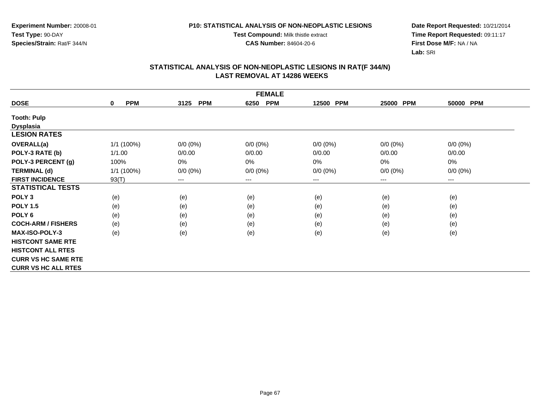**Experiment Number:** 20008-01**Test Type:** 90-DAY**Species/Strain:** Rat/F 344/N

**Test Compound:** Milk thistle extract

**CAS Number:** 84604-20-6

**Date Report Requested:** 10/21/2014 **Time Report Requested:** 09:11:17**First Dose M/F:** NA / NA**Lab:** SRI

|                            | <b>FEMALE</b>             |                    |                    |             |                     |                        |
|----------------------------|---------------------------|--------------------|--------------------|-------------|---------------------|------------------------|
| <b>DOSE</b>                | <b>PPM</b><br>$\mathbf 0$ | <b>PPM</b><br>3125 | <b>PPM</b><br>6250 | 12500 PPM   | <b>PPM</b><br>25000 | 50000 PPM              |
| <b>Tooth: Pulp</b>         |                           |                    |                    |             |                     |                        |
| <b>Dysplasia</b>           |                           |                    |                    |             |                     |                        |
| <b>LESION RATES</b>        |                           |                    |                    |             |                     |                        |
| <b>OVERALL(a)</b>          | 1/1 (100%)                | $0/0 (0\%)$        | $0/0 (0\%)$        | $0/0 (0\%)$ | $0/0 (0\%)$         | $0/0 (0\%)$            |
| POLY-3 RATE (b)            | 1/1.00                    | 0/0.00             | 0/0.00             | 0/0.00      | 0/0.00              | 0/0.00                 |
| POLY-3 PERCENT (g)         | 100%                      | 0%                 | 0%                 | 0%          | 0%                  | 0%                     |
| <b>TERMINAL (d)</b>        | 1/1 (100%)                | $0/0 (0\%)$        | $0/0 (0\%)$        | $0/0 (0\%)$ | $0/0 (0\%)$         | $0/0 (0\%)$            |
| <b>FIRST INCIDENCE</b>     | 93(T)                     | ---                | $--$               | ---         | $--$                | $\qquad \qquad \cdots$ |
| <b>STATISTICAL TESTS</b>   |                           |                    |                    |             |                     |                        |
| POLY <sub>3</sub>          | (e)                       | (e)                | (e)                | (e)         | (e)                 | (e)                    |
| <b>POLY 1.5</b>            | (e)                       | (e)                | (e)                | (e)         | (e)                 | (e)                    |
| POLY <sub>6</sub>          | (e)                       | (e)                | (e)                | (e)         | (e)                 | (e)                    |
| <b>COCH-ARM / FISHERS</b>  | (e)                       | (e)                | (e)                | (e)         | (e)                 | (e)                    |
| <b>MAX-ISO-POLY-3</b>      | (e)                       | (e)                | (e)                | (e)         | (e)                 | (e)                    |
| <b>HISTCONT SAME RTE</b>   |                           |                    |                    |             |                     |                        |
| <b>HISTCONT ALL RTES</b>   |                           |                    |                    |             |                     |                        |
| <b>CURR VS HC SAME RTE</b> |                           |                    |                    |             |                     |                        |
| <b>CURR VS HC ALL RTES</b> |                           |                    |                    |             |                     |                        |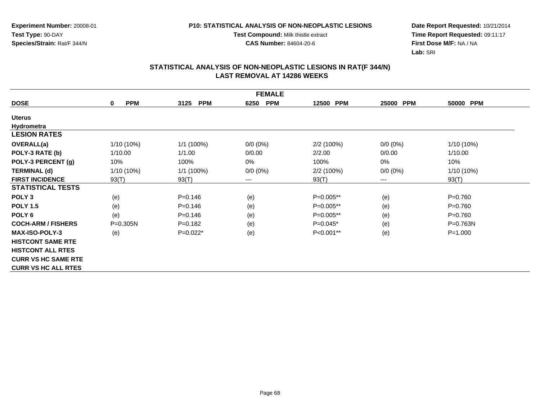#### **P10: STATISTICAL ANALYSIS OF NON-NEOPLASTIC LESIONS**

**Test Compound:** Milk thistle extract

**CAS Number:** 84604-20-6

**Date Report Requested:** 10/21/2014 **Time Report Requested:** 09:11:17**First Dose M/F:** NA / NA**Lab:** SRI

|                            | <b>FEMALE</b>              |                    |                    |             |             |              |
|----------------------------|----------------------------|--------------------|--------------------|-------------|-------------|--------------|
| <b>DOSE</b>                | <b>PPM</b><br>$\mathbf{0}$ | <b>PPM</b><br>3125 | <b>PPM</b><br>6250 | 12500 PPM   | 25000 PPM   | 50000 PPM    |
| <b>Uterus</b>              |                            |                    |                    |             |             |              |
| Hydrometra                 |                            |                    |                    |             |             |              |
| <b>LESION RATES</b>        |                            |                    |                    |             |             |              |
| OVERALL(a)                 | 1/10 (10%)                 | $1/1(100\%)$       | $0/0 (0\%)$        | 2/2 (100%)  | $0/0 (0\%)$ | 1/10 (10%)   |
| POLY-3 RATE (b)            | 1/10.00                    | 1/1.00             | 0/0.00             | 2/2.00      | 0/0.00      | 1/10.00      |
| POLY-3 PERCENT (g)         | 10%                        | 100%               | 0%                 | 100%        | $0\%$       | 10%          |
| <b>TERMINAL (d)</b>        | 1/10 (10%)                 | $1/1$ (100%)       | $0/0 (0\%)$        | 2/2 (100%)  | $0/0 (0\%)$ | 1/10 (10%)   |
| <b>FIRST INCIDENCE</b>     | 93(T)                      | 93(T)              | $--$               | 93(T)       | ---         | 93(T)        |
| <b>STATISTICAL TESTS</b>   |                            |                    |                    |             |             |              |
| POLY <sub>3</sub>          | (e)                        | $P = 0.146$        | (e)                | P=0.005**   | (e)         | $P = 0.760$  |
| <b>POLY 1.5</b>            | (e)                        | $P = 0.146$        | (e)                | $P=0.005**$ | (e)         | $P = 0.760$  |
| POLY <sub>6</sub>          | (e)                        | $P = 0.146$        | (e)                | P=0.005**   | (e)         | $P = 0.760$  |
| <b>COCH-ARM / FISHERS</b>  | $P = 0.305N$               | $P = 0.182$        | (e)                | $P=0.045*$  | (e)         | $P = 0.763N$ |
| <b>MAX-ISO-POLY-3</b>      | (e)                        | $P=0.022*$         | (e)                | P<0.001**   | (e)         | $P = 1.000$  |
| <b>HISTCONT SAME RTE</b>   |                            |                    |                    |             |             |              |
| <b>HISTCONT ALL RTES</b>   |                            |                    |                    |             |             |              |
| <b>CURR VS HC SAME RTE</b> |                            |                    |                    |             |             |              |
| <b>CURR VS HC ALL RTES</b> |                            |                    |                    |             |             |              |